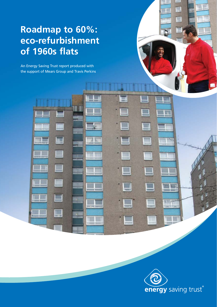# **Roadmap to 60%: eco-refurbishment of 1960s flats**

An Energy Saving Trust report produced with the support of Mears Group and Travis Perkins

**ISB** 

E

t.

73 N



五王山名

٦

TT T

 $\Box$ 

 $\Box$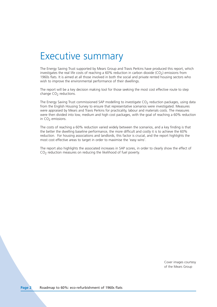## Executive summary

The Energy Saving Trust supported by Mears Group and Travis Perkins have produced this report, which investigates the real life costs of reaching a 60% reduction in carbon dioxide (CO<sub>2</sub>) emissions from 1960s flats. It is aimed at all those involved in both the social and private rented housing sectors who wish to improve the environmental performance of their dwellings.

The report will be a key decision making tool for those seeking the most cost effective route to step change CO<sub>2</sub> reductions.

The Energy Saving Trust commissioned SAP modelling to investigate CO<sub>2</sub> reduction packages, using data from the English Housing Survey to ensure that representative scenarios were investigated. Measures were appraised by Mears and Travis Perkins for practicality, labour and materials costs. The measures were then divided into low, medium and high cost packages, with the goal of reaching a 60% reduction in  $CO<sub>2</sub>$  emissions.

The costs of reaching a 60% reduction varied widely between the scenarios, and a key finding is that the better the dwelling baseline performance, the more difficult and costly it is to achieve the 60% reduction. For housing associations and landlords, this factor is crucial, and the report highlights the most cost effective areas to target in order to maximise the 'easy wins'.

The report also highlights the associated increases in SAP scores, in order to clearly show the effect of  $CO<sub>2</sub>$  reduction measures on reducing the likelihood of fuel poverty.

> Cover images courtesy of the Mears Group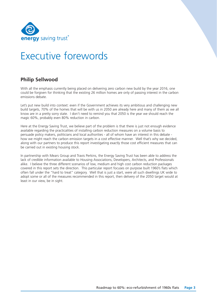

# Executive forewords

## **Philip Sellwood**

With all the emphasis currently being placed on delivering zero carbon new build by the year 2016, one could be forgiven for thinking that the existing 26 million homes are only of passing interest in the carbon emissions debate.

Let's put new build into context: even if the Government achieves its very ambitious and challenging new build targets, 70% of the homes that will be with us in 2050 are already here and many of them as we all know are in a pretty sorry state. I don't need to remind you that 2050 is the year we should reach the magic 60%, probably even 80% reduction in carbon.

Here at the Energy Saving Trust, we believe part of the problem is that there is just not enough evidence available regarding the practicalities of installing carbon reduction measures on a volume basis to persuade policy makers, politicians and local authorities - all of whom have an interest in this debate how we might reach the carbon emission targets in a cost effective manner. Well that's why we decided, along with our partners to produce this report investigating exactly those cost efficient measures that can be carried out in existing housing stock.

In partnership with Mears Group and Travis Perkins, the Energy Saving Trust has been able to address the lack of credible information available to Housing Associations, Developers, Architects, and Professionals alike. I believe the three different scenarios of low, medium and high cost carbon reduction packages covered in this report sets the direction. This particular report focuses on purpose built 1960's flats which often fall under the "hard to treat" category. Well that is just a start, were all such dwellings UK wide to adopt some or all of the measures recommended in this report, then delivery of the 2050 target would at least in our view, be in sight.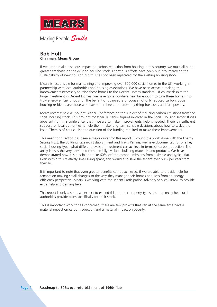

## **Bob Holt Chairman, Mears Group**

If we are to make a serious impact on carbon reduction from housing in this country, we must all put a greater emphasis on the existing housing stock. Enormous efforts have been put into improving the sustainability of new housing but this has not been replicated for the existing housing stock.

Mears is responsible for maintaining and improving over 500,000 social homes in the UK, working in partnership with local authorities and housing associations. We have been active in making the improvements necessary to raise these homes to the Decent Homes standard. Of course despite the huge investment in Decent Homes, we have gone nowhere near far enough to turn these homes into truly energy efficient housing. The benefit of doing so is of course not only reduced carbon. Social housing residents are those who have often been hit hardest by rising fuel costs and fuel poverty.

Mears recently held a Thought Leader Conference on the subject of reducing carbon emissions from the social housing stock. This brought together 70 senior figures involved in the Social Housing sector. It was apparent from this conference, that if we are to make improvements, help is needed. There is insufficient support for local authorities to help them make long term sensible decisions about how to tackle the issue. There is of course also the question of the funding required to make these improvements.

This need for direction has been a major driver for this report. Through the work done with the Energy Saving Trust, the Building Research Establishment and Travis Perkins, we have documented for one key social housing type, what different levels of investment can achieve in terms of carbon reduction. The analysis uses the very latest and commercially available building materials and products. We have demonstrated how it is possible to take 60% off the carbon emissions from a simple and typical flat. Even within this relatively small living space, this would also save the tenant over 50% per year from their bill.

It is important to note that even greater benefits can be achieved, if we are able to provide help for tenants on making small changes to the way they manage their homes and lives from an energy efficiency perspective. Mears is working with the Tenant Participation Advisory Service (TPAS), to provide extra help and training here.

This report is only a start, we expect to extend this to other property types and to directly help local authorities provide plans specifically for their stock.

This is important work for all concerned, there are few projects that can at the same time have a material impact on carbon reduction and a material impact on poverty.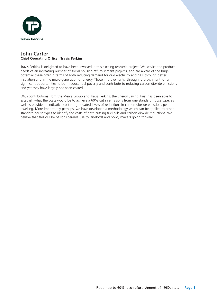

## **John Carter Chief Operating Officer, Travis Perkins**

Travis Perkins is delighted to have been involved in this exciting research project. We service the product needs of an increasing number of social housing refurbishment projects, and are aware of the huge potential these offer in terms of both reducing demand for grid electricity and gas, through better insulation and in the micro-generation of energy. These improvements, through refurbishment, offer significant opportunities to both reduce fuel poverty and contribute to reducing carbon dioxide emissions and yet they have largely not been costed.

With contributions from the Mears Group and Travis Perkins, the Energy Saving Trust has been able to establish what the costs would be to achieve a 60% cut in emissions from one standard house type, as well as provide an indicative cost for graduated levels of reductions in carbon dioxide emissions per dwelling. More importantly perhaps, we have developed a methodology which can be applied to other standard house types to identify the costs of both cutting fuel bills and carbon dioxide reductions. We believe that this will be of considerable use to landlords and policy makers going forward.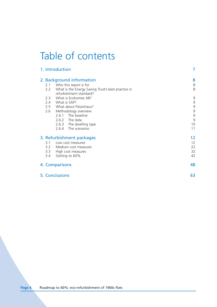# Table of contents

|                | 1. Introduction                                    | 7  |
|----------------|----------------------------------------------------|----|
|                | 2. Background information                          | 8  |
| 2.1            | Who this report is for                             | 8  |
| 2.2            | What is the Energy Saving Trust's best practice in | 8  |
|                | refurbishment standard?                            |    |
| 2.3            | What is Ecohomes XB?                               | 9  |
| 2.4            | What is SAP?                                       | 9  |
|                | 2.5 What about Passivhaus?                         | 9  |
| 2.6            | Methodology overview                               | 9  |
|                | 2.6.1 The baseline                                 | 9  |
|                | 2.6.2 The data                                     | 9  |
|                | 2.6.3<br>The dwelling type                         | 10 |
|                | The scenarios<br>2.6.4                             | 11 |
|                | 3. Refurbishment packages                          | 12 |
| 3.1            | Low cost measures                                  | 12 |
|                | 3.2 Medium cost measures                           | 22 |
| 3.3            | High cost measures                                 | 32 |
| 3.4            | Getting to 60%                                     | 42 |
|                | 4. Comparisons                                     | 48 |
| 5. Conclusions |                                                    | 63 |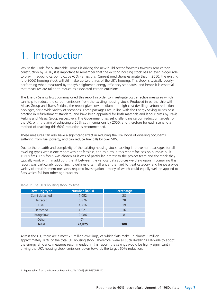# 1. Introduction

Whilst the Code for Sustainable Homes is driving the new build sector forwards towards zero carbon construction by 2016, it is important to remember that the existing housing stock has an even bigger role to play in reducing carbon dioxide  $(CO<sub>2</sub>)$  emissions. Current predictions estimate that in 2050, the existing (pre-2006) housing stock will still make up two thirds of the UK's housing. This stock is typically poorlyperforming when measured by today's heightened energy efficiency standards, and hence it is essential that measures are taken to reduce its associated carbon emissions.

The Energy Saving Trust commissioned this report in order to investigate cost effective measures which can help to reduce the carbon emissions from the existing housing stock. Produced in partnership with Mears Group and Travis Perkins, the report gives low, medium and high cost dwelling carbon reduction packages, for a wide variety of scenarios. These packages are in line with the Energy Saving Trust's best practice in refurbishment standard, and have been appraised for both materials and labour costs by Travis Perkins and Mears Group respectively. The Government has set challenging carbon reduction targets for the UK, with the aim of achieving a 60% cut in emissions by 2050, and therefore for each scenario a method of reaching this 60% reduction is recommended.

These measures can also have a significant effect in reducing the likelihood of dwelling occupants suffering from fuel poverty, and can reduce fuel bills by over 50%.

Due to the breadth and complexity of the existing housing stock, tackling improvement packages for all dwelling types within one report was not feasible, and as a result this report focuses on purpose built 1960s flats. This focus was chosen as it was of particular interest to the project team and the stock they typically work with. In addition, the fit between the various data sources we drew upon in compiling this report was particularly good. Such dwellings often fall under the hard to treat category, and hence a wide variety of refurbishment measures required investigation – many of which could equally well be applied to flats which fall into other age brackets.

| <b>Dwelling type</b> | Number (000s) | Percentage |
|----------------------|---------------|------------|
| Semi detached        | 7,052         | 28         |
| <b>Terraced</b>      | 6,876         | 28         |
| <b>Flats</b>         | 4,716         | 19         |
| Detached             | 4,021         | 16         |
| Bungalow             | 2,086         | 8          |
| Other                | 74            |            |
| <b>Total</b>         | 24,825        | 100        |

Table 1: The UK's housing stock by type<sup>1</sup>

Across the UK, there are almost 25 million dwellings, of which flats make up almost 5 million – approximately 20% of the total UK housing stock. Therefore, were all such dwellings UK-wide to adopt the energy efficiency measures recommended in this report, the savings would be highly significant in driving the UK's housing stock emissions down towards the target 60% reduction.

<sup>1.</sup> Figures taken from the Domestic Energy Factfile [2006]; (BRE/EST/DEFRA)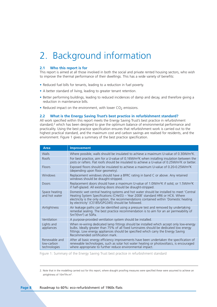# 2. Background information

## **2.1 Who this report is for**

This report is aimed at all those involved in both the social and private rented housing sectors, who wish to improve the thermal performance of their dwellings. This has a wide variety of benefits:

- Reduced fuel bills for tenants, leading to a reduction in fuel poverty.
- A better standard of living, leading to greater tenant retention.
- Better performing buildings, leading to reduced incidences of damp and decay, and therefore giving a reduction in maintenance bills.
- Reduced impact on the environment, with lower  $CO<sub>2</sub>$  emissions.

### **2.2 What is the Energy Saving Trust's best practice in refurbishment standard?**

All work specified within this report meets the Energy Saving Trust's best practice in refurbishment standard,2 which has been designed to give the optimum balance of environmental performance and practicality. Using the best practice specification ensures that refurbishment work is carried out to the highest practical standard, and the maximum cost and carbon savings are realised for residents, and the environment. Figure 1 gives a summary of the best practice specification.

| Area                                        | Improvement                                                                                                                                                                                                                                                                                                              |
|---------------------------------------------|--------------------------------------------------------------------------------------------------------------------------------------------------------------------------------------------------------------------------------------------------------------------------------------------------------------------------|
| Walls                                       | Where possible, walls should be insulated to achieve a maximum U-value of 0.30W/m <sup>2</sup> K.                                                                                                                                                                                                                        |
| Roofs                                       | For best practice, aim for a U-value of 0.16W/m <sup>2</sup> K when installing insulation between the<br>joists or rafters. Flat roofs should be insulated to achieve a U-value of 0.25W/m <sup>2</sup> K or better.                                                                                                     |
| <b>Floors</b>                               | Exposed floors should be insulated to achieve a maximum U-value of 0.20-0.25W/m <sup>2</sup> K<br>(depending upon floor geometry).                                                                                                                                                                                       |
| Windows                                     | Replacement windows should have a BFRC rating in band C or above. Any retained<br>windows should be draught-stripped.                                                                                                                                                                                                    |
| Doors                                       | Replacement doors should have a maximum U-value of 1.0W/m <sup>2</sup> K if solid, or 1.5W/m <sup>2</sup> K<br>if half-glazed. All existing doors should be draught-stripped.                                                                                                                                            |
| Space heating<br>and hot water              | Domestic wet central heating systems and hot water should be installed to meet 'Central<br>Heating System Specifications (CHeSS) - Year 2008' standard HR6 or HC6. Where<br>electricity is the only option, the recommendations contained within 'Domestic heating<br>by electricity' (CE185/GPG345) should be followed. |
| Airtightness                                | Air leakage paths can be identified using a pressure test and removed by undertaking<br>remedial sealing. The best practice recommendation is to aim for an air permeability of<br>$5m3$ /(hm <sup>2</sup> ) at 50Pa.                                                                                                    |
| Ventilation                                 | A purpose-provided ventilation system should be installed.                                                                                                                                                                                                                                                               |
| Lights and<br>appliances                    | When re-wiring dedicated lamp fittings should be installed which accept only low-energy<br>bulbs. Ideally greater than 75% of all fixed luminaires should be dedicated low energy<br>fittings. Low energy appliances should be specified which carry the Energy Saving<br>Recommended certification mark                 |
| Renewable and<br>low-carbon<br>technologies | After all basic energy efficiency improvements have been undertaken the specification of<br>renewable technologies, such as solar hot water heating or photovoltaics, is encouraged<br>where appropriate to further reduce environmental impact.                                                                         |

Figure 1: Summary of the Energy Saving Trust best practice in refurbishment standard

<sup>2.</sup> Note that in the modelling carried out for this report, where draught proofing measures were specified these were assumed to achieve an airtightness of 10m3/hr.m2.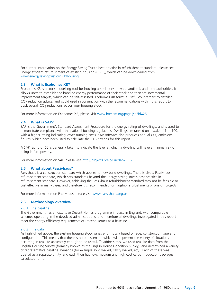For further information on the Energy Saving Trust's best practice in refurbishment standard, please see Energy efficient refurbishment of existing housing (CE83), which can be downloaded from www.energysavingtrust.org.uk/housing.

## **2.3 What is Ecohomes XB?**

Ecohomes XB is a stock modelling tool for housing associations, private landlords and local authorities. It allows users to establish the baseline energy performance of their stock and then set incremental improvement targets, which can be self-assessed. Ecohomes XB forms a useful counterpart to detailed CO<sub>2</sub> reduction advice, and could used in conjunction with the recommendations within this report to track overall  $CO<sub>2</sub>$  reductions across your housing stock.

For more information on Ecohomes XB, please visit www.breeam.org/page.jsp?id=25

## **2.4 What is SAP?**

SAP is the Government's Standard Assessment Procedure for the energy rating of dwellings, and is used to demonstrate compliance with the national building regulations. Dwellings are ranked on a scale of 1 to 100, with a higher rating indicating lower running costs. SAP software also produces annual  $CO<sub>2</sub>$  emissions figures, which have been used to calculate the  $CO<sub>2</sub>$  savings for this report.

A SAP rating of 65 is generally taken to indicate the level at which a dwelling will have a minimal risk of being in fuel poverty.

For more information on SAP, please visit http://projects.bre.co.uk/sap2005/

### **2.5 What about Passivhaus?**

Passivhaus is a construction standard which applies to new build dwellings. There is also a Passivhaus refurbishment standard, which sets standards beyond the Energy Saving Trust's best practice in refurbishment standard. However, achieving the Passivhaus refurbishment standard may not be feasible or cost effective in many cases, and therefore it is recommended for flagship refurbishments or one off projects.

For more information on Passivhaus, please visit www.passivhaus.org.uk

## **2.6 Methodology overview**

### 2.6.1 The baseline

The Government has an extensive Decent Homes programme in place in England, with comparable schemes operating in the devolved administrations, and therefore all dwellings investigated in this report meet the energy efficiency requirements of Decent Homes as a baseline.

### 2.6.2 The data

As highlighted above, the existing housing stock varies enormously based on age, construction type and configuration. This means that there is no one scenario which will represent the variety of situations occurring in real life accurately enough to be useful. To address this, we used real life data from the English Housing Survey (formerly known as the English House Condition Survey), and determined a variety of representative baseline scenarios (for example solid walled, cavity walled, etc). Each of these was treated as a separate entity, and each then had low, medium and high cost carbon reduction packages calculated for it.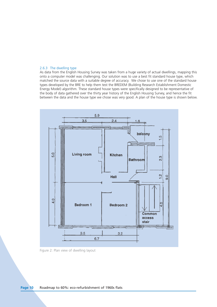#### 2.6.3 The dwelling type

As data from the English Housing Survey was taken from a huge variety of actual dwellings, mapping this onto a computer model was challenging. Our solution was to use a best fit standard house type, which matched the source data with a suitable degree of accuracy. We chose to use one of the standard house types developed by the BRE to help them test the BREDEM (Building Research Establishment Domestic Energy Model) algorithm. These standard house types were specifically designed to be representative of the body of data gathered over the thirty year history of the English Housing Survey, and hence the fit between the data and the house type we chose was very good. A plan of the house type is shown below.



Figure 2: Plan view of dwelling layout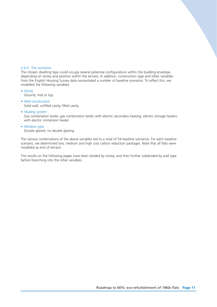## 2.6.4 The scenarios

The chosen dwelling type could occupy several potential configurations within the building envelope, depending on storey and position within the terrace. In addition, construction type and other variables from the English Housing Survey data necessitated a number of baseline scenarios. To reflect this, we modelled the following variables:

- *Storey*
- Ground, mid or top.
- *Wall construction*
	- Solid wall, unfilled cavity, filled cavity.
- *Heating system*

Gas combination boiler, gas combination boiler with electric secondary heating, electric storage heaters with electric immersion heater.

• *Window type*

Double glazed, no double glazing.

The various combinations of the above variables led to a total of 54 baseline scenarios. For each baseline scenario, we determined low, medium and high cost carbon reduction packages. Note that all flats were modelled as end of terrace.

The results on the following pages have been divided by storey, and then further subdivided by wall type before branching into the other variables.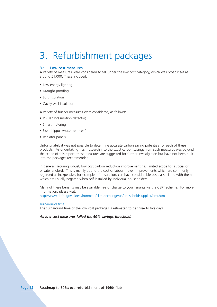# 3. Refurbishment packages

### **3.1 Low cost measures**

A variety of measures were considered to fall under the low cost category, which was broadly set at around £1,000. These included:

- Low energy lighting
- Draught proofing
- Loft insulation
- Cavity wall insulation

A variety of further measures were considered, as follows:

- PIR sensors (motion detector)
- Smart metering
- Flush hippos (water reducers)
- Radiator panels

Unfortunately it was not possible to determine accurate carbon saving potentials for each of these products. As undertaking fresh research into the exact carbon savings from such measures was beyond the scope of this report, these measures are suggested for further investigation but have not been built into the packages recommended.

In general, securing robust, low cost carbon reduction improvement has limited scope for a social or private landlord. This is mainly due to the cost of labour – even improvements which are commonly regarded as inexpensive, for example loft insulation, can have considerable costs associated with them which are usually negated when self installed by individual householders.

Many of these benefits may be available free of charge to your tenants via the CERT scheme. For more information, please visit:

http://www.defra.gov.uk/environment/climatechange/uk/household/supplier/cert.htm

#### Turnaround time

The turnaround time of the low cost packages is estimated to be three to five days.

*All low cost measures failed the 60% savings threshold.*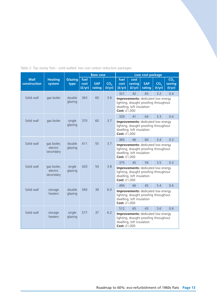|                             |                                      |                   |                        | <b>Base case</b>     |                           | Low cost package                                                                                                                       |                          |                      |                           |                                     |
|-----------------------------|--------------------------------------|-------------------|------------------------|----------------------|---------------------------|----------------------------------------------------------------------------------------------------------------------------------------|--------------------------|----------------------|---------------------------|-------------------------------------|
| <b>Wall</b><br>construction | <b>Heating</b><br>system             | Glazing<br>type   | fuel<br>cost<br>(f/yr) | <b>SAP</b><br>rating | CO <sub>2</sub><br>(t/yr) | fuel<br>cost<br>(f/yr)                                                                                                                 | cost<br>saving<br>(f/yr) | <b>SAP</b><br>rating | CO <sub>2</sub><br>(t/yr) | CO <sub>2</sub><br>saving<br>(t/yr) |
|                             |                                      |                   |                        |                      |                           | 321                                                                                                                                    | 42                       | 65                   | 3.2                       | 0.4                                 |
| Solid wall                  | gas boiler                           | double<br>glazing | 363                    | 60                   | 3.6                       | Improvements: dedicated low energy<br>lighting, draught proofing throughout<br>dwelling, loft insulation<br>Cost: £1,000               |                          |                      |                           |                                     |
|                             |                                      |                   |                        |                      |                           | 329                                                                                                                                    | 41                       | 64                   | 3.3                       | 0.4                                 |
| Solid wall                  | gas boiler                           | single<br>glazing | 370                    | 60                   | 3.7                       | Improvements: dedicated low energy<br>lighting, draught proofing throughout<br>dwelling, loft insulation<br>Cost: £1,000               |                          |                      |                           |                                     |
|                             |                                      |                   |                        |                      |                           | 365                                                                                                                                    | 46                       | 60                   | 3.4                       | 0.3                                 |
| Solid wall                  | gas boiler,<br>electric<br>secondary | double<br>glazing | 411                    | 55                   | 3.7                       | Improvements: dedicated low energy<br>lighting, draught proofing throughout<br>dwelling, loft insulation<br>Cost: £1,000               |                          |                      |                           |                                     |
|                             |                                      |                   |                        |                      |                           | 375                                                                                                                                    | 45                       | 59                   | 3.5                       | 0.3                                 |
| Solid wall                  | gas boiler,<br>electric<br>secondary | single<br>glazing | 420                    | 54                   | 3.8                       | Improvements: dedicated low energy<br>lighting, draught proofing throughout<br>dwelling, loft insulation<br>Cost: £1,000               |                          |                      |                           |                                     |
|                             |                                      |                   |                        |                      |                           | 494                                                                                                                                    | 66                       | 45                   | 5.4                       | 0.6                                 |
| Solid wall                  | storage<br>heaters                   | double<br>glazing | 560                    | 39                   | 6.0                       | Improvements: dedicated low energy<br>lighting, draught proofing throughout<br>dwelling, loft insulation<br><b>Cost: £1,000</b>        |                          |                      |                           |                                     |
|                             |                                      |                   |                        |                      |                           | 512                                                                                                                                    | 65                       | 43                   | 5.6                       | 0.6                                 |
| Solid wall                  | storage<br>heaters                   | single<br>glazing | 577                    | 37                   | 6.2                       | <b>Improvements:</b> dedicated low energy<br>lighting, draught proofing throughout<br>dwelling, loft insulation<br><b>Cost: £1,000</b> |                          |                      |                           |                                     |

Table 2: Top storey flats - solid walled: low cost carbon reduction packages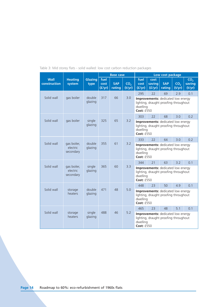|                      |                                      |                        | <b>Base case</b>       |                      |                           | Low cost package                                                                                             |                          |                                                                             |                           |                                     |
|----------------------|--------------------------------------|------------------------|------------------------|----------------------|---------------------------|--------------------------------------------------------------------------------------------------------------|--------------------------|-----------------------------------------------------------------------------|---------------------------|-------------------------------------|
| Wall<br>construction | <b>Heating</b><br>system             | <b>Glazing</b><br>type | fuel<br>cost<br>(f/yr) | <b>SAP</b><br>rating | CO <sub>2</sub><br>(t/yr) | fuel<br>cost<br>(f/yr)                                                                                       | cost<br>saving<br>(f/yr) | <b>SAP</b><br>rating                                                        | CO <sub>2</sub><br>(t/yr) | CO <sub>2</sub><br>saving<br>(t/yr) |
|                      |                                      |                        |                        |                      |                           | 295                                                                                                          | 22                       | 69                                                                          | 2.9                       | 0.1                                 |
| Solid wall           | gas boiler                           | double<br>glazing      | 317                    | 66                   | 3.0                       | Improvements: dedicated low energy<br>lighting, draught proofing throughout<br>dwelling<br>Cost: £550        |                          |                                                                             |                           |                                     |
|                      |                                      |                        |                        |                      |                           | 303                                                                                                          | 22                       | 68                                                                          | 3.0                       | 0.2                                 |
| Solid wall           | gas boiler                           | single<br>glazing      | 325                    | 65                   | 3.2                       | Improvements: dedicated low energy<br>lighting, draught proofing throughout<br>dwelling<br>Cost: £550        |                          |                                                                             |                           |                                     |
|                      |                                      |                        |                        |                      |                           | 333                                                                                                          | 22                       | 64                                                                          | 3.0                       | 0.2                                 |
| Solid wall           | gas boiler,<br>electric<br>secondary | double<br>glazing      | 355                    | 61                   | 3.2                       | Improvements: dedicated low energy<br>lighting, draught proofing throughout<br>dwelling<br>Cost: £550        |                          |                                                                             |                           |                                     |
|                      |                                      |                        |                        |                      |                           | 344                                                                                                          | 21                       | 63                                                                          | 3.2                       | 0.1                                 |
| Solid wall           | gas boiler,<br>electric<br>secondary | single<br>glazing      | 365                    | 60                   | 3.3                       | dwelling<br>Cost: £550                                                                                       |                          | Improvements: dedicated low energy<br>lighting, draught proofing throughout |                           |                                     |
|                      |                                      |                        |                        |                      |                           | 448                                                                                                          | 23                       | 50                                                                          | 4.9                       | 0.1                                 |
| Solid wall           | storage<br>heaters                   | double<br>glazing      | 471                    | 48                   | 5.0                       | Improvements: dedicated low energy<br>lighting, draught proofing throughout<br>dwelling<br>Cost: £550        |                          |                                                                             |                           |                                     |
|                      |                                      |                        |                        |                      |                           | 465                                                                                                          | 23                       | 48                                                                          | 5.1                       | 0.1                                 |
| Solid wall           | storage<br>heaters                   | single<br>glazing      | 488                    | 46                   | 5.2                       | Improvements: dedicated low energy<br>lighting, draught proofing throughout<br>dwelling<br><b>Cost: £550</b> |                          |                                                                             |                           |                                     |

## Table 3: Mid storey flats - solid walled: low cost carbon reduction packages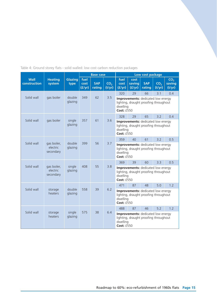|                             |                                      |                   |                        | <b>Base case</b>     |                           | Low cost package                                                                                                    |                          |                      |                           |                                     |
|-----------------------------|--------------------------------------|-------------------|------------------------|----------------------|---------------------------|---------------------------------------------------------------------------------------------------------------------|--------------------------|----------------------|---------------------------|-------------------------------------|
| <b>Wall</b><br>construction | <b>Heating</b><br>system             | Glazing<br>type   | fuel<br>cost<br>(f/yr) | <b>SAP</b><br>rating | CO <sub>2</sub><br>(t/yr) | fuel<br>cost<br>(f/yr)                                                                                              | cost<br>saving<br>(f/yr) | <b>SAP</b><br>rating | CO <sub>2</sub><br>(t/yr) | CO <sub>2</sub><br>saving<br>(t/yr) |
|                             |                                      |                   |                        |                      |                           | 320                                                                                                                 | 29                       | 66                   | 3.1                       | 0.4                                 |
| Solid wall                  | gas boiler                           | double<br>glazing | 349                    | 62                   | 3.5                       | Improvements: dedicated low energy<br>lighting, draught proofing throughout<br>dwelling<br>Cost: £550               |                          |                      |                           |                                     |
|                             |                                      |                   |                        |                      |                           | 328                                                                                                                 | 29                       | 65                   | 3.2                       | 0.4                                 |
| Solid wall                  | gas boiler                           | single<br>glazing | 357                    | 61                   | 3.6                       | Improvements: dedicated low energy<br>lighting, draught proofing throughout<br>dwelling<br>Cost: £550               |                          |                      |                           |                                     |
|                             |                                      |                   |                        |                      |                           | 359                                                                                                                 | 40                       | 61                   | 3.2                       | 0.5                                 |
| Solid wall                  | gas boiler,<br>electric<br>secondary | double<br>glazing | 399                    | 56                   | 3.7                       | Improvements: dedicated low energy<br>lighting, draught proofing throughout<br>dwelling<br><b>Cost: £550</b>        |                          |                      |                           |                                     |
|                             |                                      |                   |                        |                      |                           | 369                                                                                                                 | 39                       | 60                   | 3.3                       | 0.5                                 |
| Solid wall                  | gas boiler,<br>electric<br>secondary | single<br>glazing | 408                    | 55                   | 3.8                       | <b>Improvements:</b> dedicated low energy<br>lighting, draught proofing throughout<br>dwelling<br><b>Cost: £550</b> |                          |                      |                           |                                     |
|                             |                                      |                   |                        |                      |                           | 471                                                                                                                 | 87                       | 48                   | 5.0                       | 1.2                                 |
| Solid wall                  | storage<br>heaters                   | double<br>glazing | 558                    | 39                   | 6.2                       | Improvements: dedicated low energy<br>lighting, draught proofing throughout<br>dwelling<br><b>Cost: £550</b>        |                          |                      |                           |                                     |
|                             |                                      |                   |                        |                      |                           | 488                                                                                                                 | 87                       | 46                   | 5.2                       | 1.2                                 |
| Solid wall                  | storage<br>heaters                   | single<br>glazing | 575                    | 38                   | 6.4                       | Improvements: dedicated low energy<br>lighting, draught proofing throughout<br>dwelling<br><b>Cost: £550</b>        |                          |                      |                           |                                     |

Table 4: Ground storey flats - solid walled: low cost carbon reduction packages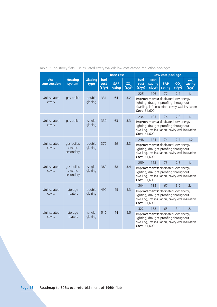|                       |                                      |                   | <b>Base case</b>       |                      |                           | Low cost package                                                                                                                                        |                          |                      |                           |                                     |
|-----------------------|--------------------------------------|-------------------|------------------------|----------------------|---------------------------|---------------------------------------------------------------------------------------------------------------------------------------------------------|--------------------------|----------------------|---------------------------|-------------------------------------|
| Wall<br>construction  | <b>Heating</b><br>system             | Glazing<br>type   | fuel<br>cost<br>(E/yr) | <b>SAP</b><br>rating | CO <sub>2</sub><br>(t/yr) | fuel<br>cost<br>(E/yr)                                                                                                                                  | cost<br>saving<br>(f/yr) | <b>SAP</b><br>rating | CO <sub>2</sub><br>(t/yr) | CO <sub>2</sub><br>saving<br>(t/yr) |
|                       |                                      |                   |                        |                      |                           | 225                                                                                                                                                     | 106                      | 77                   | 2.1                       | 1.1                                 |
| Uninsulated<br>cavity | gas boiler                           | double<br>glazing | 331                    | 64                   | 3.2                       | Improvements: dedicated low energy<br>lighting, draught proofing throughout<br>dwelling, loft insulation, cavity wall insulation<br>Cost: £1,600        |                          |                      |                           |                                     |
|                       |                                      |                   |                        |                      |                           | 234                                                                                                                                                     | 105                      | 76                   | 2.2                       | 1.1                                 |
| Uninsulated<br>cavity | gas boiler                           | single<br>glazing | 339                    | 63                   | 3.3                       | Improvements: dedicated low energy<br>lighting, draught proofing throughout<br>dwelling, loft insulation, cavity wall insulation<br>Cost: £1,600        |                          |                      |                           |                                     |
|                       |                                      |                   |                        |                      |                           | 248                                                                                                                                                     | 124                      | 74                   | 2.1                       | 1.2                                 |
| Uninsulated<br>cavity | gas boiler,<br>electric<br>secondary | double<br>glazing | 372                    | 59                   | 3.3                       | Improvements: dedicated low energy<br>lighting, draught proofing throughout<br>dwelling, loft insulation, cavity wall insulation<br>Cost: £1,600        |                          |                      |                           |                                     |
|                       |                                      |                   |                        |                      |                           | 259                                                                                                                                                     | 123                      | 73                   | 2.3                       | 1.1                                 |
| Uninsulated<br>cavity | gas boiler,<br>electric<br>secondary | single<br>glazing | 382                    | 58                   | 3.4                       | Improvements: dedicated low energy<br>lighting, draught proofing throughout<br>dwelling, loft insulation, cavity wall insulation<br>Cost: £1,600        |                          |                      |                           |                                     |
|                       |                                      |                   |                        |                      |                           | 304                                                                                                                                                     | 188                      | 67                   | 3.2                       | 2.1                                 |
| Uninsulated<br>cavity | storage<br>heaters                   | double<br>glazing | 492                    | 45                   | 53                        | Improvements: dedicated low energy<br>lighting, draught proofing throughout<br>dwelling, loft insulation, cavity wall insulation<br>Cost: £1,600        |                          |                      |                           |                                     |
|                       |                                      |                   |                        |                      |                           | 65<br>322<br>188                                                                                                                                        |                          | 3.4                  | 2.1                       |                                     |
| Uninsulated<br>cavity | storage<br>heaters                   | single<br>glazing | 510                    | 44                   | 5.5                       | Improvements: dedicated low energy<br>lighting, draught proofing throughout<br>dwelling, loft insulation, cavity wall insulation<br><b>Cost: £1,600</b> |                          |                      |                           |                                     |

Table 5: Top storey flats - uninsulated cavity walled: low cost carbon reduction packages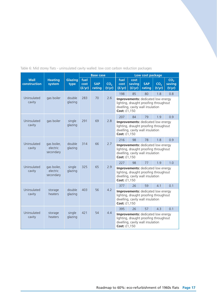|  | Table 6: Mid storev flats - uninsulated cavity walled: low cost carbon reduction packages |  |  |  |
|--|-------------------------------------------------------------------------------------------|--|--|--|
|  |                                                                                           |  |  |  |

|                             |                                      |                        |                        | <b>Base case</b>     |                           | Low cost package                                                                                                                |                          |                      |                           |                                     |
|-----------------------------|--------------------------------------|------------------------|------------------------|----------------------|---------------------------|---------------------------------------------------------------------------------------------------------------------------------|--------------------------|----------------------|---------------------------|-------------------------------------|
| <b>Wall</b><br>construction | <b>Heating</b><br>system             | <b>Glazing</b><br>type | fuel<br>cost<br>(f/yr) | <b>SAP</b><br>rating | CO <sub>2</sub><br>(t/yr) | fuel<br>cost<br>(f/yr)                                                                                                          | cost<br>saving<br>(f/yr) | <b>SAP</b><br>rating | CO <sub>2</sub><br>(t/yr) | CO <sub>2</sub><br>saving<br>(t/yr) |
|                             |                                      |                        |                        |                      |                           | 198                                                                                                                             | 85                       | 80                   | 1.8                       | 0.8                                 |
| Uninsulated<br>cavity       | gas boiler                           | double<br>glazing      | 283                    | 70                   | 2.6                       | Improvements: dedicated low energy<br>lighting, draught proofing throughout<br>dwelling, cavity wall insulation<br>Cost: £1,150 |                          |                      |                           |                                     |
|                             |                                      |                        |                        |                      |                           | 207                                                                                                                             | 84                       | 79                   | 1.9                       | 0.9                                 |
| Uninsulated<br>cavity       | gas boiler                           | single<br>glazing      | 291                    | 69                   | 2.8                       | Improvements: dedicated low energy<br>lighting, draught proofing throughout<br>dwelling, cavity wall insulation<br>Cost: £1,150 |                          |                      |                           |                                     |
|                             |                                      |                        |                        |                      |                           | 216                                                                                                                             | 98                       | 78                   | 1.8                       | 0.9                                 |
| Uninsulated<br>cavity       | gas boiler,<br>electric<br>secondary | double<br>glazing      | 314                    | 66                   | 2.7                       | Improvements: dedicated low energy<br>lighting, draught proofing throughout<br>dwelling, cavity wall insulation<br>Cost: £1,150 |                          |                      |                           |                                     |
|                             |                                      |                        |                        |                      |                           | 227                                                                                                                             | 98                       | 77                   | 1.9                       | 1.0                                 |
| Uninsulated<br>cavity       | gas boiler,<br>electric<br>secondary | single<br>glazing      | 325                    | 65                   | 2.9                       | Improvements: dedicated low energy<br>lighting, draught proofing throughout<br>dwelling, cavity wall insulation<br>Cost: £1,150 |                          |                      |                           |                                     |
|                             |                                      |                        |                        |                      |                           | 377                                                                                                                             | 26                       | 59                   | 4.1                       | 0.1                                 |
| Uninsulated<br>cavity       | storage<br>heaters                   | double<br>glazing      | 403                    | 56                   | 4.2                       | Improvements: dedicated low energy<br>lighting, draught proofing throughout<br>dwelling, cavity wall insulation<br>Cost: £1,150 |                          |                      |                           |                                     |
|                             |                                      |                        |                        |                      |                           | 395<br>26<br>57                                                                                                                 |                          |                      | 4.3                       | 0.1                                 |
| Uninsulated<br>cavity       | storage<br>heaters                   | single<br>glazing      | 421                    | 54                   | 4.4                       | Improvements: dedicated low energy<br>lighting, draught proofing throughout<br>dwelling, cavity wall insulation<br>Cost: £1,150 |                          |                      |                           |                                     |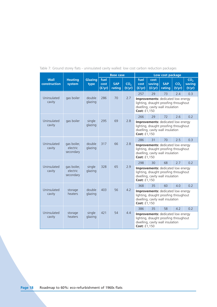|                             |                                      |                   | <b>Base case</b>       |                      |                           | Low cost package                                                                                                                              |                          |                                                                                                                        |                           |                                     |
|-----------------------------|--------------------------------------|-------------------|------------------------|----------------------|---------------------------|-----------------------------------------------------------------------------------------------------------------------------------------------|--------------------------|------------------------------------------------------------------------------------------------------------------------|---------------------------|-------------------------------------|
| <b>Wall</b><br>construction | <b>Heating</b><br>system             | Glazing<br>type   | fuel<br>cost<br>(f/yr) | <b>SAP</b><br>rating | CO <sub>2</sub><br>(t/yr) | fuel<br>cost<br>(f/yr)                                                                                                                        | cost<br>saving<br>(f/yr) | <b>SAP</b><br>rating                                                                                                   | CO <sub>2</sub><br>(t/yr) | CO <sub>2</sub><br>saving<br>(t/yr) |
|                             |                                      |                   |                        |                      |                           | 257                                                                                                                                           | 29                       | 73                                                                                                                     | 2.4                       | 0.3                                 |
| Uninsulated<br>cavity       | gas boiler                           | double<br>glazing | 286                    | 70                   | 2.7                       | Improvements: dedicated low energy<br>lighting, draught proofing throughout<br>dwelling, cavity wall insulation<br>Cost: £1,150               |                          |                                                                                                                        |                           |                                     |
|                             |                                      |                   |                        |                      |                           | 266                                                                                                                                           | 29                       | 72                                                                                                                     | 2.6                       | 0.2                                 |
| Uninsulated<br>cavity       | gas boiler                           | single<br>glazing | 295                    | 69                   | 2.8                       | Improvements: dedicated low energy<br>lighting, draught proofing throughout<br>dwelling, cavity wall insulation<br>Cost: £1,150               |                          |                                                                                                                        |                           |                                     |
|                             |                                      |                   |                        |                      |                           | 286                                                                                                                                           | 31                       | 70                                                                                                                     | 2.5                       | 0.3                                 |
| Uninsulated<br>cavity       | gas boiler,<br>electric<br>secondary | double<br>glazing | 317                    | 66                   | 2.8                       | <b>Improvements:</b> dedicated low energy<br>lighting, draught proofing throughout<br>dwelling, cavity wall insulation<br><b>Cost: £1,150</b> |                          |                                                                                                                        |                           |                                     |
|                             |                                      |                   |                        |                      |                           | 298                                                                                                                                           | 30                       | 68                                                                                                                     | 2.7                       | 0.2                                 |
| Uninsulated<br>cavity       | gas boiler,<br>electric<br>secondary | single<br>glazing | 328                    | 65                   | 2.9                       | Cost: £1,150                                                                                                                                  |                          | <b>Improvements:</b> dedicated low energy<br>lighting, draught proofing throughout<br>dwelling, cavity wall insulation |                           |                                     |
|                             |                                      |                   |                        |                      |                           | 368                                                                                                                                           | 35                       | 60                                                                                                                     | 4.0                       | 0.2                                 |
| Uninsulated<br>cavity       | storage<br>heaters                   | double<br>glazing | 403                    | 56                   | 4.2                       | Improvements: dedicated low energy<br>lighting, draught proofing throughout<br>dwelling, cavity wall insulation<br>Cost: £1,150               |                          |                                                                                                                        |                           |                                     |
|                             |                                      |                   |                        |                      |                           | 386<br>35<br>58                                                                                                                               |                          |                                                                                                                        | 4.2                       | 0.2                                 |
| Uninsulated<br>cavity       | storage<br>heaters                   | single<br>glazing | 421                    | 54                   | 4.4                       | Improvements: dedicated low energy<br>lighting, draught proofing throughout<br>dwelling, cavity wall insulation<br><b>Cost: £1,150</b>        |                          |                                                                                                                        |                           |                                     |

## Table 7: Ground storey flats - uninsulated cavity walled: low cost carbon reduction packages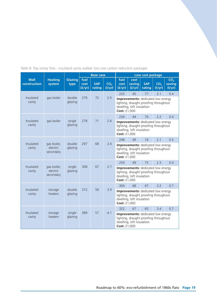|  |  | Table 8: Top storey flats - insulated cavity walled: low cost carbon reduction packages |  |  |  |  |
|--|--|-----------------------------------------------------------------------------------------|--|--|--|--|
|  |  |                                                                                         |  |  |  |  |

|                             |                                      |                   | <b>Base case</b>       |                      |                           | Low cost package                                                                                                                |                          |                      |                           |                                     |
|-----------------------------|--------------------------------------|-------------------|------------------------|----------------------|---------------------------|---------------------------------------------------------------------------------------------------------------------------------|--------------------------|----------------------|---------------------------|-------------------------------------|
| <b>Wall</b><br>construction | <b>Heating</b><br>system             | Glazing<br>type   | fuel<br>cost<br>(f/yr) | <b>SAP</b><br>rating | CO <sub>2</sub><br>(t/yr) | fuel<br>cost<br>(f/yr)                                                                                                          | cost<br>saving<br>(f/yr) | <b>SAP</b><br>rating | CO <sub>2</sub><br>(t/yr) | CO <sub>2</sub><br>saving<br>(t/yr) |
|                             |                                      |                   |                        |                      |                           | 225                                                                                                                             | 45                       | 77                   | 2.1                       | 0.4                                 |
| Insulated<br>cavity         | gas boiler                           | double<br>glazing | 270                    | 72                   | 2.5                       | <b>Improvements:</b> dedicated low energy<br>lighting, draught proofing throughout<br>dwelling, loft insulation<br>Cost: £1,000 |                          |                      |                           |                                     |
|                             |                                      |                   |                        |                      |                           | 234                                                                                                                             | 44                       | 76                   | 2.2                       | 0.4                                 |
| Insulated<br>cavity         | gas boiler                           | single<br>glazing | 278                    | 71                   | 2.6                       | Improvements: dedicated low energy<br>lighting, draught proofing throughout<br>dwelling, loft insulation<br>Cost: £1,000        |                          |                      |                           |                                     |
|                             |                                      |                   |                        |                      |                           | 248                                                                                                                             | 49                       | 74                   | 2.1                       | 0.5                                 |
| Insulated<br>cavity         | gas boiler,<br>electric<br>secondary | double<br>glazing | 297                    | 68                   | 2.6                       | <b>Improvements:</b> dedicated low energy<br>lighting, draught proofing throughout<br>dwelling, loft insulation<br>Cost: £1,000 |                          |                      |                           |                                     |
|                             |                                      |                   |                        |                      |                           | 259                                                                                                                             | 49                       | 73                   | 2.3                       | 0.4                                 |
| Insulated<br>cavity         | gas boiler,<br>electric<br>secondary | single<br>glazing | 308                    | 67                   | 2.7                       | Improvements: dedicated low energy<br>lighting, draught proofing throughout<br>dwelling, loft insulation<br>Cost: £1,000        |                          |                      |                           |                                     |
|                             |                                      |                   |                        |                      |                           | 304                                                                                                                             | 68                       | 67                   | 3.2                       | 0.7                                 |
| Insulated<br>cavity         | storage<br>heaters                   | double<br>glazing | 372                    | 59                   | 3.9                       | <b>Improvements:</b> dedicated low energy<br>lighting, draught proofing throughout<br>dwelling, loft insulation<br>Cost: £1,000 |                          |                      |                           |                                     |
|                             |                                      |                   |                        |                      |                           | 322<br>67                                                                                                                       |                          | 65                   | 3.4                       | 0.7                                 |
| Insulated<br>cavity         | storage<br>heaters                   | single<br>glazing | 389                    | 57                   | 4.1                       | Improvements: dedicated low energy<br>lighting, draught proofing throughout<br>dwelling, loft insulation<br>Cost: £1,000        |                          |                      |                           |                                     |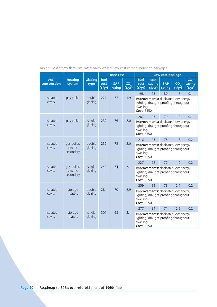|                      |                                      |                        |                        | <b>Base case</b>     | Low cost package<br>fuel<br>cost |                                                                                                                     |                  |                                                                             |                           |                                     |
|----------------------|--------------------------------------|------------------------|------------------------|----------------------|----------------------------------|---------------------------------------------------------------------------------------------------------------------|------------------|-----------------------------------------------------------------------------|---------------------------|-------------------------------------|
| Wall<br>construction | <b>Heating</b><br>system             | <b>Glazing</b><br>type | fuel<br>cost<br>(f/yr) | <b>SAP</b><br>rating | CO <sub>2</sub><br>(t/yr)        | cost<br>(f/yr)                                                                                                      | saving<br>(f/yr) | <b>SAP</b><br>rating                                                        | CO <sub>2</sub><br>(t/yr) | CO <sub>2</sub><br>saving<br>(t/yr) |
|                      |                                      |                        |                        |                      |                                  | 198                                                                                                                 | 23               | 80                                                                          | 1.8                       | 0.1                                 |
| Insulated<br>cavity  | gas boiler                           | double<br>glazing      | 221                    | 77                   | 1.9                              | dwelling<br>Cost: £550                                                                                              |                  | Improvements: dedicated low energy<br>lighting, draught proofing throughout |                           |                                     |
|                      |                                      |                        |                        |                      |                                  | 207                                                                                                                 | 23               | 79                                                                          | 1.9                       | 0.1                                 |
| Insulated<br>cavity  | gas boiler                           | single<br>glazing      | 230                    | 76                   | 2.0                              | Improvements: dedicated low energy<br>lighting, draught proofing throughout<br>dwelling<br>Cost: £550               |                  |                                                                             |                           |                                     |
|                      |                                      |                        |                        |                      |                                  | 216                                                                                                                 | 23               | 78                                                                          | 1.8                       | 0.2                                 |
| Insulated<br>cavity  | gas boiler,<br>electric<br>secondary | double<br>glazing      | 239                    | 75                   | 2.0                              | <b>Improvements:</b> dedicated low energy<br>lighting, draught proofing throughout<br>dwelling<br><b>Cost: £550</b> |                  |                                                                             |                           |                                     |
|                      |                                      |                        |                        |                      |                                  | 227                                                                                                                 | 22               | 77                                                                          | 1.9                       | 0.2                                 |
| Insulated<br>cavity  | gas boiler,<br>electric<br>secondary | single<br>glazing      | 249                    | 74                   | 2.1                              | dwelling<br><b>Cost: £550</b>                                                                                       |                  | Improvements: dedicated low energy<br>lighting, draught proofing throughout |                           |                                     |
|                      |                                      |                        |                        |                      |                                  | 259                                                                                                                 | 25               | 73                                                                          | 2.7                       | 0.2                                 |
| Insulated<br>cavity  | storage<br>heaters                   | double<br>glazing      | 284                    | 70                   | 2.9                              | Improvements: dedicated low energy<br>lighting, draught proofing throughout<br>dwelling<br>Cost: £550               |                  |                                                                             |                           |                                     |
|                      |                                      |                        |                        |                      |                                  | 277                                                                                                                 | 24               | 71                                                                          | 2.9                       | 0.2                                 |
| Insulated<br>cavity  | storage<br>heaters                   | single<br>glazing      | 301                    | 68                   | 3 <sub>1</sub>                   | dwelling<br><b>Cost: £550</b>                                                                                       |                  | Improvements: dedicated low energy<br>lighting, draught proofing throughout |                           |                                     |

Table 9: Mid storey flats - insulated cavity walled: low cost carbon reduction packages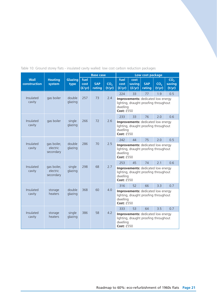|                             |                                      |                   |                        | <b>Base case</b>             | Low cost package<br>fuel<br>cost<br>CO <sub>2</sub><br>saving<br><b>SAP</b><br>CO <sub>2</sub><br>cost |                                                                                                              |                                                                                    |        |        |                                     |
|-----------------------------|--------------------------------------|-------------------|------------------------|------------------------------|--------------------------------------------------------------------------------------------------------|--------------------------------------------------------------------------------------------------------------|------------------------------------------------------------------------------------|--------|--------|-------------------------------------|
| <b>Wall</b><br>construction | <b>Heating</b><br>system             | Glazing<br>type   | fuel<br>cost<br>(f/yr) | <b>SAP</b><br>rating         | (t/yr)                                                                                                 | (f/yr)                                                                                                       | (f/yr)                                                                             | rating | (t/yr) | CO <sub>2</sub><br>saving<br>(t/yr) |
|                             |                                      |                   |                        |                              |                                                                                                        | 224                                                                                                          | 33                                                                                 | 77     | 1.9    | 0.5                                 |
| Insulated<br>cavity         | gas boiler                           | double<br>glazing | 257                    | 73                           | 2.4                                                                                                    | dwelling<br><b>Cost: £550</b>                                                                                | <b>Improvements:</b> dedicated low energy<br>lighting, draught proofing throughout |        |        |                                     |
|                             |                                      |                   |                        |                              |                                                                                                        | 233                                                                                                          | 33                                                                                 | 76     | 2.0    | 0.6                                 |
| Insulated<br>cavity         | gas boiler                           | single<br>glazing |                        | 266<br>72<br>2.6<br>dwelling |                                                                                                        | Improvements: dedicated low energy<br>lighting, draught proofing throughout<br>Cost: £550                    |                                                                                    |        |        |                                     |
|                             |                                      |                   |                        |                              |                                                                                                        | 242                                                                                                          | 44                                                                                 | 75     | 2.0    | 0.5                                 |
| Insulated<br>cavity         | gas boiler,<br>electric<br>secondary | double<br>glazing | 286                    | 70                           | 2.5                                                                                                    | Improvements: dedicated low energy<br>lighting, draught proofing throughout<br>dwelling<br><b>Cost: £550</b> |                                                                                    |        |        |                                     |
|                             |                                      |                   |                        |                              |                                                                                                        | 253                                                                                                          | 45<br>74<br>2.1<br>0.6                                                             |        |        |                                     |
| Insulated<br>cavity         | gas boiler,<br>electric<br>secondary | single<br>glazing | 298                    | 68                           | 2.7                                                                                                    | dwelling<br>Cost: f550                                                                                       | Improvements: dedicated low energy<br>lighting, draught proofing throughout        |        |        |                                     |
|                             |                                      |                   |                        |                              |                                                                                                        | 316                                                                                                          | 52                                                                                 | 66     | 3.3    | 0.7                                 |
| Insulated<br>cavity         | storage<br>heaters                   | double<br>glazing | 368                    | 60                           | 4.0                                                                                                    | Improvements: dedicated low energy<br>lighting, draught proofing throughout<br>dwelling<br>Cost: £550        |                                                                                    |        |        |                                     |
|                             |                                      |                   |                        |                              |                                                                                                        | 333                                                                                                          | 53                                                                                 | 64     | 35     | 0 <sub>7</sub>                      |
| Insulated<br>cavity         | storage<br>heaters                   | single<br>glazing | 386                    | 58                           | 4.2                                                                                                    | dwelling<br>Cost: f550                                                                                       | <b>Improvements:</b> dedicated low energy<br>lighting, draught proofing throughout |        |        |                                     |

## Table 10: Ground storey flats - insulated cavity walled: low cost carbon reduction packages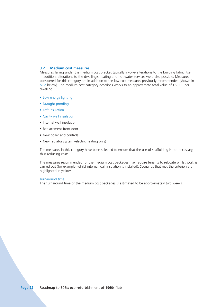## **3.2 Medium cost measures**

Measures falling under the medium cost bracket typically involve alterations to the building fabric itself. In addition, alterations to the dwelling's heating and hot water services were also possible. Measures considered for this category are in addition to the low cost measures previously recommended (shown in blue below). The medium cost category describes works to an approximate total value of £5,000 per dwelling.

- Low energy lighting
- Draught proofing
- Loft insulation
- Cavity wall insulation
- Internal wall insulation
- Replacement front door
- New boiler and controls
- New radiator system (electric heating only)

The measures in this category have been selected to ensure that the use of scaffolding is not necessary, thus reducing costs.

The measures recommended for the medium cost packages may require tenants to relocate whilst work is carried out (for example, whilst internal wall insulation is installed). Scenarios that met the criterion are highlighted in yellow.

#### Turnaround time

The turnaround time of the medium cost packages is estimated to be approximately two weeks.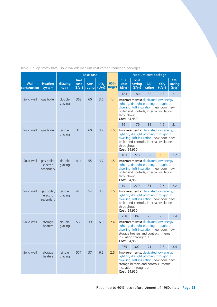| Table 11: Top storey flats - solid walled: medium cost carbon reduction packages |  |
|----------------------------------------------------------------------------------|--|
|----------------------------------------------------------------------------------|--|

|                             |                                      |                   |                        | <b>Base case</b>     |                           |               | <b>Medium cost package</b><br>fuel<br>CO <sub>2</sub><br>cost                                                                                                                                                            |                  |                                                                                                                                                                            |                           |                  |  |
|-----------------------------|--------------------------------------|-------------------|------------------------|----------------------|---------------------------|---------------|--------------------------------------------------------------------------------------------------------------------------------------------------------------------------------------------------------------------------|------------------|----------------------------------------------------------------------------------------------------------------------------------------------------------------------------|---------------------------|------------------|--|
| <b>Wall</b><br>construction | <b>Heating</b><br>system             | Glazing<br>type   | fuel<br>cost<br>(f/yr) | <b>SAP</b><br>rating | CO <sub>2</sub><br>(t/yr) | 60%<br>target | cost<br>(f/yr)                                                                                                                                                                                                           | saving<br>(f/yr) | <b>SAP</b><br>rating                                                                                                                                                       | CO <sub>2</sub><br>(t/yr) | saving<br>(t/yr) |  |
|                             |                                      |                   |                        |                      |                           |               | 183                                                                                                                                                                                                                      | 180              | 82                                                                                                                                                                         | 1.5                       | 2.1              |  |
| Solid wall                  | gas boiler                           | double<br>glazing | 363                    | 60                   | 3.6                       | 1.4           | throughout<br>Cost: £4,950                                                                                                                                                                                               |                  | <b>Improvements:</b> dedicated low energy<br>lighting, draught proofing throughout<br>dwelling, loft insulation, new door, new<br>boiler and controls, internal insulation |                           |                  |  |
|                             |                                      |                   |                        |                      |                           |               | 191                                                                                                                                                                                                                      | 179              | 81                                                                                                                                                                         | 1.6                       | 2.1              |  |
| Solid wall                  | gas boiler                           | single<br>glazing | 370                    | 60                   | 3.7                       | 1.5           | throughout<br>Cost: £4,950                                                                                                                                                                                               |                  | <b>Improvements:</b> dedicated low energy<br>lighting, draught proofing throughout<br>dwelling, loft insulation, new door, new<br>boiler and controls, internal insulation |                           |                  |  |
|                             |                                      |                   |                        |                      |                           |               | 183                                                                                                                                                                                                                      | 228              | 82                                                                                                                                                                         | 1.5                       | 2.2              |  |
| Solid wall                  | gas boiler,<br>electric<br>secondary | double<br>glazing | 411                    | 55                   | 3.7                       | 1.5           | <b>Improvements:</b> dedicated low energy<br>lighting, draught proofing throughout<br>dwelling, loft insulation, new door, new<br>boiler and controls, internal insulation<br>throughout<br><b>Cost: £4,950</b>          |                  |                                                                                                                                                                            |                           |                  |  |
|                             |                                      |                   |                        |                      |                           |               | 191                                                                                                                                                                                                                      | 229              | 81                                                                                                                                                                         | 2.6                       | 2.2              |  |
| Solid wall                  | gas boiler,<br>electric<br>secondary | single<br>glazing | 420                    | 54                   | 3.8                       | 1.5           | throughout<br><b>Cost: £4,950</b>                                                                                                                                                                                        |                  | <b>Improvements:</b> dedicated low energy<br>lighting, draught proofing throughout<br>dwelling, loft insulation, new door, new<br>boiler and controls, internal insulation |                           |                  |  |
|                             |                                      |                   |                        |                      |                           |               | 258                                                                                                                                                                                                                      | 302              | 73                                                                                                                                                                         | 2.6                       | 3.4              |  |
| Solid wall                  | storage<br>heaters                   | double<br>glazing | 560                    | 39                   | 6.0                       | 2.4           | <b>Improvements:</b> dedicated low energy<br>lighting, draught proofing throughout<br>dwelling, loft insulation, new door, new<br>storage heaters and controls, internal<br>insulation throughout<br><b>Cost: £4,950</b> |                  |                                                                                                                                                                            |                           |                  |  |
|                             |                                      |                   |                        |                      |                           |               | 275<br>302<br>71<br>2.8<br>3.4                                                                                                                                                                                           |                  |                                                                                                                                                                            |                           |                  |  |
| Solid wall                  | storage<br>heaters                   | single<br>glazing | 577                    | 37                   | 6.2                       | 2.5           | <b>Improvements:</b> dedicated low energy<br>lighting, draught proofing throughout<br>dwelling, loft insulation, new door, new<br>storage heaters and controls, internal<br>insulation throughout<br>Cost: £4,950        |                  |                                                                                                                                                                            |                           |                  |  |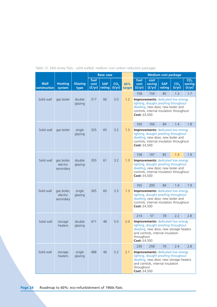|                             |                                      |                        |                        | <b>Base case</b>     |                           |               | <b>Medium cost package</b><br>fuel<br>cost<br>CO <sub>2</sub>                                                                                                                                           |                  |                                                                                                                                                                      |                           |                  |  |
|-----------------------------|--------------------------------------|------------------------|------------------------|----------------------|---------------------------|---------------|---------------------------------------------------------------------------------------------------------------------------------------------------------------------------------------------------------|------------------|----------------------------------------------------------------------------------------------------------------------------------------------------------------------|---------------------------|------------------|--|
| <b>Wall</b><br>construction | <b>Heating</b><br>system             | <b>Glazing</b><br>type | fuel<br>cost<br>(f/yr) | <b>SAP</b><br>rating | CO <sub>2</sub><br>(t/yr) | 60%<br>target | cost<br>(E/yr)                                                                                                                                                                                          | saving<br>(f/yr) | <b>SAP</b><br>rating                                                                                                                                                 | CO <sub>2</sub><br>(t/yr) | saving<br>(t/yr) |  |
|                             |                                      |                        |                        |                      |                           |               | 158                                                                                                                                                                                                     | 159              | 85                                                                                                                                                                   | 1.3                       | 1.7              |  |
| Solid wall                  | gas boiler                           | double<br>glazing      | 317                    | 66                   | 3.0                       | 1.2           | Cost: £4,500                                                                                                                                                                                            |                  | <b>Improvements:</b> dedicated low energy<br>lighting, draught proofing throughout<br>dwelling, new door, new boiler and<br>controls, internal insulation throughout |                           |                  |  |
|                             |                                      |                        |                        |                      |                           |               | 165                                                                                                                                                                                                     | 160              | 84                                                                                                                                                                   | 1.4                       | 1.8              |  |
| Solid wall                  | gas boiler                           | single<br>glazing      | 325                    | 65                   | 3.2                       | 1.3           | <b>Cost: £4,500</b>                                                                                                                                                                                     |                  | <b>Improvements:</b> dedicated low energy<br>lighting, draught proofing throughout<br>dwelling, new door, new boiler and<br>controls, internal insulation throughout |                           |                  |  |
|                             |                                      |                        |                        |                      |                           |               | 158                                                                                                                                                                                                     | 197              | 85                                                                                                                                                                   | 1.3                       | 1.9              |  |
| Solid wall                  | gas boiler,<br>electric<br>secondary | double<br>glazing      | 355                    | 61                   | 3.2                       | 1.3           | <b>Improvements:</b> dedicated low energy<br>lighting, draught proofing throughout<br>dwelling, new door, new boiler and<br>controls, internal insulation throughout<br><b>Cost: £4,500</b>             |                  |                                                                                                                                                                      |                           |                  |  |
|                             |                                      |                        |                        |                      |                           |               | 165                                                                                                                                                                                                     | 200              | 84                                                                                                                                                                   | 1.4                       | 1.9              |  |
| Solid wall                  | gas boiler,<br>electric<br>secondary | single<br>glazing      | 365                    | 60                   | 3.3                       | 1.3           | <b>Cost: £4,500</b>                                                                                                                                                                                     |                  | <b>Improvements:</b> dedicated low energy<br>lighting, draught proofing throughout<br>dwelling, new door, new boiler and<br>controls, internal insulation throughout |                           |                  |  |
|                             |                                      |                        |                        |                      |                           |               | 214                                                                                                                                                                                                     | 57               | 78                                                                                                                                                                   | 2.2                       | 2.8              |  |
| Solid wall                  | storage<br>heaters                   | double<br>glazing      | 471                    | 48                   | 5.0                       | 2.0           | <b>Improvements:</b> dedicated low energy<br>lighting, draught proofing throughout<br>dwelling, new door, new storage heaters<br>and controls, internal insulation<br>throughout<br><b>Cost: £4,500</b> |                  |                                                                                                                                                                      |                           |                  |  |
|                             |                                      |                        |                        |                      |                           |               | 230<br>76<br>2.4<br>2.8<br>258                                                                                                                                                                          |                  |                                                                                                                                                                      |                           |                  |  |
| Solid wall                  | storage<br>heaters                   | single<br>glazing      | 488                    | 46                   | 5.2                       | 2.1           | <b>Improvements:</b> dedicated low energy<br>lighting, draught proofing throughout<br>dwelling, new door, new storage heaters<br>and controls, internal insulation<br>throughout<br>Cost: £4,500        |                  |                                                                                                                                                                      |                           |                  |  |

Table 12: Mid storey flats - solid walled: medium cost carbon reduction packages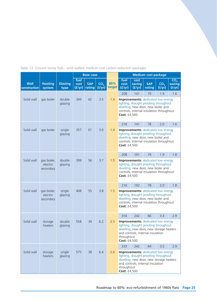|                             |                                      |                   |                        | <b>Base case</b>     |                           |               | <b>Medium cost package</b><br>fuel<br>cost                                                                                                                                                              |                  |                                                                                                                                                                      |                           |                                     |
|-----------------------------|--------------------------------------|-------------------|------------------------|----------------------|---------------------------|---------------|---------------------------------------------------------------------------------------------------------------------------------------------------------------------------------------------------------|------------------|----------------------------------------------------------------------------------------------------------------------------------------------------------------------|---------------------------|-------------------------------------|
| <b>Wall</b><br>construction | <b>Heating</b><br>system             | Glazing<br>type   | fuel<br>cost<br>(f/yr) | <b>SAP</b><br>rating | CO <sub>2</sub><br>(t/yr) | 60%<br>target | cost<br>(f/yr)                                                                                                                                                                                          | saving<br>(f/yr) | <b>SAP</b><br>rating                                                                                                                                                 | CO <sub>2</sub><br>(t/yr) | CO <sub>2</sub><br>saving<br>(t/yr) |
|                             |                                      |                   |                        |                      |                           |               | 208                                                                                                                                                                                                     | 141              | 79                                                                                                                                                                   | 1.9                       | 1.6                                 |
| Solid wall                  | gas boiler                           | double<br>glazing | 349                    | 62                   | 3.5                       | 1.4           | Cost: £4,500                                                                                                                                                                                            |                  | <b>Improvements:</b> dedicated low energy<br>lighting, draught proofing throughout<br>dwelling, new door, new boiler and<br>controls, internal insulation throughout |                           |                                     |
|                             |                                      |                   |                        |                      |                           |               | 216                                                                                                                                                                                                     | 141              | 78                                                                                                                                                                   | 2.0                       | 1.6                                 |
| Solid wall                  | gas boiler                           | single<br>glazing | 357                    | 61                   | 3.6                       | 1.4           | <b>Cost: £4,500</b>                                                                                                                                                                                     |                  | <b>Improvements:</b> dedicated low energy<br>lighting, draught proofing throughout<br>dwelling, new door, new boiler and<br>controls, internal insulation throughout |                           |                                     |
|                             |                                      |                   |                        |                      |                           |               | 208                                                                                                                                                                                                     | 191              | 79                                                                                                                                                                   | 1.9                       | 1.8                                 |
| Solid wall                  | gas boiler,<br>electric<br>secondary | double<br>glazing | 399                    | 56                   | 3.7                       | 1.5           | <b>Improvements:</b> dedicated low energy<br>lighting, draught proofing throughout<br>dwelling, new door, new boiler and<br>controls, internal insulation throughout<br>Cost: £4,500                    |                  |                                                                                                                                                                      |                           |                                     |
|                             |                                      |                   |                        |                      |                           |               | 216                                                                                                                                                                                                     | 192              | 78                                                                                                                                                                   | 2.0                       | 1.8                                 |
| Solid wall                  | gas boiler,<br>electric<br>secondary | single<br>glazing | 408                    | 55                   | 3.8                       | 1.5           | Cost: £4,500                                                                                                                                                                                            |                  | <b>Improvements:</b> dedicated low energy<br>lighting, draught proofing throughout<br>dwelling, new door, new boiler and<br>controls, internal insulation throughout |                           |                                     |
|                             |                                      |                   |                        |                      |                           |               | 316                                                                                                                                                                                                     | 242              | 66                                                                                                                                                                   | 3.3                       | 2.9                                 |
| Solid wall                  | storage<br>heaters                   | double<br>glazing | 558                    | 39                   | 6.2                       | 2.5           | <b>Improvements:</b> dedicated low energy<br>lighting, draught proofing throughout<br>dwelling, new door, new storage heaters<br>and controls, internal insulation<br>throughout<br><b>Cost: £4,500</b> |                  |                                                                                                                                                                      |                           |                                     |
|                             |                                      |                   |                        |                      |                           |               | 333                                                                                                                                                                                                     | 242              | 64                                                                                                                                                                   | 3.5                       | 2.9                                 |
| Solid wall                  | storage<br>heaters                   | single<br>glazing | 575                    | 38                   | 6.4                       | 2.6           | throughout<br>Cost: £4,500                                                                                                                                                                              |                  | <b>Improvements:</b> dedicated low energy<br>lighting, draught proofing throughout<br>dwelling, new door, new storage heaters<br>and controls, internal insulation   |                           |                                     |

Table 13: Ground storey flats - solid walled: medium cost carbon reduction packages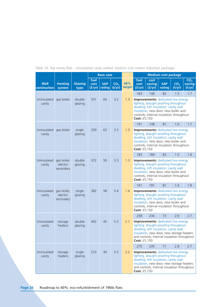|                             |                                      |                        |                        | <b>Base case</b>     |                           |               | <b>Medium cost package</b><br>fuel<br>CO <sub>2</sub><br>cost                                                                                                                                                                                    |                  |                                                                                                                                                                                                                  |                           |                  |  |
|-----------------------------|--------------------------------------|------------------------|------------------------|----------------------|---------------------------|---------------|--------------------------------------------------------------------------------------------------------------------------------------------------------------------------------------------------------------------------------------------------|------------------|------------------------------------------------------------------------------------------------------------------------------------------------------------------------------------------------------------------|---------------------------|------------------|--|
| <b>Wall</b><br>construction | <b>Heating</b><br>system             | <b>Glazing</b><br>type | fuel<br>cost<br>(f/yr) | <b>SAP</b><br>rating | CO <sub>2</sub><br>(t/yr) | 60%<br>target | cost<br>(f/yr)                                                                                                                                                                                                                                   | saving<br>(f/yr) | <b>SAP</b><br>rating                                                                                                                                                                                             | CO <sub>2</sub><br>(t/yr) | saving<br>(t/yr) |  |
|                             |                                      |                        |                        |                      |                           |               | 183                                                                                                                                                                                                                                              | 148              | 82                                                                                                                                                                                                               | 1.5                       | 1.7              |  |
| Uninsulated<br>cavity       | gas boiler                           | double<br>glazing      | 331                    | 64                   | 3.2                       | 1.3           | Cost: £5,150                                                                                                                                                                                                                                     |                  | <b>Improvements:</b> dedicated low energy<br>lighting, draught proofing throughout<br>dwelling, loft insulation, cavity wall<br>insulation, new door, new boiler and<br>controls, internal insulation throughout |                           |                  |  |
|                             |                                      |                        |                        |                      |                           |               | 191                                                                                                                                                                                                                                              | 148              | 81                                                                                                                                                                                                               | 1.6                       | 1.7              |  |
| Uninsulated<br>cavity       | gas boiler                           | single<br>glazing      | 339                    | 63                   | 3.3                       | 1.3           | Cost: £5,150                                                                                                                                                                                                                                     |                  | <b>Improvements:</b> dedicated low energy<br>lighting, draught proofing throughout<br>dwelling, loft insulation, cavity wall<br>insulation, new door, new boiler and<br>controls, internal insulation throughout |                           |                  |  |
|                             |                                      |                        |                        |                      |                           |               | 183                                                                                                                                                                                                                                              | 189              | 82                                                                                                                                                                                                               | 1.5                       | 1.8              |  |
| Uninsulated<br>cavity       | gas boiler,<br>electric<br>secondary | double<br>glazing      | 372                    | 59                   | 3.3                       | 1.3           | <b>Improvements:</b> dedicated low energy<br>lighting, draught proofing throughout<br>dwelling, loft insulation, cavity wall<br>insulation, new door, new boiler and<br>controls, internal insulation throughout<br>Cost: £5,150                 |                  |                                                                                                                                                                                                                  |                           |                  |  |
|                             |                                      |                        |                        |                      |                           |               | 191                                                                                                                                                                                                                                              | 191              | 81                                                                                                                                                                                                               | 1.6                       | 1.8              |  |
| Uninsulated<br>cavity       | gas boiler,<br>electric<br>secondary | single<br>glazing      | 382                    | 58                   | 3.4                       | 1.4           | Cost: £5,150                                                                                                                                                                                                                                     |                  | <b>Improvements:</b> dedicated low energy<br>lighting, draught proofing throughout<br>dwelling, loft insulation, cavity wall<br>insulation, new door, new boiler and<br>controls, internal insulation throughout |                           |                  |  |
|                             |                                      |                        |                        |                      |                           |               | 258                                                                                                                                                                                                                                              | 234              | 73                                                                                                                                                                                                               | 2.6                       | 2.7              |  |
| Uninsulated<br>cavity       | storage<br>heaters                   | double<br>glazing      | 492                    | 45                   | 5.3                       | 2.1           | <b>Improvements:</b> dedicated low energy<br>lighting, draught proofing throughout<br>dwelling, loft insulation, cavity wall<br>insulation, new door, new storage heaters<br>and controls, internal insulation throughout<br><b>Cost: £5,150</b> |                  |                                                                                                                                                                                                                  |                           |                  |  |
|                             |                                      |                        |                        |                      |                           |               | 275                                                                                                                                                                                                                                              | 235              | 71                                                                                                                                                                                                               | 2.8                       | 2.7              |  |
| Uninsulated<br>cavity       | storage<br>heaters                   | single<br>glazing      | 510                    | 44                   | 5.5                       | 2.2           | <b>Improvements:</b> dedicated low energy<br>lighting, draught proofing throughout<br>dwelling, loft insulation, cavity wall<br>insulation, new door, new storage heaters<br>and controls, internal insulation throughout<br>Cost: £5,150        |                  |                                                                                                                                                                                                                  |                           |                  |  |

Table 14: Top storey flats - uninsulated cavity walled: medium cost carbon reduction packages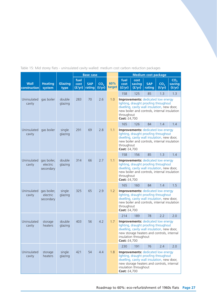|  |  |  |  |  |  | Table 15: Mid storey flats - uninsulated cavity walled: medium cost carbon reduction packages |  |
|--|--|--|--|--|--|-----------------------------------------------------------------------------------------------|--|
|  |  |  |  |  |  |                                                                                               |  |
|  |  |  |  |  |  |                                                                                               |  |

|                             |                                      |                   |                        | <b>Base case</b>     |                           |               | <b>Medium cost package</b><br>fuel<br>cost                                                                                                                                                                               |                  |                                                                                                                                                                                         |                           |                                     |  |
|-----------------------------|--------------------------------------|-------------------|------------------------|----------------------|---------------------------|---------------|--------------------------------------------------------------------------------------------------------------------------------------------------------------------------------------------------------------------------|------------------|-----------------------------------------------------------------------------------------------------------------------------------------------------------------------------------------|---------------------------|-------------------------------------|--|
| <b>Wall</b><br>construction | <b>Heating</b><br>system             | Glazing<br>type   | fuel<br>cost<br>(f/yr) | <b>SAP</b><br>rating | CO <sub>2</sub><br>(t/yr) | 60%<br>target | cost<br>(f/yr)                                                                                                                                                                                                           | saving<br>(f/yr) | <b>SAP</b><br>rating                                                                                                                                                                    | CO <sub>2</sub><br>(t/yr) | CO <sub>2</sub><br>saving<br>(t/yr) |  |
| Uninsulated<br>cavity       | gas boiler                           | double<br>glazing | 283                    | 70                   | 2.6                       | 1.0           | 158<br>throughout<br>Cost: £4,700                                                                                                                                                                                        | 125              | 85<br><b>Improvements:</b> dedicated low energy<br>lighting, draught proofing throughout<br>dwelling, cavity wall insulation, new door,<br>new boiler and controls, internal insulation | 1.3                       | 1.3                                 |  |
|                             |                                      |                   |                        |                      |                           |               | 165                                                                                                                                                                                                                      | 126              | 84                                                                                                                                                                                      | 1.4                       | 1.4                                 |  |
| Uninsulated<br>cavity       | gas boiler                           | single<br>glazing | 291                    | 69                   | 2.8                       | 1.1           | throughout<br>Cost: £4,700                                                                                                                                                                                               |                  | <b>Improvements:</b> dedicated low energy<br>lighting, draught proofing throughout<br>dwelling, cavity wall insulation, new door,<br>new boiler and controls, internal insulation       |                           |                                     |  |
|                             |                                      |                   |                        |                      |                           |               | 158                                                                                                                                                                                                                      | 156              | 85                                                                                                                                                                                      | 1.3                       | 1.4                                 |  |
| Uninsulated<br>cavity       | gas boiler,<br>electric<br>secondary | double<br>glazing | 314                    | 66                   | 2.7                       | 1.1           | <b>Improvements:</b> dedicated low energy<br>lighting, draught proofing throughout<br>dwelling, cavity wall insulation, new door,<br>new boiler and controls, internal insulation<br>throughout<br>Cost: £4,700          |                  |                                                                                                                                                                                         |                           |                                     |  |
|                             |                                      |                   |                        |                      |                           |               | 165                                                                                                                                                                                                                      | 160              | 84                                                                                                                                                                                      | 1.4                       | 1.5                                 |  |
| Uninsulated<br>cavity       | gas boiler,<br>electric<br>secondary | single<br>glazing | 325                    | 65                   | 2.9                       | 1.2           | <b>Improvements:</b> dedicated low energy<br>lighting, draught proofing throughout<br>dwelling, cavity wall insulation, new door,<br>new boiler and controls, internal insulation<br>throughout<br>Cost: £4,700          |                  |                                                                                                                                                                                         |                           |                                     |  |
|                             |                                      |                   |                        |                      |                           |               | 214                                                                                                                                                                                                                      | 189              | 78                                                                                                                                                                                      | 2.2                       | 2.0                                 |  |
| Uninsulated<br>cavity       | storage<br>heaters                   | double<br>glazing | 403                    | 56                   | 4.2                       | 1.7           | <b>Improvements:</b> dedicated low energy<br>lighting, draught proofing throughout<br>dwelling, cavity wall insulation, new door,<br>new storage heaters and controls, internal<br>insulation throughout<br>Cost: £4,700 |                  |                                                                                                                                                                                         |                           |                                     |  |
|                             |                                      |                   |                        |                      |                           |               | 230                                                                                                                                                                                                                      | 191              | 76                                                                                                                                                                                      | 2.4                       | 2.0                                 |  |
| Uninsulated<br>cavity       | storage<br>heaters                   | single<br>glazing | 421                    | 54                   | 4.4                       | 1.8           | <b>Improvements:</b> dedicated low energy<br>lighting, draught proofing throughout<br>dwelling, cavity wall insulation, new door,<br>new storage heaters and controls, internal<br>insulation throughout<br>Cost: £4,700 |                  |                                                                                                                                                                                         |                           |                                     |  |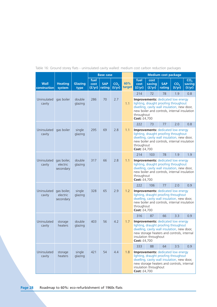|                             |                                      |                        |                        | <b>Base case</b>     |                           |               | <b>Medium cost package</b><br>fuel<br>cost                                                                                                                                                                                      |                       |                                                                                                                                                                                   |                           |                                     |  |
|-----------------------------|--------------------------------------|------------------------|------------------------|----------------------|---------------------------|---------------|---------------------------------------------------------------------------------------------------------------------------------------------------------------------------------------------------------------------------------|-----------------------|-----------------------------------------------------------------------------------------------------------------------------------------------------------------------------------|---------------------------|-------------------------------------|--|
| <b>Wall</b><br>construction | <b>Heating</b><br>system             | <b>Glazing</b><br>type | fuel<br>cost<br>(f/yr) | <b>SAP</b><br>rating | CO <sub>2</sub><br>(t/yr) | 60%<br>target | cost<br>(f/yr)                                                                                                                                                                                                                  | saving<br>(f/yr)      | <b>SAP</b><br>rating                                                                                                                                                              | CO <sub>2</sub><br>(t/yr) | CO <sub>2</sub><br>saving<br>(t/yr) |  |
|                             |                                      |                        |                        |                      |                           |               | 214                                                                                                                                                                                                                             | 72                    | 78                                                                                                                                                                                | 1.9                       | 0.8                                 |  |
| Uninsulated<br>cavity       | gas boiler                           | double<br>glazing      | 286                    | 70                   | 2.7                       | 1.1           | throughout<br>Cost: £4,700                                                                                                                                                                                                      |                       | <b>Improvements:</b> dedicated low energy<br>lighting, draught proofing throughout<br>dwelling, cavity wall insulation, new door,<br>new boiler and controls, internal insulation |                           |                                     |  |
|                             |                                      |                        |                        |                      |                           |               | 222                                                                                                                                                                                                                             | 73                    | 77                                                                                                                                                                                | 2.0                       | 0.8                                 |  |
| Uninsulated<br>cavity       | gas boiler                           | single<br>glazing      | 295                    | 69                   | 2.8                       | 1.1           | throughout<br>Cost: £4,700                                                                                                                                                                                                      |                       | Improvements: dedicated low energy<br>lighting, draught proofing throughout<br>dwelling, cavity wall insulation, new door,<br>new boiler and controls, internal insulation        |                           |                                     |  |
|                             |                                      |                        |                        |                      |                           |               | 214                                                                                                                                                                                                                             | 103                   | 78                                                                                                                                                                                | 1.9                       | 1.9                                 |  |
| Uninsulated<br>cavity       | gas boiler,<br>electric<br>secondary | double<br>glazing      | 317                    | 66                   | 2.8                       | 1.1           | <b>Improvements:</b> dedicated low energy<br>lighting, draught proofing throughout<br>dwelling, cavity wall insulation, new door,<br>new boiler and controls, internal insulation<br>throughout<br>Cost: £4,700                 |                       |                                                                                                                                                                                   |                           |                                     |  |
|                             |                                      |                        |                        |                      |                           |               | 222                                                                                                                                                                                                                             | 106                   | 77                                                                                                                                                                                | 2.0                       | 0.9                                 |  |
| Uninsulated<br>cavity       | gas boiler,<br>electric<br>secondary | single<br>glazing      | 328                    | 65                   | 2.9                       | 1.2           | throughout<br>Cost: £4,700                                                                                                                                                                                                      |                       | <b>Improvements:</b> dedicated low energy<br>lighting, draught proofing throughout<br>dwelling, cavity wall insulation, new door,<br>new boiler and controls, internal insulation |                           |                                     |  |
|                             |                                      |                        |                        |                      |                           |               | 316                                                                                                                                                                                                                             | 87                    | 66                                                                                                                                                                                | 3.3                       | 0.9                                 |  |
| Uninsulated<br>cavity       | storage<br>heaters                   | double<br>glazing      | 403                    | 56                   | 4.2                       | 1.7           | <b>Improvements:</b> dedicated low energy<br>lighting, draught proofing throughout<br>dwelling, cavity wall insulation, new door,<br>new storage heaters and controls, internal<br>insulation throughout<br><b>Cost: £4,700</b> |                       |                                                                                                                                                                                   |                           |                                     |  |
|                             |                                      |                        |                        |                      |                           |               | 333                                                                                                                                                                                                                             | 88                    | 64                                                                                                                                                                                | 3.5                       | 0.9                                 |  |
| Uninsulated<br>cavity       | storage<br>heaters                   | single<br>glazing      | 421                    | 54                   | 4.4                       | 1.8           | Cost: £4,700                                                                                                                                                                                                                    | insulation throughout | <b>Improvements:</b> dedicated low energy<br>lighting, draught proofing throughout<br>dwelling, cavity wall insulation, new door,<br>new storage heaters and controls, internal   |                           |                                     |  |

Table 16: Ground storey flats - uninsulated cavity walled: medium cost carbon reduction packages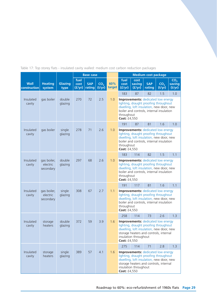|  |  |  |  |  |  | Table 17: Top storey flats - insulated cavity walled: medium cost carbon reduction packages |  |
|--|--|--|--|--|--|---------------------------------------------------------------------------------------------|--|
|  |  |  |  |  |  |                                                                                             |  |
|  |  |  |  |  |  |                                                                                             |  |
|  |  |  |  |  |  |                                                                                             |  |

|                             |                                      |                   |                        | <b>Base case</b>     |                           |               | <b>Medium cost package</b><br>fuel<br>cost<br>CO <sub>2</sub>                                                                                                                                                     |                  |                                                                                                                                                                            |                           |                  |  |
|-----------------------------|--------------------------------------|-------------------|------------------------|----------------------|---------------------------|---------------|-------------------------------------------------------------------------------------------------------------------------------------------------------------------------------------------------------------------|------------------|----------------------------------------------------------------------------------------------------------------------------------------------------------------------------|---------------------------|------------------|--|
| <b>Wall</b><br>construction | <b>Heating</b><br>system             | Glazing<br>type   | fuel<br>cost<br>(f/yr) | <b>SAP</b><br>rating | CO <sub>2</sub><br>(t/yr) | 60%<br>target | cost<br>(f/yr)                                                                                                                                                                                                    | saving<br>(f/yr) | <b>SAP</b><br>rating                                                                                                                                                       | CO <sub>2</sub><br>(t/yr) | saving<br>(t/yr) |  |
|                             |                                      |                   |                        |                      |                           |               | 183                                                                                                                                                                                                               | 87               | 82                                                                                                                                                                         | 1.5                       | 1.0              |  |
| Insulated<br>cavity         | gas boiler                           | double<br>glazing | 270                    | 72                   | 2.5                       | 1.0           | throughout<br>Cost: £4,550                                                                                                                                                                                        |                  | <b>Improvements:</b> dedicated low energy<br>lighting, draught proofing throughout<br>dwelling, loft insulation, new door, new<br>boiler and controls, internal insulation |                           |                  |  |
|                             |                                      |                   |                        |                      |                           |               | 191                                                                                                                                                                                                               | 87               | 81                                                                                                                                                                         | 1.6                       | 1.0              |  |
| Insulated<br>cavity         | gas boiler                           | single<br>glazing | 278                    | 71                   | 2.6                       | 1.0           | throughout<br>Cost: £4,550                                                                                                                                                                                        |                  | <b>Improvements:</b> dedicated low energy<br>lighting, draught proofing throughout<br>dwelling, loft insulation, new door, new<br>boiler and controls, internal insulation |                           |                  |  |
|                             |                                      |                   |                        |                      |                           |               | 183                                                                                                                                                                                                               | 114              | 82                                                                                                                                                                         | 1.5                       | 1.1              |  |
| Insulated<br>cavity         | gas boiler,<br>electric<br>secondary | double<br>glazing | 297                    | 68                   | 2.6                       | 1.0           | <b>Improvements:</b> dedicated low energy<br>lighting, draught proofing throughout<br>dwelling, loft insulation, new door, new<br>boiler and controls, internal insulation<br>throughout<br>Cost: £4,550          |                  |                                                                                                                                                                            |                           |                  |  |
|                             |                                      |                   |                        |                      |                           |               | 191                                                                                                                                                                                                               | 117              | 81                                                                                                                                                                         | 1.6                       | 1.1              |  |
| Insulated<br>cavity         | gas boiler,<br>electric<br>secondary | single<br>glazing | 308                    | 67                   | 2.7                       | 1.1           | throughout<br>Cost: £4,550                                                                                                                                                                                        |                  | <b>Improvements:</b> dedicated low energy<br>lighting, draught proofing throughout<br>dwelling, loft insulation, new door, new<br>boiler and controls, internal insulation |                           |                  |  |
|                             |                                      |                   |                        |                      |                           |               | 258                                                                                                                                                                                                               | 114              | 73                                                                                                                                                                         | 2.6                       | 1.3              |  |
| Insulated<br>cavity         | storage<br>heaters                   | double<br>glazing | 372                    | 59                   | 3.9                       | 1.6           | <b>Improvements:</b> dedicated low energy<br>lighting, draught proofing throughout<br>dwelling, loft insulation, new door, new<br>storage heaters and controls, internal<br>insulation throughout<br>Cost: £4,550 |                  |                                                                                                                                                                            |                           |                  |  |
|                             |                                      |                   |                        |                      |                           |               | 1.3<br>275<br>114<br>71<br>2.8                                                                                                                                                                                    |                  |                                                                                                                                                                            |                           |                  |  |
| Insulated<br>cavity         | storage<br>heaters                   | single<br>glazing | 389                    | 57                   | 4.1                       | 1.6           | <b>Improvements:</b> dedicated low energy<br>lighting, draught proofing throughout<br>dwelling, loft insulation, new door, new<br>storage heaters and controls, internal<br>insulation throughout<br>Cost: £4,550 |                  |                                                                                                                                                                            |                           |                  |  |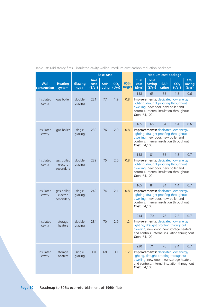|                             |                                      |                   |                        | <b>Base case</b>     |                           |               | <b>Medium cost package</b>                                                                                                                                                                    |                          |                                                                                                                                                                      |                           |                                     |  |  |
|-----------------------------|--------------------------------------|-------------------|------------------------|----------------------|---------------------------|---------------|-----------------------------------------------------------------------------------------------------------------------------------------------------------------------------------------------|--------------------------|----------------------------------------------------------------------------------------------------------------------------------------------------------------------|---------------------------|-------------------------------------|--|--|
| <b>Wall</b><br>construction | <b>Heating</b><br>system             | Glazing<br>type   | fuel<br>cost<br>(f/yr) | <b>SAP</b><br>rating | CO <sub>2</sub><br>(t/yr) | 60%<br>target | fuel<br>cost<br>(f/yr)                                                                                                                                                                        | cost<br>saving<br>(f/yr) | <b>SAP</b><br>rating                                                                                                                                                 | CO <sub>2</sub><br>(t/yr) | CO <sub>2</sub><br>saving<br>(t/yr) |  |  |
|                             |                                      |                   |                        |                      |                           |               | 158                                                                                                                                                                                           | 63                       | 85                                                                                                                                                                   | 1.3                       | 0.6                                 |  |  |
| Insulated<br>cavity         | gas boiler                           | double<br>glazing | 221                    | 77                   | 1.9                       | 0.8           | Cost: £4,100                                                                                                                                                                                  |                          | <b>Improvements:</b> dedicated low energy<br>lighting, draught proofing throughout<br>dwelling, new door, new boiler and<br>controls, internal insulation throughout |                           |                                     |  |  |
|                             |                                      |                   |                        |                      |                           |               | 165                                                                                                                                                                                           | 65                       | 84                                                                                                                                                                   | 1.4                       | 0.6                                 |  |  |
| Insulated<br>cavity         | gas boiler                           | single<br>glazing | 230                    | 76                   | 2.0                       | 0.8           | Cost: £4,100                                                                                                                                                                                  |                          | <b>Improvements:</b> dedicated low energy<br>lighting, draught proofing throughout<br>dwelling, new door, new boiler and<br>controls, internal insulation throughout |                           |                                     |  |  |
|                             |                                      |                   |                        |                      |                           |               | 158                                                                                                                                                                                           | 81                       | 85                                                                                                                                                                   | 1.3                       | 0.7                                 |  |  |
| Insulated<br>cavity         | gas boiler,<br>electric<br>secondary | double<br>glazing | 239                    | 75                   | 2.0                       | 0.8           | <b>Improvements:</b> dedicated low energy<br>lighting, draught proofing throughout<br>dwelling, new door, new boiler and<br>controls, internal insulation throughout<br><b>Cost: £4,100</b>   |                          |                                                                                                                                                                      |                           |                                     |  |  |
|                             |                                      |                   |                        |                      |                           |               | 165                                                                                                                                                                                           | 84                       | 84                                                                                                                                                                   | 1.4                       | 0.7                                 |  |  |
| Insulated<br>cavity         | gas boiler,<br>electric<br>secondary | single<br>glazing | 249                    | 74                   | 2.1                       | 0.8           | <b>Cost: £4,100</b>                                                                                                                                                                           |                          | <b>Improvements:</b> dedicated low energy<br>lighting, draught proofing throughout<br>dwelling, new door, new boiler and<br>controls, internal insulation throughout |                           |                                     |  |  |
|                             |                                      |                   |                        |                      |                           |               | 214                                                                                                                                                                                           | 70                       | 78                                                                                                                                                                   | 2.2                       | 0.7                                 |  |  |
| Insulated<br>cavity         | storage<br>heaters                   | double<br>glazing | 284                    | 70                   | 2.9                       | 1.2           | <b>Improvements:</b> dedicated low energy<br>lighting, draught proofing throughout<br>dwelling, new door, new storage heaters<br>and controls, internal insulation throughout<br>Cost: £4,100 |                          |                                                                                                                                                                      |                           |                                     |  |  |
|                             |                                      |                   |                        |                      |                           |               | 230                                                                                                                                                                                           | 71                       | 76                                                                                                                                                                   | 2.4                       | 0.7                                 |  |  |
| Insulated<br>cavity         | storage<br>heaters                   | single<br>glazing | 301                    | 68                   | 3.1                       | 1.2           | <b>Improvements:</b> dedicated low energy<br>lighting, draught proofing throughout<br>dwelling, new door, new storage heaters<br>and controls, internal insulation throughout<br>Cost: £4,100 |                          |                                                                                                                                                                      |                           |                                     |  |  |

Table 18: Mid storey flats - insulated cavity walled: medium cost carbon reduction packages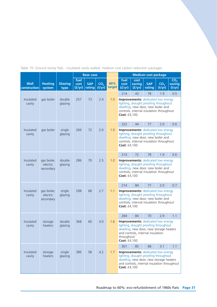## Table 19: Ground storey flats - insulated cavity walled: medium cost carbon reduction packages

|                             |                                      |                   |                        | <b>Base case</b>     |                           |               | <b>Medium cost package</b>                                                                                                                                                                    |                          |                                                                                                                                                                      |                           |                                     |  |  |
|-----------------------------|--------------------------------------|-------------------|------------------------|----------------------|---------------------------|---------------|-----------------------------------------------------------------------------------------------------------------------------------------------------------------------------------------------|--------------------------|----------------------------------------------------------------------------------------------------------------------------------------------------------------------|---------------------------|-------------------------------------|--|--|
| <b>Wall</b><br>construction | <b>Heating</b><br>system             | Glazing<br>type   | fuel<br>cost<br>(f/yr) | <b>SAP</b><br>rating | CO <sub>2</sub><br>(t/yr) | 60%<br>target | fuel<br>cost<br>(f/yr)                                                                                                                                                                        | cost<br>saving<br>(f/yr) | <b>SAP</b><br>rating                                                                                                                                                 | CO <sub>2</sub><br>(t/yr) | CO <sub>2</sub><br>saving<br>(t/yr) |  |  |
|                             |                                      |                   |                        |                      |                           |               | 214                                                                                                                                                                                           | 43                       | 78                                                                                                                                                                   | 1.9                       | 0.5                                 |  |  |
| Insulated<br>cavity         | gas boiler                           | double<br>glazing | 257                    | 73                   | 2.4                       | 1.0           | Cost: £4,100                                                                                                                                                                                  |                          | <b>Improvements:</b> dedicated low energy<br>lighting, draught proofing throughout<br>dwelling, new door, new boiler and<br>controls, internal insulation throughout |                           |                                     |  |  |
|                             |                                      |                   |                        |                      |                           |               | 222                                                                                                                                                                                           | 44                       | 77                                                                                                                                                                   | 2.0                       | 0.6                                 |  |  |
| Insulated<br>cavity         | gas boiler                           | single<br>glazing | 266                    | 72                   | 2.6                       | 1.0           | Cost: £4,100                                                                                                                                                                                  |                          | <b>Improvements:</b> dedicated low energy<br>lighting, draught proofing throughout<br>dwelling, new door, new boiler and<br>controls, internal insulation throughout |                           |                                     |  |  |
|                             |                                      |                   |                        |                      |                           |               | 214                                                                                                                                                                                           | 72                       | 78                                                                                                                                                                   | 1.9                       | 0.6                                 |  |  |
| Insulated<br>cavity         | gas boiler,<br>electric<br>secondary | double<br>glazing | 286                    | 70                   | 2.5                       | 1.0           | <b>Improvements:</b> dedicated low energy<br>lighting, draught proofing throughout<br>dwelling, new door, new boiler and<br>controls, internal insulation throughout<br>Cost: £4,100          |                          |                                                                                                                                                                      |                           |                                     |  |  |
|                             |                                      |                   |                        |                      |                           |               | 214                                                                                                                                                                                           | 84                       | 77                                                                                                                                                                   | 2.0                       | 0.7                                 |  |  |
| Insulated<br>cavity         | gas boiler,<br>electric<br>secondary | single<br>glazing | 298                    | 68                   | 2.7                       | 1.1           | <b>Improvements:</b> dedicated low energy<br>lighting, draught proofing throughout<br>dwelling, new door, new boiler and<br>controls, internal insulation throughout<br><b>Cost: £4,100</b>   |                          |                                                                                                                                                                      |                           |                                     |  |  |
|                             |                                      |                   |                        |                      |                           |               | 284                                                                                                                                                                                           | 84                       | 70                                                                                                                                                                   | 2.9                       | 1.1                                 |  |  |
| Insulated<br>cavity         | storage<br>heaters                   | double<br>glazing | 368                    | 60                   | 4.0                       | 1.6           | Improvements: dedicated low energy<br>lighting, draught proofing throughout<br>dwelling, new door, new storage heaters<br>and controls, internal insulation<br>throughout<br>Cost: £4,100     |                          |                                                                                                                                                                      |                           |                                     |  |  |
|                             |                                      |                   |                        |                      |                           |               | 301                                                                                                                                                                                           | 85                       | 68                                                                                                                                                                   | 3.1                       | 1.1                                 |  |  |
| Insulated<br>cavity         | storage<br>heaters                   | single<br>glazing | 386                    | 58                   | 4.2                       | 1.7           | <b>Improvements:</b> dedicated low energy<br>lighting, draught proofing throughout<br>dwelling, new door, new storage heaters<br>and controls, internal insulation throughout<br>Cost: £4,100 |                          |                                                                                                                                                                      |                           |                                     |  |  |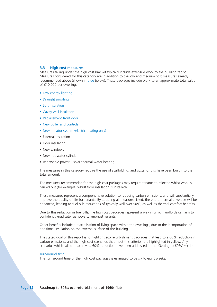## **3.3 High cost measures**

Measures falling under the high cost bracket typically include extensive work to the building fabric. Measures considered for this category are in addition to the low and medium cost measures already recommended above (shown in blue below). These packages include work to an approximate total value of £10,000 per dwelling.

- Low energy lighting
- Draught proofing
- Loft insulation
- Cavity wall insulation
- Replacement front door
- New boiler and controls
- New radiator system (electric heating only)
- External insulation
- Floor insulation
- New windows
- New hot water cylinder
- Renewable power solar thermal water heating

The measures in this category require the use of scaffolding, and costs for this have been built into the total amount.

The measures recommended for the high cost packages may require tenants to relocate whilst work is carried out (for example, whilst floor insulation is installed).

These measures represent a comprehensive solution to reducing carbon emissions, and will substantially improve the quality of life for tenants. By adopting all measures listed, the entire thermal envelope will be enhanced, leading to fuel bills reductions of typically well over 50%, as well as thermal comfort benefits.

Due to this reduction in fuel bills, the high cost packages represent a way in which landlords can aim to confidently eradicate fuel poverty amongst tenants.

Other benefits include a maximisation of living space within the dwellings, due to the incorporation of additional insulation on the external surface of the building.

The stated goal of this report is to highlight eco refurbishment packages that lead to a 60% reduction in carbon emissions, and the high cost scenarios that meet this criterion are highlighted in yellow. Any scenarios which failed to achieve a 60% reduction have been addressed in the 'Getting to 60%' section.

### Turnaround time

The turnaround time of the high cost packages is estimated to be six to eight weeks.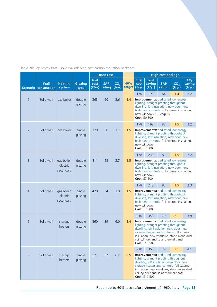Table 20: Top storey flats - solid walled: high cost carbon reduction packages

|                 |                                      |                                      |                   |                        | <b>Base case</b>     |                           |                      | <b>High cost package</b>                                                                                                                                                                                                                                                             |                                                                                                                                                                                                            |                      |                           |                                     |
|-----------------|--------------------------------------|--------------------------------------|-------------------|------------------------|----------------------|---------------------------|----------------------|--------------------------------------------------------------------------------------------------------------------------------------------------------------------------------------------------------------------------------------------------------------------------------------|------------------------------------------------------------------------------------------------------------------------------------------------------------------------------------------------------------|----------------------|---------------------------|-------------------------------------|
|                 | <b>Wall</b><br>Scenario construction | <b>Heating</b><br>system             | Glazing<br>type   | fuel<br>cost<br>(f/yr) | <b>SAP</b><br>rating | CO <sub>2</sub><br>(t/yr) | 60%<br>target (f/yr) | fuel<br>cost                                                                                                                                                                                                                                                                         | cost<br>saving<br>(f/yr)                                                                                                                                                                                   | <b>SAP</b><br>rating | CO <sub>2</sub><br>(t/yr) | CO <sub>2</sub><br>saving<br>(t/yr) |
|                 |                                      |                                      |                   |                        |                      |                           |                      | 170                                                                                                                                                                                                                                                                                  | 193                                                                                                                                                                                                        | 84                   | 1.4                       | 2.2                                 |
| $\mathbf{1}$    | Solid wall                           | gas boiler                           | double<br>glazing | 363                    | 60                   | 3.6                       | 1.4                  | Cost: £9,300                                                                                                                                                                                                                                                                         | <b>Improvements:</b> dedicated low energy<br>lighting, draught proofing throughout<br>dwelling, loft insulation, new door, new<br>boiler and controls, full external insulation,<br>new windows, 0.1kWp PV |                      |                           |                                     |
|                 |                                      |                                      |                   |                        |                      |                           |                      | 178                                                                                                                                                                                                                                                                                  | 192                                                                                                                                                                                                        | 83                   | 1.5                       | 2.2                                 |
| $\overline{2}$  | Solid wall                           | gas boiler                           | single<br>glazing | 370                    | 60                   | 3.7                       | 1.5                  | Cost: £7,500                                                                                                                                                                                                                                                                         | <b>Improvements:</b> dedicated low energy<br>lighting, draught proofing throughout<br>dwelling, loft insulation, new door, new<br>boiler and controls, full external insulation,<br>new windows            |                      |                           |                                     |
|                 |                                      |                                      |                   |                        |                      |                           |                      | 178                                                                                                                                                                                                                                                                                  | 233                                                                                                                                                                                                        | 83                   | 1.5                       | 2.2                                 |
| $\overline{3}$  | Solid wall                           | gas boiler,<br>electric<br>secondary | double<br>glazing | 411                    | 55                   | 3.7                       | 1.5                  | <b>Improvements:</b> dedicated low energy<br>lighting, draught proofing throughout<br>dwelling, loft insulation, new door, new<br>boiler and controls, full external insulation,<br>new windows<br><b>Cost: £7,500</b>                                                               |                                                                                                                                                                                                            |                      |                           |                                     |
|                 |                                      |                                      |                   |                        |                      |                           |                      | 178                                                                                                                                                                                                                                                                                  | 242                                                                                                                                                                                                        | 83                   | 1.5                       | 2.3                                 |
| $\overline{4}$  | Solid wall                           | gas boiler,<br>electric<br>secondary | single<br>glazing | 420                    | 54                   | 3.8                       | 1.5                  | Cost: £7,500                                                                                                                                                                                                                                                                         | <b>Improvements:</b> dedicated low energy<br>lighting, draught proofing throughout<br>dwelling, loft insulation, new door, new<br>boiler and controls, full external insulation,<br>new windows            |                      |                           |                                     |
|                 |                                      |                                      |                   |                        |                      |                           |                      | 210                                                                                                                                                                                                                                                                                  | 350                                                                                                                                                                                                        | 79                   | 2.1                       | 3.9                                 |
| 5               | Solid wall                           | storage<br>heaters                   | double<br>glazing | 560                    | 39                   | 6.0                       | 2.4                  | <b>Improvements:</b> dedicated low energy<br>lighting, draught proofing throughout<br>dwelling, loft insulation, new door, new<br>storage heaters and controls, full external<br>insulation, new windows, stand alone dual<br>coil cylinder and solar thermal panel<br>Cost: £10,500 |                                                                                                                                                                                                            |                      |                           |                                     |
|                 |                                      |                                      |                   |                        |                      |                           |                      | 210                                                                                                                                                                                                                                                                                  | 367                                                                                                                                                                                                        | 79                   | 2.1                       | 4.1                                 |
| $6\phantom{1}6$ | Solid wall                           | storage<br>heaters                   | single<br>glazing | 577                    | 37                   | 6.2                       | 2.5                  | <b>Improvements:</b> dedicated low energy<br>lighting, draught proofing throughout<br>dwelling, loft insulation, new door, new<br>storage heaters and controls, full external<br>insulation, new windows, stand alone dual<br>coil cylinder and solar thermal panel<br>Cost: £10,500 |                                                                                                                                                                                                            |                      |                           |                                     |

Roadmap to 60%: eco-refurbishment of 1960s flats **Page 33**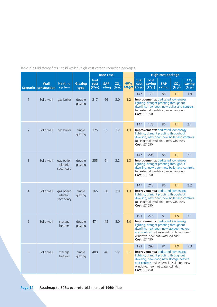Table 21: Mid storey flats - solid walled: high cost carbon reduction packages

|                |                                      |                                      |                   |                        | <b>Base case</b>     |                           |                      | <b>High cost package</b><br>fuel<br>cost<br>CO <sub>2</sub>                                                                                                                                                                     |                  |                      |                                                                                                                                                                             |                  |  |
|----------------|--------------------------------------|--------------------------------------|-------------------|------------------------|----------------------|---------------------------|----------------------|---------------------------------------------------------------------------------------------------------------------------------------------------------------------------------------------------------------------------------|------------------|----------------------|-----------------------------------------------------------------------------------------------------------------------------------------------------------------------------|------------------|--|
|                | <b>Wall</b><br>Scenario construction | <b>Heating</b><br>system             | Glazing<br>type   | fuel<br>cost<br>(f/yr) | <b>SAP</b><br>rating | CO <sub>2</sub><br>(t/yr) | 60%<br>target (£/yr) | cost                                                                                                                                                                                                                            | saving<br>(f/yr) | <b>SAP</b><br>rating | CO <sub>2</sub><br>(t/yr)                                                                                                                                                   | saving<br>(t/yr) |  |
|                |                                      |                                      |                   |                        |                      |                           |                      | 147                                                                                                                                                                                                                             | 170              | 86                   | 1.1                                                                                                                                                                         | 1.9              |  |
| $\mathbf{1}$   | Solid wall                           | gas boiler                           | double<br>glazing | 317                    | 66                   | 3.0                       | 1.2                  | Cost: £7,050                                                                                                                                                                                                                    |                  |                      | <b>Improvements:</b> dedicated low energy<br>lighting, draught proofing throughout<br>dwelling, new door, new boiler and controls,<br>full external insulation, new windows |                  |  |
|                |                                      |                                      |                   |                        |                      |                           |                      | 147                                                                                                                                                                                                                             | 178              | 86                   | 1.1                                                                                                                                                                         | 2.1              |  |
| $\overline{2}$ | Solid wall                           | gas boiler                           | single<br>glazing | 325                    | 65                   | 3.2                       | 1.3                  | Cost: £7,050                                                                                                                                                                                                                    |                  |                      | <b>Improvements:</b> dedicated low energy<br>lighting, draught proofing throughout<br>dwelling, new door, new boiler and controls,<br>full external insulation, new windows |                  |  |
|                |                                      |                                      |                   |                        |                      |                           |                      | 147                                                                                                                                                                                                                             | 208              | 86                   | 1.1                                                                                                                                                                         | 2.1              |  |
| $\overline{3}$ | Solid wall                           | gas boiler,<br>electric<br>secondary | double<br>glazing | 355                    | 61                   | 3.2                       | 1.3                  | <b>Improvements:</b> dedicated low energy<br>lighting, draught proofing throughout<br>dwelling, new door, new boiler and controls,<br>full external insulation, new windows<br>Cost: £7,050                                     |                  |                      |                                                                                                                                                                             |                  |  |
|                |                                      |                                      |                   |                        |                      |                           |                      | 147                                                                                                                                                                                                                             | 218              | 86                   | 1.1                                                                                                                                                                         | 2.2              |  |
| $\overline{4}$ | Solid wall                           | gas boiler,<br>electric<br>secondary | single<br>glazing | 365                    | 60                   | 3.3                       | 1.3                  | Cost: £7,050                                                                                                                                                                                                                    |                  |                      | <b>Improvements:</b> dedicated low energy<br>lighting, draught proofing throughout<br>dwelling, new door, new boiler and controls,<br>full external insulation, new windows |                  |  |
|                |                                      |                                      |                   |                        |                      |                           |                      | 193                                                                                                                                                                                                                             | 278              | 81                   | 1.9                                                                                                                                                                         | 3.1              |  |
| 5              | Solid wall                           | storage<br>heaters                   | double<br>glazing | 471                    | 48                   | 5.0                       | 2.0                  | <b>Improvements:</b> dedicated low energy<br>lighting, draught proofing throughout<br>dwelling, new door, new storage heaters<br>and controls, full external insulation, new<br>windows, new hot water cylinder<br>Cost: £7,450 |                  |                      |                                                                                                                                                                             |                  |  |
|                |                                      |                                      |                   |                        |                      |                           |                      | 193                                                                                                                                                                                                                             | 295              | 81                   | 1.9                                                                                                                                                                         | 3.3              |  |
| $\sqrt{6}$     | Solid wall                           | storage<br>heaters                   | single<br>glazing | 488                    | 46                   | 5.2                       | 2.1                  | <b>Improvements:</b> dedicated low energy<br>lighting, draught proofing throughout<br>dwelling, new door, new storage heaters<br>and controls, full external insulation, new<br>windows, new hot water cylinder<br>Cost: £7,450 |                  |                      |                                                                                                                                                                             |                  |  |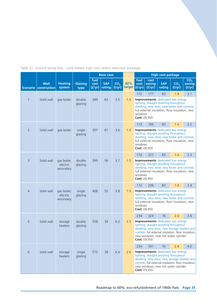Table 22: Ground storey flats - solid walled: high cost carbon reduction packages

|                |                                      |                                      |                   |                        | <b>Base case</b>     |                           |                      | <b>High cost package</b>                                                                                                                                                                                                                                                                        |                          |                      |                                                                                                                                                                                       |                                     |  |
|----------------|--------------------------------------|--------------------------------------|-------------------|------------------------|----------------------|---------------------------|----------------------|-------------------------------------------------------------------------------------------------------------------------------------------------------------------------------------------------------------------------------------------------------------------------------------------------|--------------------------|----------------------|---------------------------------------------------------------------------------------------------------------------------------------------------------------------------------------|-------------------------------------|--|
|                | <b>Wall</b><br>Scenario construction | <b>Heating</b><br>system             | Glazing<br>type   | fuel<br>cost<br>(f/yr) | <b>SAP</b><br>rating | CO <sub>2</sub><br>(t/yr) | 60%<br>target (£/yr) | fuel<br>cost                                                                                                                                                                                                                                                                                    | cost<br>saving<br>(f/yr) | <b>SAP</b><br>rating | CO <sub>2</sub><br>(t/yr)                                                                                                                                                             | CO <sub>2</sub><br>saving<br>(t/yr) |  |
|                |                                      |                                      |                   |                        |                      |                           |                      | 172                                                                                                                                                                                                                                                                                             | 177                      | 83                   | 1.4                                                                                                                                                                                   | 2.1                                 |  |
| $\mathbf{1}$   | Solid wall                           | gas boiler                           | double<br>glazing | 349                    | 62                   | 3.5                       | 1.4                  | windows<br>Cost: £8,950                                                                                                                                                                                                                                                                         |                          |                      | Improvements: dedicated low energy<br>lighting, draught proofing throughout<br>dwelling, new door, new boiler and controls,<br>full external insulation, floor insulation, new        |                                     |  |
|                |                                      |                                      |                   |                        |                      |                           |                      | 172                                                                                                                                                                                                                                                                                             | 185                      | 83                   | 1.4                                                                                                                                                                                   | 2.2                                 |  |
| $\overline{2}$ | Solid wall                           | gas boiler                           | single<br>glazing | 357                    | 61                   | 3.6                       | 1.4                  | <b>Improvements:</b> dedicated low energy<br>lighting, draught proofing throughout<br>dwelling, new door, new boiler and controls,<br>full external insulation, floor insulation, new<br>windows<br><b>Cost: £8,950</b><br>83<br>172<br>227<br>1.4<br><b>Improvements:</b> dedicated low energy |                          |                      |                                                                                                                                                                                       |                                     |  |
|                |                                      |                                      |                   |                        |                      |                           |                      |                                                                                                                                                                                                                                                                                                 |                          |                      |                                                                                                                                                                                       | 2.3                                 |  |
| $\overline{3}$ | Solid wall                           | gas boiler,<br>electric<br>secondary | double<br>glazing | 399                    | 56                   | 3.7                       | 1.5                  | lighting, draught proofing throughout<br>dwelling, new door, new boiler and controls,<br>full external insulation, floor insulation, new<br>windows<br>Cost: £8,950                                                                                                                             |                          |                      |                                                                                                                                                                                       |                                     |  |
|                |                                      |                                      |                   |                        |                      |                           |                      | 172                                                                                                                                                                                                                                                                                             | 236                      | 83                   | 1.4                                                                                                                                                                                   | 2.4                                 |  |
| $\overline{4}$ | Solid wall                           | gas boiler,<br>electric<br>secondary | single<br>glazing | 408                    | 55                   | 3.8                       | 1.5                  | windows<br>Cost: £8,950                                                                                                                                                                                                                                                                         |                          |                      | <b>Improvements:</b> dedicated low energy<br>lighting, draught proofing throughout<br>dwelling, new door, new boiler and controls,<br>full external insulation, floor insulation, new |                                     |  |
|                |                                      |                                      |                   |                        |                      |                           |                      | 234                                                                                                                                                                                                                                                                                             | 324                      | 76                   | 2.4                                                                                                                                                                                   | 3.8                                 |  |
| 5              | Solid wall                           | storage<br>heaters                   | double<br>glazing | 558                    | 39                   | 6.2                       | 2.5                  | <b>Improvements:</b> dedicated low energy<br>lighting, draught proofing throughout<br>dwelling, new door, new storage heaters and<br>controls, full external insulation, floor insulation,<br>new windows, new hot water cylinder<br><b>Cost: £9,350</b>                                        |                          |                      |                                                                                                                                                                                       |                                     |  |
|                |                                      |                                      |                   |                        |                      |                           |                      | 234                                                                                                                                                                                                                                                                                             | 341                      | 76                   | 2.4                                                                                                                                                                                   | 4.0                                 |  |
| $6\,$          | Solid wall                           | storage<br>heaters                   | single<br>glazing | 575                    | 38                   | 6.4                       | 2.6                  | <b>Improvements:</b> dedicated low energy<br>lighting, draught proofing throughout<br>dwelling, new door, new storage heaters and<br>controls, full external insulation, floor insulation,<br>new windows, new hot water cylinder<br>Cost: £9,350                                               |                          |                      |                                                                                                                                                                                       |                                     |  |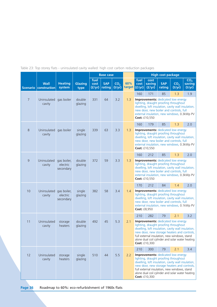Table 23: Top storey flats - uninsulated cavity walled: high cost carbon reduction packages

|                 |                             |                                      |                   |                        | <b>Base case</b>     |                           |                        | <b>High cost package</b>                                                                                                                                                                                                                                                                                     |                                                                                                                                                                                                                                                     |                      |                           |                                     |
|-----------------|-----------------------------|--------------------------------------|-------------------|------------------------|----------------------|---------------------------|------------------------|--------------------------------------------------------------------------------------------------------------------------------------------------------------------------------------------------------------------------------------------------------------------------------------------------------------|-----------------------------------------------------------------------------------------------------------------------------------------------------------------------------------------------------------------------------------------------------|----------------------|---------------------------|-------------------------------------|
| <b>Scenario</b> | <b>Wall</b><br>construction | <b>Heating</b><br>system             | Glazing<br>type   | fuel<br>cost<br>(f/yr) | <b>SAP</b><br>rating | CO <sub>2</sub><br>(t/yr) | 60%<br>target $(f/yr)$ | fuel<br>cost                                                                                                                                                                                                                                                                                                 | cost<br>saving<br>(f/yr)                                                                                                                                                                                                                            | <b>SAP</b><br>rating | CO <sub>2</sub><br>(t/yr) | CO <sub>2</sub><br>saving<br>(t/yr) |
|                 |                             |                                      |                   |                        |                      |                           |                        | 160                                                                                                                                                                                                                                                                                                          | 171                                                                                                                                                                                                                                                 | 85                   | 1.3                       | 1.9                                 |
| $\overline{7}$  | Uninsulated<br>cavity       | gas boiler                           | double<br>glazing | 331                    | 64                   | 3.2                       | 1.3                    |                                                                                                                                                                                                                                                                                                              | <b>Improvements:</b> dedicated low energy<br>lighting, draught proofing throughout<br>dwelling, loft insulation, cavity wall insulation,<br>new door, new boiler and controls, full<br>external insulation, new windows, 0.3kWp PV<br>Cost: £10,550 |                      |                           |                                     |
|                 |                             |                                      |                   |                        |                      |                           |                        | 160                                                                                                                                                                                                                                                                                                          | 179                                                                                                                                                                                                                                                 | 85                   | 1.3                       | 2.0                                 |
| $\,8\,$         | Uninsulated<br>cavity       | gas boiler                           | single<br>glazing | 339                    | 63                   | 3.3                       | 1.3                    |                                                                                                                                                                                                                                                                                                              | <b>Improvements:</b> dedicated low energy<br>lighting, draught proofing throughout<br>dwelling, loft insulation, cavity wall insulation,<br>new door, new boiler and controls, full<br>external insulation, new windows, 0.3kWp PV<br>Cost: £10,550 |                      |                           |                                     |
|                 |                             |                                      |                   |                        |                      |                           |                        | 160                                                                                                                                                                                                                                                                                                          | 212                                                                                                                                                                                                                                                 | 85                   | 1.3                       | 2.0                                 |
| $\overline{9}$  | Uninsulated<br>cavity       | gas boiler,<br>electric<br>secondary | double<br>glazing | 372                    | 59                   | 3.3                       | 1.3                    | <b>Improvements:</b> dedicated low energy<br>lighting, draught proofing throughout<br>dwelling, loft insulation, cavity wall insulation,<br>new door, new boiler and controls, full<br>external insulation, new windows, 0.3kWp PV<br>Cost: £10,550                                                          |                                                                                                                                                                                                                                                     |                      |                           |                                     |
|                 |                             |                                      |                   |                        |                      |                           |                        | 170                                                                                                                                                                                                                                                                                                          | 212                                                                                                                                                                                                                                                 | 84                   | 1.4                       | 2.0                                 |
| 10              | Uninsulated<br>cavity       | gas boiler,<br>electric<br>secondary | single<br>glazing | 382                    | 58                   | 3.4                       | 1.4                    | Cost: £8,950                                                                                                                                                                                                                                                                                                 | <b>Improvements:</b> dedicated low energy<br>lighting, draught proofing throughout<br>dwelling, loft insulation, cavity wall insulation,<br>new door, new boiler and controls, full<br>external insulation, new windows, 0.1kWp PV                  |                      |                           |                                     |
|                 |                             |                                      |                   |                        |                      |                           |                        | 210                                                                                                                                                                                                                                                                                                          | 282                                                                                                                                                                                                                                                 | 79                   | 2.1                       | 3.2                                 |
| 11              | Uninsulated<br>cavity       | storage<br>heaters                   | double<br>glazing | 492                    | 45                   | 5.3                       | 2.1                    | <b>Improvements:</b> dedicated low energy<br>lighting, draught proofing throughout<br>dwelling, loft insulation, cavity wall insulation,<br>new door, new storage heaters and controls,<br>full external insulation, new windows, stand<br>alone dual coil cylinder and solar water heating<br>Cost: £10,300 |                                                                                                                                                                                                                                                     |                      |                           |                                     |
|                 |                             |                                      |                   |                        |                      |                           |                        | 210                                                                                                                                                                                                                                                                                                          | 300                                                                                                                                                                                                                                                 | 79                   | 2.1                       | 3.4                                 |
| 12              | Uninsulated<br>cavity       | storage<br>heaters                   | single<br>glazing | 510                    | 44                   | 5.5                       | 2.2                    | <b>Improvements:</b> dedicated low energy<br>lighting, draught proofing throughout<br>dwelling, loft insulation, cavity wall insulation,<br>new door, new storage heaters and controls,<br>full external insulation, new windows, stand<br>alone dual coil cylinder and solar water heating<br>Cost: £10,300 |                                                                                                                                                                                                                                                     |                      |                           |                                     |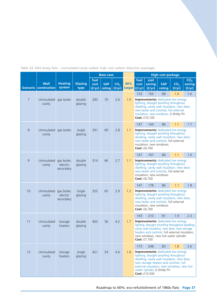Table 24: Mid storey flats - uninsulated cavity walled: high cost carbon reduction packages

|                |                                      |                                      |                        |                        | <b>Base case</b>     |                           |               | <b>High cost package</b>                                                                                                                                                                                                                                               |                          |                      |                                                                                                                                                                                                                   |                                     |
|----------------|--------------------------------------|--------------------------------------|------------------------|------------------------|----------------------|---------------------------|---------------|------------------------------------------------------------------------------------------------------------------------------------------------------------------------------------------------------------------------------------------------------------------------|--------------------------|----------------------|-------------------------------------------------------------------------------------------------------------------------------------------------------------------------------------------------------------------|-------------------------------------|
|                | <b>Wall</b><br>Scenario construction | <b>Heating</b><br>system             | <b>Glazing</b><br>type | fuel<br>cost<br>(f/yr) | <b>SAP</b><br>rating | CO <sub>2</sub><br>(t/yr) | 60%<br>target | fuel<br>cost<br>  (f/yr)                                                                                                                                                                                                                                               | cost<br>saving<br>(f/yr) | <b>SAP</b><br>rating | CO <sub>2</sub><br>(t/yr)                                                                                                                                                                                         | CO <sub>2</sub><br>saving<br>(t/yr) |
| $\overline{7}$ | Uninsulated<br>cavity                | gas boiler                           | double<br>glazing      | 283                    | 70                   | 2.6                       | 1.0           | 133                                                                                                                                                                                                                                                                    | 150<br>Cost: £10,100     | 88                   | 1.0<br>Improvements: dedicated low energy<br>lighting, draught proofing throughout<br>dwelling, cavity wall insulation, new door,<br>new boiler and controls, full external<br>insulation, new windows, 0.3kWp PV | 1.6                                 |
|                |                                      |                                      |                        |                        |                      |                           |               | 147                                                                                                                                                                                                                                                                    | 144                      | 86                   | 1.1                                                                                                                                                                                                               | 1.7                                 |
| 8              | Uninsulated<br>cavity                | gas boiler                           | single<br>glazing      | 291                    | 69                   | 2.8                       | 1.1           | Cost: £6,700                                                                                                                                                                                                                                                           | insulation, new windows, |                      | <b>Improvements:</b> dedicated low energy<br>lighting, draught proofing throughout<br>dwelling, cavity wall insulation, new door,<br>new boiler and controls, full external                                       |                                     |
|                |                                      |                                      |                        |                        |                      |                           |               | 147                                                                                                                                                                                                                                                                    | 167                      | 86                   | 1.1                                                                                                                                                                                                               | 1.6                                 |
| 9              | Uninsulated<br>cavity                | gas boiler,<br>electric<br>secondary | double<br>glazing      | 314                    | 66                   | 2.7                       | 1.1           | <b>Improvements:</b> dedicated low energy<br>lighting, draught proofing throughout<br>dwelling, cavity wall insulation, new door,<br>new boiler and controls, full external<br>insulation, new windows<br>Cost: £6,700                                                 |                          |                      |                                                                                                                                                                                                                   |                                     |
|                |                                      |                                      |                        |                        |                      |                           |               | 147                                                                                                                                                                                                                                                                    | 178                      | 86                   | 1.1                                                                                                                                                                                                               | 1.8                                 |
| 10             | Uninsulated<br>cavity                | gas boiler,<br>electric<br>secondary | single<br>glazing      | 325                    | 65                   | 2.9                       | 1.2           | Cost: £6,700                                                                                                                                                                                                                                                           | insulation, new windows  |                      | <b>Improvements:</b> dedicated low energy<br>lighting, draught proofing throughout<br>dwelling, cavity wall insulation, new door,<br>new boiler and controls, full external                                       |                                     |
|                |                                      |                                      |                        |                        |                      |                           |               | 193                                                                                                                                                                                                                                                                    | 210                      | 81                   | 1.9                                                                                                                                                                                                               | 2.3                                 |
| 11             | Uninsulated<br>cavity                | storage<br>heaters                   | double<br>glazing      | 403                    | 56                   | 4.2                       | 1.7           | <b>Improvements:</b> dedicated low energy<br>lighting, draught proofing throughout dwelling,<br>cavity wall insulation, new door, new storage<br>heaters and controls, full external insulation,<br>new windows, new hot water cylinder<br>Cost: £7,100                |                          |                      |                                                                                                                                                                                                                   |                                     |
|                |                                      |                                      |                        |                        |                      |                           |               | 173                                                                                                                                                                                                                                                                    | 248                      | 83                   | 1.8                                                                                                                                                                                                               | 2.6                                 |
| 12             | Uninsulated<br>cavity                | storage<br>heaters                   | single<br>glazing      | 421                    | 54                   | 4.4                       | 1.8           | <b>Improvements: dedicated low energy</b><br>lighting, draught proofing throughout<br>dwelling, cavity wall insulation, new door,<br>new storage heaters and controls, full<br>external insulation, new windows, new hot<br>water cylinder, 0.3kWp PV<br>Cost: £10,500 |                          |                      |                                                                                                                                                                                                                   |                                     |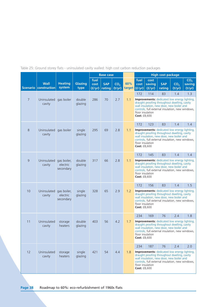Table 25: Ground storey flats - uninsulated cavity walled: high cost carbon reduction packages

|                |                                        |                                      |                   |                        | <b>Base case</b>     |                           |               | <b>High cost package</b>                                                                                                                                                                                                                                                          |                          |                      |                                                                                                                                                                                                             |                                     |
|----------------|----------------------------------------|--------------------------------------|-------------------|------------------------|----------------------|---------------------------|---------------|-----------------------------------------------------------------------------------------------------------------------------------------------------------------------------------------------------------------------------------------------------------------------------------|--------------------------|----------------------|-------------------------------------------------------------------------------------------------------------------------------------------------------------------------------------------------------------|-------------------------------------|
|                | <b>Wall</b><br>Scenario   construction | <b>Heating</b><br>system             | Glazing<br>type   | fuel<br>cost<br>(f/yr) | <b>SAP</b><br>rating | CO <sub>2</sub><br>(t/yr) | 60%<br>target | fuel<br>cost<br>  (f/yr)                                                                                                                                                                                                                                                          | cost<br>saving<br>(f/yr) | <b>SAP</b><br>rating | CO <sub>2</sub><br>(t/yr)                                                                                                                                                                                   | CO <sub>2</sub><br>saving<br>(t/yr) |
| $\overline{7}$ | Uninsulated<br>cavity                  | gas boiler                           | double<br>glazing | 286                    | 70                   | 2.7                       | 1.1           | 172<br>floor insulation<br>Cost: £8,600                                                                                                                                                                                                                                           | 114                      | 83                   | 1.4<br><b>Improvements:</b> dedicated low energy lighting,<br>draught proofing throughout dwelling, cavity<br>wall insulation, new door, new boiler and<br>controls, full external insulation, new windows, | 1.3                                 |
| 8              | Uninsulated<br>cavity                  | gas boiler                           | single<br>glazing | 295                    | 69                   | 2.8                       | 1.1           | 172<br>floor insulation<br><b>Cost: £8,600</b>                                                                                                                                                                                                                                    | 123                      | 83                   | 1.4<br><b>Improvements:</b> dedicated low energy lighting,<br>draught proofing throughout dwelling, cavity<br>wall insulation, new door, new boiler and<br>controls, full external insulation, new windows, | 1.4                                 |
| 9              | Uninsulated<br>cavity                  | gas boiler,<br>electric<br>secondary | double<br>glazing | 317                    | 66                   | 2.8                       | 1.1           | 172<br>145<br>83<br>1.4<br>1.4<br><b>Improvements:</b> dedicated low energy lighting,<br>draught proofing throughout dwelling, cavity<br>wall insulation, new door, new boiler and<br>controls, full external insulation, new windows,<br>floor insulation<br><b>Cost: £8,600</b> |                          |                      |                                                                                                                                                                                                             |                                     |
| 10             | Uninsulated<br>cavity                  | gas boiler,<br>electric<br>secondary | single<br>glazing | 328                    | 65                   | 2.9                       | 1.2           | 172<br>floor insulation<br><b>Cost: £8,600</b>                                                                                                                                                                                                                                    | 156                      | 83                   | 1.4<br><b>Improvements:</b> dedicated low energy lighting,<br>draught proofing throughout dwelling, cavity<br>wall insulation, new door, new boiler and<br>controls, full external insulation, new windows, | 1.5                                 |
| 11             | Uninsulated<br>cavity                  | storage<br>heaters                   | double<br>glazing | 403                    | 56                   | 4.2                       | 1.7           | 234<br>floor insulation<br><b>Cost: £8,600</b>                                                                                                                                                                                                                                    | 169                      | 76                   | 2.4<br><b>Improvements:</b> dedicated low energy lighting,<br>draught proofing throughout dwelling, cavity<br>wall insulation, new door, new boiler and<br>controls, full external insulation, new windows, | 1.8                                 |
| 12             | Uninsulated<br>cavity                  | storage<br>heaters                   | single<br>glazing | 421                    | 54                   | 4.4                       | 1.8           | 234<br>floor insulation<br>Cost: £8,600                                                                                                                                                                                                                                           | 187                      | 76                   | 2.4<br><b>Improvements:</b> dedicated low energy lighting,<br>draught proofing throughout dwelling, cavity<br>wall insulation, new door, new boiler and<br>controls, full external insulation, new windows, | 2.0                                 |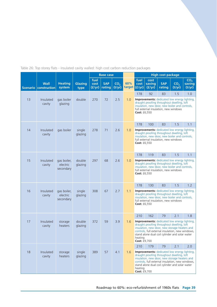|  |  | Table 26: Top storey flats - insulated cavity walled: high cost carbon reduction packages |  |  |  |  |
|--|--|-------------------------------------------------------------------------------------------|--|--|--|--|
|  |  |                                                                                           |  |  |  |  |
|  |  |                                                                                           |  |  |  |  |
|  |  |                                                                                           |  |  |  |  |

|    |                                      |                                      |                        |                        | <b>Base case</b>     |                           |               | <b>High cost package</b>                                                                                                                                                                                                                                                            |                                             |                      |                                                                                                                                                            |                                     |
|----|--------------------------------------|--------------------------------------|------------------------|------------------------|----------------------|---------------------------|---------------|-------------------------------------------------------------------------------------------------------------------------------------------------------------------------------------------------------------------------------------------------------------------------------------|---------------------------------------------|----------------------|------------------------------------------------------------------------------------------------------------------------------------------------------------|-------------------------------------|
|    | <b>Wall</b><br>Scenario construction | <b>Heating</b><br>system             | <b>Glazing</b><br>type | fuel<br>cost<br>(f/yr) | <b>SAP</b><br>rating | CO <sub>2</sub><br>(t/yr) | 60%<br>target | fuel<br>cost<br>(f/yr)                                                                                                                                                                                                                                                              | cost<br>saving<br>(f/yr)                    | <b>SAP</b><br>rating | CO <sub>2</sub><br>(t/yr)                                                                                                                                  | CO <sub>2</sub><br>saving<br>(t/yr) |
| 13 | Insulated<br>cavity                  | gas boiler<br>glazing                | double                 | 270                    | 72                   | 2.5                       | 1.0           | 178<br><b>Cost: £6,550</b>                                                                                                                                                                                                                                                          | 92<br>full external insulation, new windows | 83                   | 1.5<br><b>Improvements:</b> dedicated low energy lighting,<br>draught proofing throughout dwelling, loft<br>insulation, new door, new boiler and controls, | 1.0                                 |
|    |                                      |                                      |                        |                        |                      |                           |               | 178                                                                                                                                                                                                                                                                                 | 100                                         | 83                   | 1.5                                                                                                                                                        | 1.1                                 |
| 14 | Insulated<br>cavity                  | gas boiler                           | single<br>glazing      | 278                    | 71                   | 2.6                       | 1.0           | <b>Cost: £6,550</b>                                                                                                                                                                                                                                                                 | full external insulation, new windows       |                      | <b>Improvements:</b> dedicated low energy lighting,<br>draught proofing throughout dwelling, loft<br>insulation, new door, new boiler and controls,        |                                     |
|    |                                      |                                      |                        |                        |                      |                           |               | 178                                                                                                                                                                                                                                                                                 | 119                                         | 83                   | 1.5                                                                                                                                                        | 1.1                                 |
| 15 | Insulated<br>cavity                  | gas boiler,<br>electric<br>secondary | double<br>glazing      | 297                    | 68                   | 2.6                       | 1.0           | <b>Improvements:</b> dedicated low energy lighting,<br>draught proofing throughout dwelling, loft<br>insulation, new door, new boiler and controls,<br>full external insulation, new windows<br>Cost: £6,550                                                                        |                                             |                      |                                                                                                                                                            |                                     |
|    |                                      |                                      |                        |                        |                      |                           |               | 178                                                                                                                                                                                                                                                                                 | 130                                         | 83                   | 1.5                                                                                                                                                        | 1.2                                 |
| 16 | Insulated<br>cavity                  | gas boiler,<br>electric<br>secondary | single<br>glazing      | 308                    | 67                   | 2.7                       | 1.1           | <b>Improvements:</b> dedicated low energy lighting,<br>draught proofing throughout dwelling, loft<br>insulation, new door, new boiler and controls,<br>full external insulation, new windows<br><b>Cost: £6,550</b>                                                                 |                                             |                      |                                                                                                                                                            |                                     |
|    |                                      |                                      |                        |                        |                      |                           |               | 210                                                                                                                                                                                                                                                                                 | 162                                         | 79                   | 2.1                                                                                                                                                        | 1.8                                 |
| 17 | Insulated<br>cavity                  | storage<br>heaters                   | double<br>glazing      | 372                    | 59                   | 3.9                       | 1.6           | <b>Improvements:</b> dedicated low energy lighting,<br>draught proofing throughout dwelling, loft<br>insulation, new door, new storage heaters and<br>controls, full external insulation, new windows,<br>stand alone dual coil cylinder and solar water<br>heating<br>Cost: £9,700 |                                             |                      |                                                                                                                                                            |                                     |
|    |                                      |                                      |                        |                        |                      |                           |               | 210                                                                                                                                                                                                                                                                                 | 179                                         | 79                   | 2.1                                                                                                                                                        | 2.0                                 |
| 18 | Insulated<br>cavity                  | storage<br>heaters                   | single<br>glazing      | 389                    | 57                   | 4.1                       | 1.6           | <b>Improvements:</b> dedicated low energy lighting,<br>draught proofing throughout dwelling, loft<br>insulation, new door, new storage heaters and<br>controls, full external insulation, new windows,<br>stand alone dual coil cylinder and solar water<br>heating<br>Cost: £9,700 |                                             |                      |                                                                                                                                                            |                                     |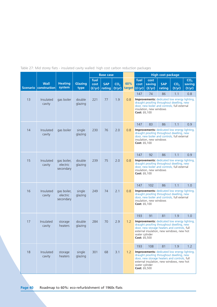Table 27: Mid storey flats - insulated cavity walled: high cost carbon reduction packages

|    |                                      |                                      |                   |                        | <b>Base case</b>     |                           |     | <b>High cost package</b>                                                                                                                                                                                                        |                                |                      |                                                                                                                                                                                                      |                                     |
|----|--------------------------------------|--------------------------------------|-------------------|------------------------|----------------------|---------------------------|-----|---------------------------------------------------------------------------------------------------------------------------------------------------------------------------------------------------------------------------------|--------------------------------|----------------------|------------------------------------------------------------------------------------------------------------------------------------------------------------------------------------------------------|-------------------------------------|
|    | <b>Wall</b><br>Scenario construction | <b>Heating</b><br>system             | Glazing<br>type   | fuel<br>cost<br>(f/yr) | <b>SAP</b><br>rating | CO <sub>2</sub><br>(t/yr) | 60% | fuel<br>cost<br>target $(f/yr)$                                                                                                                                                                                                 | cost<br>saving<br>(f/yr)       | <b>SAP</b><br>rating | CO <sub>2</sub><br>(t/yr)                                                                                                                                                                            | CO <sub>2</sub><br>saving<br>(t/yr) |
| 13 | Insulated<br>cavity                  | gas boiler                           | double<br>glazing | 221                    | 77                   | 1.9                       | 0.8 | 147<br>Cost: £6,100                                                                                                                                                                                                             | 74<br>insulation, new windows  | 86                   | 1.1<br><b>Improvements:</b> dedicated low energy lighting,<br>draught proofing throughout dwelling, new<br>door, new boiler and controls, full external                                              | 0.8                                 |
| 14 | Insulated<br>cavity                  | gas boiler                           | single<br>glazing | 230                    | 76                   | 2.0                       | 0.8 | 147                                                                                                                                                                                                                             | 83                             | 86                   | 1.1<br><b>Improvements:</b> dedicated low energy lighting,<br>draught proofing throughout dwelling, new<br>door, new boiler and controls, full external                                              | 0.9                                 |
|    |                                      |                                      |                   |                        |                      |                           |     | Cost: £6,100                                                                                                                                                                                                                    | insulation, new windows        |                      |                                                                                                                                                                                                      |                                     |
| 15 | Insulated<br>cavity                  | gas boiler,<br>electric<br>secondary | double<br>glazing | 239                    | 75                   | 2.0                       | 0.8 | 147<br>92<br>86<br>1.1<br>0.9<br><b>Improvements:</b> dedicated low energy lighting,<br>draught proofing throughout dwelling, new<br>door, new boiler and controls, full external<br>insulation, new windows<br>Cost: £6,100    |                                |                      |                                                                                                                                                                                                      |                                     |
| 16 | Insulated<br>cavity                  | gas boiler,<br>electric<br>secondary | single<br>glazing | 249                    | 74                   | 2.1                       | 0.8 | 147<br>Cost: £6,100                                                                                                                                                                                                             | 102<br>insulation, new windows | 86                   | 1.1<br><b>Improvements:</b> dedicated low energy lighting,<br>draught proofing throughout dwelling, new<br>door, new boiler and controls, full external                                              | 1.0                                 |
|    |                                      |                                      |                   |                        |                      |                           |     | 193                                                                                                                                                                                                                             | 91                             | 81                   | 1.9                                                                                                                                                                                                  | 1.0                                 |
| 17 | Insulated<br>cavity                  | storage<br>heaters                   | double<br>glazing | 284                    | 70                   | 2.9                       | 1.2 | <b>Improvements:</b> dedicated low energy lighting,<br>draught proofing throughout dwelling, new<br>door, new storage heaters and controls, full<br>external insulation, new windows, new hot<br>water cylinder<br>Cost: £6,500 |                                |                      |                                                                                                                                                                                                      |                                     |
| 18 | Insulated<br>cavity                  | storage<br>heaters                   | single<br>glazing | 301                    | 68                   | 3.1                       | 1.2 | 193<br>water cylinder<br>Cost: £6,500                                                                                                                                                                                           | 108                            | 81                   | 1.9<br><b>Improvements:</b> dedicated low energy lighting,<br>draught proofing throughout dwelling, new<br>door, new storage heaters and controls, full<br>external insulation, new windows, new hot | 1.2                                 |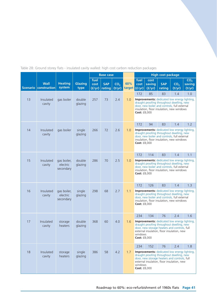|  |  |  |  |  | Table 28: Ground storey flats - insulated cavity walled: high cost carbon reduction packages |  |
|--|--|--|--|--|----------------------------------------------------------------------------------------------|--|
|  |  |  |  |  |                                                                                              |  |
|  |  |  |  |  |                                                                                              |  |
|  |  |  |  |  |                                                                                              |  |

|    |                                      |                                      |                        |                        | <b>Base case</b>     |                           |     |                                 |                          | <b>High cost package</b>                                                                                                                                                                            |                           |                                     |
|----|--------------------------------------|--------------------------------------|------------------------|------------------------|----------------------|---------------------------|-----|---------------------------------|--------------------------|-----------------------------------------------------------------------------------------------------------------------------------------------------------------------------------------------------|---------------------------|-------------------------------------|
|    | <b>Wall</b><br>Scenario construction | <b>Heating</b><br>system             | <b>Glazing</b><br>type | fuel<br>cost<br>(f/yr) | <b>SAP</b><br>rating | CO <sub>2</sub><br>(t/yr) | 60% | fuel<br>cost<br>target $(f/yr)$ | cost<br>saving<br>(f/yr) | <b>SAP</b><br>rating                                                                                                                                                                                | CO <sub>2</sub><br>(t/yr) | CO <sub>2</sub><br>saving<br>(t/yr) |
| 13 | Insulated<br>cavity                  | gas boiler                           | double<br>glazing      | 257                    | 73                   | 2.4                       | 1.0 | 172<br>Cost: £8,000             | 85                       | 83<br><b>Improvements:</b> dedicated low energy lighting.<br>draught proofing throughout dwelling, new<br>door, new boiler and controls, full external<br>insulation, floor insulation, new windows | 1.4                       | 1.0                                 |
|    |                                      |                                      |                        |                        |                      |                           |     | 172                             | 94                       | 83                                                                                                                                                                                                  | 1.4                       | 1.2                                 |
| 14 | Insulated<br>cavity                  | gas boiler                           | single<br>glazing      | 266                    | 72                   | 2.6                       | 1.0 | Cost: £8,000                    |                          | <b>Improvements:</b> dedicated low energy lighting,<br>draught proofing throughout dwelling, new<br>door, new boiler and controls, full external<br>insulation, floor insulation, new windows       |                           |                                     |
|    |                                      |                                      |                        |                        |                      |                           |     | 172                             | 114                      | 83                                                                                                                                                                                                  | 1.4                       | 1.1                                 |
| 15 | Insulated<br>cavity                  | gas boiler,<br>electric<br>secondary | double<br>glazing      | 286                    | 70                   | 2.5                       | 1.0 | Cost: £8,000                    |                          | <b>Improvements:</b> dedicated low energy lighting,<br>draught proofing throughout dwelling, new<br>door, new boiler and controls, full external<br>insulation, floor insulation, new windows       |                           |                                     |
|    |                                      |                                      |                        |                        |                      |                           |     | 172                             | 126                      | 83                                                                                                                                                                                                  | 1.4                       | 1.3                                 |
| 16 | Insulated<br>cavity                  | gas boiler,<br>electric<br>secondary | single<br>glazing      | 298                    | 68                   | 2.7                       | 1.1 | <b>Cost: £8,000</b>             |                          | <b>Improvements:</b> dedicated low energy lighting,<br>draught proofing throughout dwelling, new<br>door, new boiler and controls, full external<br>insulation, floor insulation, new windows       |                           |                                     |
|    |                                      |                                      |                        |                        |                      |                           |     | 234                             | 134                      | 76                                                                                                                                                                                                  | 2.4                       | 1.6                                 |
| 17 | Insulated<br>cavity                  | storage<br>heaters                   | double<br>glazing      | 368                    | 60                   | 4.0                       | 1.6 | windows<br><b>Cost: £8,000</b>  |                          | <b>Improvements:</b> dedicated low energy lighting,<br>draught proofing throughout dwelling, new<br>door, new storage heaters and controls, full<br>external insulation, floor insulation, new      |                           |                                     |
|    |                                      |                                      |                        |                        |                      |                           |     | 234                             | 152                      | 76                                                                                                                                                                                                  | 2.4                       | 1.8                                 |
| 18 | Insulated<br>cavity                  | storage<br>heaters                   | single<br>glazing      | 386                    | 58                   | 4.2                       | 1.7 | windows<br><b>Cost: £8,000</b>  |                          | <b>Improvements:</b> dedicated low energy lighting,<br>draught proofing throughout dwelling, new<br>door, new storage heaters and controls, full<br>external insulation, floor insulation, new      |                           |                                     |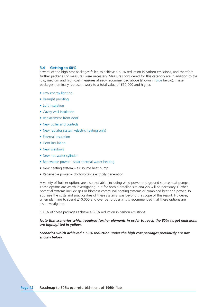### **3.4 Getting to 60%**

Several of the high cost packages failed to achieve a 60% reduction in carbon emissions, and therefore further packages of measures were necessary. Measures considered for this category are in addition to the low, medium and high cost measures already recommended above (shown in blue below). These packages nominally represent work to a total value of £10,000 and higher.

- Low energy lighting
- Draught proofing
- Loft insulation
- Cavity wall insulation
- Replacement front door
- New boiler and controls
- New radiator system (electric heating only)
- External insulation
- Floor insulation
- New windows
- New hot water cylinder
- Renewable power solar thermal water heating
- New heating system air source heat pump
- Renewable power photovoltaic electricity generation

A variety of further options are also available, including wind power and ground source heat pumps. These options are worth investigating, but for both a detailed site analysis will be necessary. Further potential systems include gas or biomass communal heating systems or combined heat and power. To appraise the costs and practicalities of these systems was beyond the scope of this report. However, when planning to spend £10,000 and over per property, it is recommended that these options are also investigated.

100% of these packages achieve a 60% reduction in carbon emissions.

### *Note that scenarios which required further elements in order to reach the 60% target emissions are highlighted in yellow.*

*Scenarios which achieved a 60% reduction under the high cost packages previously are not shown below.*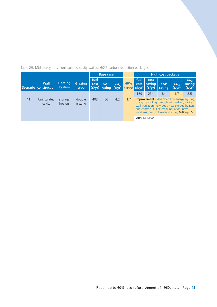Table 29: Mid storey flats - uninsulated cavity walled: 60% carbon reduction packages

|    |                                        |                          |                        |              | <b>Base case</b>                |                           |                        |              |                          | <b>High cost package</b>                                                                                                                                                                                                                           |                           |                                     |
|----|----------------------------------------|--------------------------|------------------------|--------------|---------------------------------|---------------------------|------------------------|--------------|--------------------------|----------------------------------------------------------------------------------------------------------------------------------------------------------------------------------------------------------------------------------------------------|---------------------------|-------------------------------------|
|    | <b>Wall</b><br>Scenario   construction | <b>Heating</b><br>system | <b>Glazing</b><br>type | fuel<br>cost | <b>SAP</b><br>$(f/yr)$   rating | CO <sub>2</sub><br>(t/yr) | 60%<br>target $(f/yr)$ | fuel<br>cost | cost<br>saving<br>(f/yr) | <b>SAP</b><br>rating                                                                                                                                                                                                                               | CO <sub>2</sub><br>(t/yr) | CO <sub>2</sub><br>saving<br>(t/yr) |
|    |                                        |                          |                        |              |                                 |                           |                        | 169          | 234                      | 84                                                                                                                                                                                                                                                 | 1.7                       | 2.5                                 |
| 11 | Uninsulated<br>cavity                  | storage<br>heaters       | double<br>glazing      | 403          | 56                              | 4.2                       | 1.7                    |              |                          | <b>Improvements:</b> dedicated low energy lighting,<br>draught proofing throughout dwelling, cavity<br>wall insulation, new door, new storage heaters<br>and controls, full external insulation, new<br>windows, new hot water cylinder, 0.4kWp PV |                           |                                     |
|    |                                        |                          |                        |              |                                 |                           |                        |              | <b>Cost: £11,300</b>     |                                                                                                                                                                                                                                                    |                           |                                     |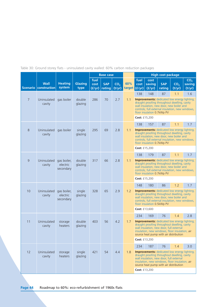Table 30: Ground storey flats - uninsulated cavity walled: 60% carbon reduction packages

|                 |                             |                                      |                   |                        | <b>Base case</b>     |                           |                        |                      |                                   | <b>High cost package</b>                 |                                                                                                                                                                                                                                             |                                     |
|-----------------|-----------------------------|--------------------------------------|-------------------|------------------------|----------------------|---------------------------|------------------------|----------------------|-----------------------------------|------------------------------------------|---------------------------------------------------------------------------------------------------------------------------------------------------------------------------------------------------------------------------------------------|-------------------------------------|
| <b>Scenario</b> | <b>Wall</b><br>construction | <b>Heating</b><br>system             | Glazing<br>type   | fuel<br>cost<br>(f/yr) | <b>SAP</b><br>rating | CO <sub>2</sub><br>(t/yr) | 60%<br>target $(f/yr)$ | fuel<br>cost         | cost<br>saving<br>(f/yr)          | <b>SAP</b><br>rating                     | CO <sub>2</sub><br>(t/yr)                                                                                                                                                                                                                   | CO <sub>2</sub><br>saving<br>(t/yr) |
| $\overline{7}$  | Uninsulated<br>cavity       | gas boiler                           | double<br>glazing | 286                    | 70                   | 2.7                       | 1.1                    | 138<br>Cost: £15,200 | 148<br>floor insulation 0.7kWp PV | 87                                       | 1.1<br><b>Improvements:</b> dedicated low energy lighting,<br>draught proofing throughout dwelling, cavity<br>wall insulation, new door, new boiler and<br>controls, full external insulation, new windows,                                 | 1.6                                 |
| 8               | Uninsulated<br>cavity       | gas boiler                           | single<br>glazing | 295                    | 69                   | 2.8                       | 1.1                    | 138                  | 157<br>floor insulation 0.7kWp PV | 87                                       | 1.1<br><b>Improvements:</b> dedicated low energy lighting,<br>draught proofing throughout dwelling, cavity<br>wall insulation, new door, new boiler and<br>controls, full external insulation, new windows,                                 | 1.7                                 |
|                 |                             |                                      |                   |                        |                      |                           |                        | Cost: £15,200<br>138 | 179                               | 87                                       | 1.1                                                                                                                                                                                                                                         | 1.7                                 |
| 9               | Uninsulated<br>cavity       | gas boiler,<br>electric<br>secondary | double<br>glazing | 317                    | 66                   | 2.8                       | 1.1                    |                      | floor insulation 0.7kWp PV        |                                          | <b>Improvements:</b> dedicated low energy lighting,<br>draught proofing throughout dwelling, cavity<br>wall insulation, new door, new boiler and<br>controls, full external insulation, new windows,                                        |                                     |
|                 |                             |                                      |                   |                        |                      |                           |                        | Cost: £15,200        |                                   |                                          |                                                                                                                                                                                                                                             |                                     |
| 10              | Uninsulated<br>cavity       | gas boiler,<br>electric<br>secondary | single<br>glazing | 328                    | 65                   | 2.9                       | 1.2                    | 148<br>Cost: £13,600 | 180<br>floor insulation 0.5kWp PV | 86                                       | 1.2<br><b>Improvements:</b> dedicated low energy lighting,<br>draught proofing throughout dwelling, cavity<br>wall insulation, new door, new boiler and<br>controls, full external insulation, new windows,                                 | 1.7                                 |
|                 |                             |                                      |                   |                        |                      |                           |                        | 234                  | 169                               | 76                                       | 1.4                                                                                                                                                                                                                                         | 2.8                                 |
| 11              | Uninsulated<br>cavity       | storage<br>heaters                   | double<br>glazing | 403                    | 56                   | 4.2                       | 1.7                    | Cost: £13,200        |                                   | wall insulation, new door, full external | <b>Improvements:</b> dedicated low energy lighting,<br>draught proofing throughout dwelling, cavity<br>insulation, new windows, floor insulation, air<br>source heat pump with air distribution                                             |                                     |
|                 |                             |                                      |                   |                        |                      |                           |                        | 234                  | 187                               | 76                                       | 1.4                                                                                                                                                                                                                                         | 3.0                                 |
| 12              | Uninsulated<br>cavity       | storage<br>heaters                   | single<br>glazing | 421                    | 54                   | 4.4                       | 1.8                    | Cost: £13,200        |                                   |                                          | <b>Improvements:</b> dedicated low energy lighting,<br>draught proofing throughout dwelling, cavity<br>wall insulation, new door, full external<br>insulation, new windows, floor insulation, air<br>source heat pump with air distribution |                                     |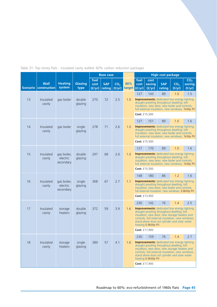Table 31: Top storey flats - insulated cavity walled: 60% carbon reduction packages

|    |                                        |                                      |                   |                        | <b>Base case</b>     |                           |               |                          |                          | <b>High cost package</b> |                                                                                                                                                                                                                                                          |                                     |
|----|----------------------------------------|--------------------------------------|-------------------|------------------------|----------------------|---------------------------|---------------|--------------------------|--------------------------|--------------------------|----------------------------------------------------------------------------------------------------------------------------------------------------------------------------------------------------------------------------------------------------------|-------------------------------------|
|    | <b>Wall</b><br>Scenario   construction | <b>Heating</b><br>system             | Glazing<br>type   | fuel<br>cost<br>(f/yr) | <b>SAP</b><br>rating | CO <sub>2</sub><br>(t/yr) | 60%<br>target | fuel<br>cost<br>  (f/yr) | cost<br>saving<br>(f/yr) | <b>SAP</b><br>rating     | CO <sub>2</sub><br>(t/yr)                                                                                                                                                                                                                                | CO <sub>2</sub><br>saving<br>(t/yr) |
| 13 | Insulated<br>cavity                    | gas boiler                           | double<br>glazing | 270                    | 72                   | 2.5                       | 1.0           | 127                      | 143                      | 89                       | 1.0<br><b>Improvements:</b> dedicated low energy lighting,<br>draught proofing throughout dwelling, loft<br>insulation, new door, new boiler and controls,<br>full external insulation, new windows, 1kWp PV                                             | 1.5                                 |
|    |                                        |                                      |                   |                        |                      |                           |               | Cost: £15,500            |                          |                          |                                                                                                                                                                                                                                                          |                                     |
| 14 |                                        |                                      |                   |                        |                      | 2.6                       |               | 127                      | 151                      | 89                       | 1.0<br><b>Improvements:</b> dedicated low energy lighting,                                                                                                                                                                                               | 1.6                                 |
|    | Insulated<br>cavity                    | gas boiler                           | single<br>glazing | 278                    | 71                   |                           | 1.0           |                          |                          |                          | draught proofing throughout dwelling, loft<br>insulation, new door, new boiler and controls,<br>full external insulation, new windows, 1kWp PV                                                                                                           |                                     |
|    |                                        |                                      |                   |                        |                      |                           |               | Cost: £15,500            |                          |                          |                                                                                                                                                                                                                                                          |                                     |
| 15 | Insulated<br>cavity                    | gas boiler,<br>electric<br>secondary | double<br>glazing | 297                    | 68                   | 2.6                       | 1.0           | 127                      | 170                      | 89                       | 1.0<br><b>Improvements:</b> dedicated low energy lighting,<br>draught proofing throughout dwelling, loft<br>insulation, new door, new boiler and controls,<br>full external insulation, new windows, 1kWp PV                                             | 1.6                                 |
|    |                                        |                                      |                   |                        |                      |                           |               | Cost: £15,500            |                          |                          |                                                                                                                                                                                                                                                          |                                     |
|    |                                        |                                      |                   |                        |                      |                           |               | 148                      | 180                      | 86                       | 1.2                                                                                                                                                                                                                                                      | 1.6                                 |
| 16 | Insulated<br>cavity                    | gas boiler,<br>electric<br>secondary | single<br>glazing | 308                    | 67                   | 2.7                       | 1.1           |                          |                          |                          | <b>Improvements:</b> dedicated low energy lighting,<br>draught proofing throughout dwelling, loft<br>insulation, new door, new boiler and controls,<br>full external insulation, new windows, 0.8kWp PV                                                  |                                     |
|    |                                        |                                      |                   |                        |                      |                           |               | Cost: £13,950            |                          |                          |                                                                                                                                                                                                                                                          |                                     |
|    |                                        |                                      |                   |                        |                      |                           |               | 230                      | 142                      | 76                       | 1.4                                                                                                                                                                                                                                                      | 2.5                                 |
| 17 | Insulated<br>cavity                    | storage<br>heaters                   | double<br>glazing | 372                    | 59                   | 3.9                       | 1.6           |                          | heating 0.9kWp PV        |                          | <b>Improvements:</b> dedicated low energy lighting,<br>draught proofing throughout dwelling, loft<br>insulation, new door, new storage heaters and<br>controls, full external insulation, new windows,<br>stand alone dual coil cylinder and solar water |                                     |
|    |                                        |                                      |                   |                        |                      |                           |               | Cost: £17,900            |                          |                          |                                                                                                                                                                                                                                                          |                                     |
|    |                                        |                                      |                   |                        |                      |                           |               | 230                      | 159                      | 76                       | 1.4                                                                                                                                                                                                                                                      | 2.7                                 |
| 18 | Insulated<br>cavity                    | storage<br>heaters                   | single<br>glazing | 389                    | 57                   | 4.1                       | 1.6           |                          | heating 0.9kWp PV        |                          | <b>Improvements:</b> dedicated low energy lighting,<br>draught proofing throughout dwelling, loft<br>insulation, new door, new storage heaters and<br>controls, full external insulation, new windows,<br>stand alone dual coil cylinder and solar water |                                     |
|    |                                        |                                      |                   |                        |                      |                           |               | <b>Cost:</b> $£17,900$   |                          |                          |                                                                                                                                                                                                                                                          |                                     |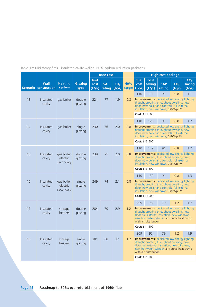Table 32: Mid storey flats - insulated cavity walled: 60% carbon reduction packages

|                 |                             |                                      |                   |                        | <b>Base case</b>     |                           |               |                        |                                    | <b>High cost package</b> |                                                                                                                                                                                                  |                                     |
|-----------------|-----------------------------|--------------------------------------|-------------------|------------------------|----------------------|---------------------------|---------------|------------------------|------------------------------------|--------------------------|--------------------------------------------------------------------------------------------------------------------------------------------------------------------------------------------------|-------------------------------------|
| <b>Scenario</b> | <b>Wall</b><br>construction | <b>Heating</b><br>system             | Glazing<br>type   | fuel<br>cost<br>(f/yr) | <b>SAP</b><br>rating | CO <sub>2</sub><br>(t/yr) | 60%<br>target | fuel<br>cost<br>(f/yr) | cost<br>saving<br>(f/yr)           | <b>SAP</b><br>rating     | CO <sub>2</sub><br>(t/yr)                                                                                                                                                                        | CO <sub>2</sub><br>saving<br>(t/yr) |
| 13              | Insulated<br>cavity         | gas boiler                           | double<br>glazing | 221                    | 77                   | 1.9                       | 0.8           | 110                    | 111                                | 91                       | 0.8<br><b>Improvements:</b> dedicated low energy lighting,<br>draught proofing throughout dwelling, new<br>door, new boiler and controls, full external                                          | 1.1                                 |
|                 |                             |                                      |                   |                        |                      |                           |               | Cost: £13,500          | insulation, new windows, 0.8kWp PV |                          |                                                                                                                                                                                                  |                                     |
|                 |                             |                                      |                   |                        |                      |                           |               | 110                    | 120                                | 91                       | 0.8                                                                                                                                                                                              | 1.2                                 |
| 14              | Insulated<br>cavity         | gas boiler                           | single<br>glazing | 230                    | 76                   | 2.0                       | 0.8           |                        | insulation, new windows, 0.8kWp PV |                          | <b>Improvements:</b> dedicated low energy lighting,<br>draught proofing throughout dwelling, new<br>door, new boiler and controls, full external                                                 |                                     |
|                 |                             |                                      |                   |                        |                      |                           |               |                        | Cost: £13,500                      |                          |                                                                                                                                                                                                  |                                     |
|                 |                             |                                      |                   |                        |                      |                           |               | 110                    | 129                                | 91                       | 0.8                                                                                                                                                                                              | 1.2                                 |
| 15              | Insulated<br>cavity         | gas boiler,<br>electric<br>secondary | double<br>glazing | 239                    | 75                   | 2.0                       | 0.8           |                        | insulation, new windows, 0.8kWp PV |                          | <b>Improvements:</b> dedicated low energy lighting.<br>draught proofing throughout dwelling, new<br>door, new boiler and controls, full external                                                 |                                     |
|                 |                             |                                      |                   |                        |                      |                           |               |                        | Cost: £13,500                      |                          |                                                                                                                                                                                                  |                                     |
|                 |                             |                                      |                   |                        |                      |                           |               | 110                    | 139                                | 91                       | 0.8                                                                                                                                                                                              | 1.3                                 |
| 16              | Insulated<br>cavity         | gas boiler,<br>electric<br>secondary | single<br>glazing | 249                    | 74                   | 2.1                       | 0.8           |                        | insulation, new windows, 0.8kWp PV |                          | <b>Improvements:</b> dedicated low energy lighting,<br>draught proofing throughout dwelling, new<br>door, new boiler and controls, full external                                                 |                                     |
|                 |                             |                                      |                   |                        |                      |                           |               |                        | <b>Cost: £13,500</b>               |                          |                                                                                                                                                                                                  |                                     |
|                 |                             |                                      |                   |                        |                      |                           |               | 209                    | 75                                 | 79                       | 1.2                                                                                                                                                                                              | 1.7                                 |
| 17              | Insulated<br>cavity         | storage<br>heaters                   | double<br>glazing | 284                    | 70                   | 2.9                       | 1.2           |                        | with air distribution              |                          | <b>Improvements:</b> dedicated low energy lighting,<br>draught proofing throughout dwelling, new<br>door, full external insulation, new windows,<br>new hot water cylinder, air source heat pump |                                     |
|                 |                             |                                      |                   |                        |                      |                           |               |                        | Cost: £11,300                      |                          |                                                                                                                                                                                                  |                                     |
|                 |                             |                                      |                   |                        |                      |                           |               | 209                    | 92                                 | 79                       | 1.2                                                                                                                                                                                              | 1.9                                 |
| 18              | Insulated<br>cavity         | storage<br>heaters                   | single<br>glazing | 301                    | 68                   | 3.1                       | 1.2           |                        | with air distribution              |                          | <b>Improvements:</b> dedicated low energy lighting,<br>draught proofing throughout dwelling, new<br>door, full external insulation, new windows,<br>new hot water cylinder, air source heat pump |                                     |
|                 |                             |                                      |                   |                        |                      |                           |               | Cost: £11,300          |                                    |                          |                                                                                                                                                                                                  |                                     |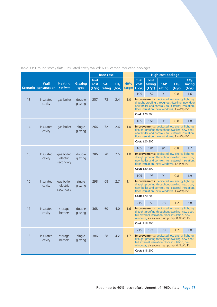|  |  |  |  | Table 33: Ground storey flats - insulated cavity walled: 60% carbon reduction packages |  |
|--|--|--|--|----------------------------------------------------------------------------------------|--|
|  |  |  |  |                                                                                        |  |

|    |                                      |                                      |                        |                        | <b>Base case</b>     |                           |                      |              |                                                                                                                                                                                                                                  | <b>High cost package</b> |                           |                                     |
|----|--------------------------------------|--------------------------------------|------------------------|------------------------|----------------------|---------------------------|----------------------|--------------|----------------------------------------------------------------------------------------------------------------------------------------------------------------------------------------------------------------------------------|--------------------------|---------------------------|-------------------------------------|
|    | <b>Wall</b><br>Scenario construction | <b>Heating</b><br>system             | <b>Glazing</b><br>type | fuel<br>cost<br>(f/yr) | <b>SAP</b><br>rating | CO <sub>2</sub><br>(t/yr) | 60%<br>target (£/yr) | fuel<br>cost | cost<br>saving<br>(f/yr)                                                                                                                                                                                                         | <b>SAP</b><br>rating     | CO <sub>2</sub><br>(t/yr) | CO <sub>2</sub><br>saving<br>(t/yr) |
|    |                                      |                                      |                        |                        |                      |                           |                      | 105          | 152                                                                                                                                                                                                                              | 91                       | 0.8                       | 1.6                                 |
| 13 | Insulated<br>cavity                  | gas boiler                           | double<br>glazing      | 257                    | 73                   | 2.4                       | 1.0                  |              | <b>Improvements:</b> dedicated low energy lighting,<br>draught proofing throughout dwelling, new door,<br>new boiler and controls, full external insulation,<br>floor insulation, new windows, 1.4kWp PV                         |                          |                           |                                     |
|    |                                      |                                      |                        |                        |                      |                           |                      |              | Cost: £20,200                                                                                                                                                                                                                    |                          |                           |                                     |
|    |                                      |                                      |                        |                        |                      |                           |                      | 105          | 161                                                                                                                                                                                                                              | 91                       | 0.8                       | 1.8                                 |
| 14 | Insulated<br>cavity                  | gas boiler                           | single<br>glazing      | 266                    | 72                   | 2.6                       | 1.0                  |              | <b>Improvements:</b> dedicated low energy lighting,<br>draught proofing throughout dwelling, new door,<br>new boiler and controls, full external insulation,<br>floor insulation, new windows, 1.4kWp PV                         |                          |                           |                                     |
|    |                                      |                                      |                        |                        |                      |                           |                      |              | Cost: £20,200                                                                                                                                                                                                                    |                          |                           |                                     |
|    |                                      |                                      |                        |                        |                      |                           |                      | 105          | 181                                                                                                                                                                                                                              | 91                       | 0.8                       | 1.7                                 |
| 15 | Insulated<br>cavity                  | gas boiler,<br>electric<br>secondary | double<br>glazing      | 286                    | 70                   | 2.5                       | 1.0                  |              | <b>Improvements:</b> dedicated low energy lighting,<br>draught proofing throughout dwelling, new door,<br>new boiler and controls, full external insulation,<br>floor insulation, new windows, 1.4kWp PV                         |                          |                           |                                     |
|    |                                      |                                      |                        |                        |                      |                           |                      |              | <b>Cost: £20,200</b>                                                                                                                                                                                                             |                          |                           |                                     |
|    |                                      |                                      |                        |                        |                      |                           |                      | 105          | 193                                                                                                                                                                                                                              | 91                       | 0.8                       | 1.9                                 |
| 16 | Insulated<br>cavity                  | gas boiler,<br>electric<br>secondary | single<br>glazing      | 298                    | 68                   | 2.7                       | 1.1                  |              | <b>Improvements:</b> dedicated low energy lighting,<br>draught proofing throughout dwelling, new door,<br>new boiler and controls, full external insulation,<br>floor insulation, new windows, 1.4kWp PV<br><b>Cost: £20,200</b> |                          |                           |                                     |
|    |                                      |                                      |                        |                        |                      |                           |                      | 215          | 153                                                                                                                                                                                                                              | 78                       | 1.2                       | 2.8                                 |
| 17 | Insulated<br>cavity                  | storage<br>heaters                   | double<br>glazing      | 368                    | 60                   | 4.0                       | 1.6                  |              | <b>Improvements:</b> dedicated low energy lighting,<br>draught proofing throughout dwelling, new door,<br>full external insulation, floor insulation, new<br>windows, air source heat pump, 0.4kWp PV<br>Cost: £18,200           |                          |                           |                                     |
|    |                                      |                                      |                        |                        |                      |                           |                      |              |                                                                                                                                                                                                                                  |                          |                           |                                     |
| 18 | Insulated                            | storage                              | single                 | 386                    | 58                   | 4.2                       | 1.7                  | 215          | 171<br><b>Improvements:</b> dedicated low energy lighting,                                                                                                                                                                       | 78                       | 1.2                       | 3.0                                 |
|    | cavity                               | heaters                              | glazing                |                        |                      |                           |                      |              | draught proofing throughout dwelling, new door,<br>full external insulation, floor insulation, new<br>windows, air source heat pump, 0.4kWp PV                                                                                   |                          |                           |                                     |
|    |                                      |                                      |                        |                        |                      |                           |                      |              | Cost: £18,200                                                                                                                                                                                                                    |                          |                           |                                     |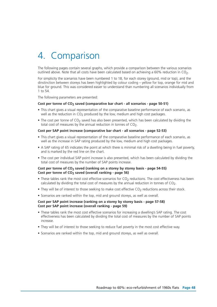# 4. Comparison

The following pages contain several graphs, which provide a comparison between the various scenarios outlined above. Note that all costs have been calculated based on achieving a  $60\%$  reduction in CO<sub>2</sub>.

For simplicity the scenarios have been numbered 1 to 18, for each storey (ground, mid or top), and the dinstinction between storeys has been highlighted by colour coding – yellow for top, orange for mid and blue for ground. This was considered easier to understand than numbering all scenarios individually from 1 to 54.

The following parameters are presented:

## Cost per tonne of CO<sub>2</sub> saved (comparative bar chart - all scenarios - page 50-51)

- This chart gives a visual representation of the comparative baseline performance of each scenario, as well as the reduction in  $CO<sub>2</sub>$  produced by the low, medium and high cost packages.
- The cost per tonne of CO<sub>2</sub> saved has also been presented, which has been calculated by dividing the total cost of measures by the annual reduction in tonnes of  $CO<sub>2</sub>$ .

#### **Cost per SAP point increase (comparative bar chart - all scenarios - page 52-53)**

- This chart gives a visual representation of the comparative baseline performance of each scenario, as well as the increase in SAP rating produced by the low, medium and high cost packages.
- A SAP rating of 65 indicates the point at which there is minimal risk of a dwelling being in fuel poverty, and is marked by the red line on the chart.
- The cost per individual SAP point increase is also presented, which has been calculated by dividing the total cost of measures by the number of SAP points increase.

### Cost per tonne of CO<sub>2</sub> saved (ranking on a storey by storey basis - page 54-55) Cost per tonne of CO<sub>2</sub> saved (overall ranking - page 56)

- These tables rank the most cost effective scenarios for  $CO<sub>2</sub>$  reductions. The cost effectiveness has been calculated by dividing the total cost of measures by the annual reduction in tonnes of  $CO<sub>2</sub>$ .
- They will be of interest to those seeking to make cost effective CO<sub>2</sub> reductions across their stock.
- Scenarios are ranked within the top, mid and ground storeys, as well as overall.

### **Cost per SAP point increase (ranking on a storey by storey basis - page 57-58) Cost per SAP point increase (overall ranking - page 59)**

- These tables rank the most cost effective scenarios for increasing a dwelling's SAP rating. The cost effectiveness has been calculated by dividing the total cost of measures by the number of SAP points increase.
- They will be of interest to those seeking to reduce fuel poverty in the most cost effective way.
- Scenarios are ranked within the top, mid and ground storeys, as well as overall.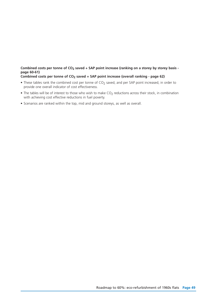## **Combined costs per tonne of CO2 saved + SAP point increase (ranking on a storey by storey basis page 60-61)**

**Combined costs per tonne of CO2 saved + SAP point increase (overall ranking - page 62)**

- These tables rank the combined cost per tonne of CO<sub>2</sub> saved, and per SAP point increased, in order to provide one overall indicator of cost effectiveness.
- $\bullet$  The tables will be of interest to those who wish to make CO<sub>2</sub> reductions across their stock, in combination with achieving cost effective reductions in fuel poverty.
- Scenarios are ranked within the top, mid and ground storeys, as well as overall.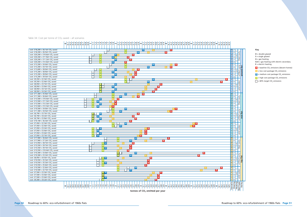### Table 34: Cost per tonne of  $CO<sub>2</sub>$  saved – all scenarios







#### **Key**

- **D** = double glazed
- **S** = single glazed
- **G** = gas heating
- **G+E** = gas heating with electric secondary
- **E** = electric heating
- $B =$  baseline CO<sub>2</sub> emissions (decent homes)
- $\blacksquare$  = low cost package CO<sub>2</sub> emissions
- $M$  = medium cost package  $CO<sub>2</sub>$  emissions
- $\mathbf{H}$  = high cost package CO<sub>2</sub> emissions
- $\Box$  = 60% target CO<sub>2</sub> emissions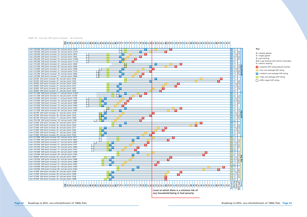## Table 35: Cost per SAP point increase – all scenarios

- **D** = double glazed
- **S** = single glazed
- **G** = gas heating



| )<br>2)<br>2)<br>2) |   | ì                                              |             | $\mathbf{r}$<br>٦ |               | $\overline{ }$ |                |                      |                               |                 |                                                  |                  |                 |        | $\frac{1}{2}$   |            | $\frac{1}{2}$    |        | $\frac{1}{2}$ |                      | $\frac{1}{2}$ |             |        |                           |        |               |         |        |                 | $-12$  |                     | コココート               |                              |               |             |             |                     |        |                |        |               |                      |
|---------------------|---|------------------------------------------------|-------------|-------------------|---------------|----------------|----------------|----------------------|-------------------------------|-----------------|--------------------------------------------------|------------------|-----------------|--------|-----------------|------------|------------------|--------|---------------|----------------------|---------------|-------------|--------|---------------------------|--------|---------------|---------|--------|-----------------|--------|---------------------|---------------------|------------------------------|---------------|-------------|-------------|---------------------|--------|----------------|--------|---------------|----------------------|
| Pulce<br>į<br>Ï     | ١ |                                                |             |                   | $\mathcal{L}$ |                | J<br>$\bigcap$ | $\epsilon$<br>١      | $\overline{\phantom{a}}$<br>J | $\epsilon$<br>١ | $\epsilon$<br>١<br>$\overline{\phantom{a}}$<br>J | <b>t</b><br>١    | $\epsilon$<br>١ | l<br>J | $\epsilon$<br>١ | $\epsilon$ | Ï                | C<br>١ | U<br>١        | ١<br>$\epsilon$<br>١ | $\epsilon$    | ١           | C<br>١ | $\epsilon$<br>$\cup$<br>١ |        | $\epsilon$    | t,<br>١ | J<br>C | $\epsilon$<br>١ | J      | $\mathfrak{c}$<br>١ | C<br>١<br>١         | $\overline{\mathbf{r}}$<br>١ | $\mathcal{L}$ | ١           | $\epsilon$  | C<br>١              | l<br>١ | $\subset$<br>١ |        | $\mathcal{L}$ | $\epsilon$<br>١<br>I |
| bulted<br>5         |   |                                                | ı<br>J<br>ł | I                 |               |                | $\ddot{+}$     |                      | J.<br>I<br>J                  | ŗ<br>t<br>J     |                                                  | .<br>+<br>+<br>J |                 | Щ<br>J | Ò<br>J          | j          | i<br>t<br>l<br>j | J      |               |                      | ì<br>)        | l<br>J<br>t | ı<br>J |                           | ŗ<br>J | 亐             | J<br>ı  | ı<br>J |                 | ľ<br>J | $_{5}^+$            | $\overline{1}$<br>J | Ï<br>ı<br>J                  |               | J           | t<br>í<br>j | $\overline{1}$<br>J | 1<br>J |                |        | 玉り<br>Ó       | J                    |
|                     |   | $\overline{\phantom{a}}$<br>١<br>$\frac{2}{3}$ | K/V<br>5    | ¢<br>j<br>1       |               | ξ              | lled           | χ<br>$\widetilde{c}$ |                               |                 | filled cay                                       |                  | š               |        |                 | pilos      | walled           |        |               | in III.              | ifilled       |             | CaVIL  |                           |        | $\frac{1}{2}$ | ć       | Ξ      |                 | pllos  |                     | allew<br>Maller     |                              |               | untille     | ₹<br>J      | ž<br>ŕ              | Í<br>Ê |                | filled |               | Cavity               |
| torey               |   |                                                |             |                   |               | top            |                | flat                 |                               |                 |                                                  |                  |                 |        |                 |            |                  |        |               |                      | mid flat      |             |        |                           |        |               |         |        |                 |        |                     |                     |                              |               | around flat |             |                     |        |                |        |               |                      |
|                     |   |                                                |             |                   |               |                |                |                      |                               |                 |                                                  |                  |                 |        |                 |            |                  |        |               |                      |               |             |        |                           |        |               |         |        |                 |        |                     |                     |                              |               |             |             |                     |        |                |        |               |                      |

#### **Key**

**G+E** = gas heating with electric secondary **E** = electric heating

- **B** = baseline SAP rating (decent homes)
- **L** = low cost package SAP rating
- **M** = medium cost package SAP rating
- **H** = high cost package SAP rating
- $\Box$  = 60% target SAP rating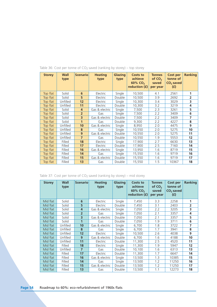| <b>Storey</b> | Wall<br>type | <b>Scenariol</b>        | <b>Heating</b><br>type | <b>Glazing</b><br>type | <b>Costs to</b><br>achieve<br>60% CO <sub>2</sub><br>reduction (f) | <b>Tonnes</b><br>of $CO2$<br>saved<br>per year | Cost per<br>tonne of<br>$CO2$ saved<br>(E) | <b>Ranking</b> |
|---------------|--------------|-------------------------|------------------------|------------------------|--------------------------------------------------------------------|------------------------------------------------|--------------------------------------------|----------------|
| Top flat      | Solid        | 6                       | Electric               | Single                 | 10,500                                                             | 4.1                                            | 2561                                       | 1              |
| Top flat      | Solid        | 5                       | Electric               | Double                 | 10,500                                                             | 3.9                                            | 2692                                       | $\overline{2}$ |
| Top flat      | Unfilled     | 12                      | Electric               | Single                 | 10,300                                                             | 3.4                                            | 3029                                       | 3              |
| Top flat      | Unfilled     | 11                      | Electric               | Double                 | 10,300                                                             | 3.2                                            | 3219                                       | 4              |
| Top flat      | Solid        | 4                       | Gas & electric         | Single                 | 7,500                                                              | 2.3                                            | 3261                                       | 5              |
| Top flat      | Solid        | $\overline{2}$          | Gas                    | Single                 | 7,500                                                              | 2.2                                            | 3409                                       | 6              |
| Top flat      | Solid        | $\overline{\mathbf{3}}$ | Gas & electric         | Double                 | 7,500                                                              | 2.2                                            | 3409                                       | 7              |
| Top flat      | Solid        | 1                       | Gas                    | Double                 | 9,300                                                              | 2.2                                            | 4227                                       | 8              |
| Top flat      | Unfilled     | 10                      | Gas & electric         | Single                 | 8,950                                                              | 2.0                                            | 4475                                       | 9              |
| Top flat      | Unfilled     | 8                       | Gas                    | Single                 | 10,550                                                             | 2.0                                            | 5275                                       | 10             |
| Top flat      | Unfilled     | 9                       | Gas & electric         | Double                 | 10,550                                                             | 2.0                                            | 5275                                       | 11             |
| Top flat      | Unfilled     | $\overline{7}$          | Gas                    | Double                 | 10,550                                                             | 1.9                                            | 5553                                       | 12             |
| Top flat      | Filled       | 18                      | Electric               | Single                 | 17,900                                                             | 2.7                                            | 6630                                       | 13             |
| Top flat      | Filled       | 17                      | Electric               | Double                 | 17,900                                                             | 2.5                                            | 7160                                       | 14             |
| Top flat      | Filled       | 16                      | Gas & electric         | Single                 | 13,950                                                             | 1.6                                            | 8719                                       | 15             |
| Top flat      | Filled       | 14                      | Gas                    | Single                 | 15,550                                                             | 1.6                                            | 9719                                       | 16             |
| Top flat      | Filled       | 15                      | Gas & electric         | Double                 | 15,550                                                             | 1.6                                            | 9719                                       | 17             |
| Top flat      | Filled       | 13                      | Gas                    | Double                 | 15,550                                                             | 1.5                                            | 10367                                      | 18             |

## Table 36: Cost per tonne of  $CO<sub>2</sub>$  saved (ranking by storey) – top storey

Table 37: Cost per tonne of CO2 saved (ranking by storey) – mid storey

| <b>Storey</b> | Wall<br>type | <b>Scenario</b>         | <b>Heating</b><br>type | <b>Glazing</b><br>type | Costs to<br>achieve<br>60% CO <sub>2</sub><br>reduction (f) | <b>Tonnes</b><br>of $CO2$<br>saved<br>per year | Cost per<br>tonne of<br>$CO2$ saved<br>(f) | <b>Ranking</b> |
|---------------|--------------|-------------------------|------------------------|------------------------|-------------------------------------------------------------|------------------------------------------------|--------------------------------------------|----------------|
| Mid flat      | Solid        | 6                       | Electric               | Single                 | 7,450                                                       | 3.3                                            | 2258                                       | 1              |
| Mid flat      | Solid        | 5                       | Electric               | Double                 | 7,450                                                       | 3.1                                            | 2403                                       | $\overline{2}$ |
| Mid flat      | Solid        | $\overline{4}$          | Gas & electric         | Single                 | 7,050                                                       | 2.2                                            | 3205                                       | 3              |
| Mid flat      | Solid        | $\overline{2}$          | Gas                    | Single                 | 7,050                                                       | 2.1                                            | 3357                                       | 4              |
| Mid flat      | Solid        | $\overline{\mathbf{3}}$ | Gas & electric         | Double                 | 7,050                                                       | 2.1                                            | 3357                                       | 5              |
| Mid flat      | Solid        | $\mathbf{1}$            | Gas                    | Double                 | 7,050                                                       | 1.9                                            | 3711                                       | 6              |
| Mid flat      | Unfilled     | 10                      | Gas & electric         | Single                 | 6,700                                                       | 1.8                                            | 3722                                       | 7              |
| Mid flat      | Unfilled     | 8                       | Gas                    | Single                 | 6,700                                                       | 1.7                                            | 3941                                       | 8              |
| Mid flat      | Unfilled     | 12                      | Electric               | Single                 | 10,500                                                      | 2.6                                            | 4038                                       | 9              |
| Mid flat      | Unfilled     | 9                       | Gas & electric         | Double                 | 6,700                                                       | 1.6                                            | 4188                                       | 10             |
| Mid flat      | Unfilled     | 11                      | Electric               | Double                 | 11,300                                                      | 2.5                                            | 4520                                       | 11             |
| Mid flat      | Filled       | 18                      | Electric               | Single                 | 11,300                                                      | 1.9                                            | 5947                                       | 12             |
| Mid flat      | Unfilled     | $\overline{7}$          | Gas                    | Double                 | 10,100                                                      | 1.6                                            | 6313                                       | 13             |
| Mid flat      | Filled       | 17                      | Electric               | Double                 | 11,300                                                      | 1.7                                            | 6647                                       | 14             |
| Mid flat      | Filled       | 16                      | Gas & electric         | Single                 | 13,500                                                      | 1.3                                            | 10385                                      | 15             |
| Mid flat      | Filled       | 14                      | Gas                    | Single                 | 13,500                                                      | 1.2                                            | 11250                                      | 16             |
| Mid flat      | Filled       | 15                      | Gas & electric         | Double                 | 13,500                                                      | 1.2                                            | 11250                                      | 17             |
| Mid flat      | Filled       | 13                      | Gas                    | Double                 | 13,500                                                      | 1.1                                            | 12273                                      | 18             |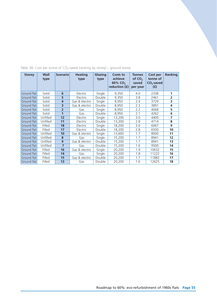| <b>Storey</b>      | Wall<br>type | <b>Scenario</b> | <b>Heating</b><br>type | <b>Glazing</b><br>type | Costs to<br>achieve<br>60% CO <sub>2</sub><br>reduction (£) | <b>Tonnes</b><br>of $CO2$<br>saved<br>per year | Cost per<br>tonne of<br>$CO2$ saved<br>(f) | <b>Ranking</b>    |
|--------------------|--------------|-----------------|------------------------|------------------------|-------------------------------------------------------------|------------------------------------------------|--------------------------------------------|-------------------|
| Ground flat        | Solid        | 6               | Electric               | Single                 | 9,350                                                       | 4.0                                            | 2338                                       | 1                 |
| Ground flat        | Solid        | 5               | Electric               | Double                 | 9,350                                                       | 3.8                                            | 2461                                       | $\overline{2}$    |
| Ground flat        | Solid        | $\overline{4}$  | Gas & electric         | Single                 | 8,950                                                       | 2.4                                            | 3729                                       | 3                 |
| Ground flat        | Solid        | 3               | Gas & electric         | Double                 | 8,950                                                       | 2.3                                            | 3891                                       | 4                 |
| Ground flat        | Solid        | $\overline{2}$  | Gas                    | Single                 | 8,950                                                       | 2.2                                            | 4068                                       | 5                 |
| Ground flat        | Solid        | $\mathbf{1}$    | Gas                    | Double                 | 8,950                                                       | 2.1                                            | 4262                                       | 6                 |
| Ground flat        | Unfilled     | 12              | Electric               | Single                 | 13,200                                                      | 3.0                                            | 4400                                       | 7                 |
| Ground flat        | Unfilled     | 11              | Electric               | Double                 | 13,200                                                      | 2.8                                            | 4714                                       | 8                 |
| Ground flat        | Filled       | 18              | Electric               | Single                 | 18,200                                                      | 3.0                                            | 6067                                       | 9                 |
| Ground flat        | Filled       | 17              | Electric               | Double                 | 18,200                                                      | 2.8                                            | 6500                                       | 10                |
| Ground flat        | Unfilled     | 10              | Gas & electric         | Single                 | 13,600                                                      | 1.7                                            | 8000                                       | 11                |
| Ground flat        | Unfilled     | 8               | Gas                    | Single                 | 15,200                                                      | 1.7                                            | 8941                                       | $12 \overline{ }$ |
| Ground flat        | Unfilled     | 9               | Gas & electric         | Double                 | 15,200                                                      | 1.7                                            | 8941                                       | 13                |
| Ground flat        | Unfilled     | $\overline{7}$  | Gas                    | Double                 | 15,200                                                      | 1.6                                            | 9500                                       | 14                |
| Ground flat        | Filled       | 16              | Gas & electric         | Single                 | 20,200                                                      | 1.9                                            | 10632                                      | 15                |
| Ground flat        | Filled       | 14              | Gas                    | Single                 | 20,200                                                      | 1.8                                            | 11222                                      | 16                |
| Ground flat        | Filled       | 15              | Gas & electric         | Double                 | 20,200                                                      | 1.7                                            | 11882                                      | 17                |
| <b>Ground flat</b> | Filled       | 13              | Gas                    | Double                 | 20,200                                                      | 1.6                                            | 12625                                      | 18                |

## Table 38: Cost per tonne of CO<sub>2</sub> saved (ranking by storey) – ground storey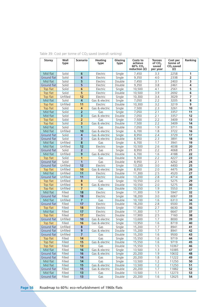| Storey                  | Wall<br>type       | <b>Scenario</b>         | <b>Heating</b><br>type | Glazing<br>type  | Costs to<br>achieve<br>60% CO <sub>2</sub><br>reduction (£) | <b>Tonnes</b><br>of CO <sub>2</sub><br>saved<br>per year | Cost per<br>tonne of<br>$CO2$ saved<br>(f) | Ranking        |
|-------------------------|--------------------|-------------------------|------------------------|------------------|-------------------------------------------------------------|----------------------------------------------------------|--------------------------------------------|----------------|
| Mid flat                | Solid              | 6                       | Electric               | Single           | 7,450                                                       | 3.3                                                      | 2258                                       | 1              |
| Ground flat             | Solid              | 6                       | Electric               | Single           | 9,350                                                       | 4.0                                                      | 2338                                       | $\overline{2}$ |
| Mid flat                | Solid              | 5                       | Electric               | Double           | 7,450                                                       | 3.1                                                      | 2403                                       | 3              |
| Ground flat             | Solid              | 5                       | Electric               | Double           | 9,350                                                       | 3.8                                                      | 2461                                       | 4              |
| Top flat                | Solid              | 6                       | Electric               | Single           | 10,500                                                      | 4.1                                                      | 2561                                       | 5              |
| Top flat                | Solid              | 5                       | Electric               | Double           | 10,500                                                      | 3.9                                                      | 2692                                       | 6              |
| Top flat                | Unfilled           | 12                      | Electric               | Single           | 10,300                                                      | 3.4                                                      | 3029                                       | $\overline{7}$ |
| Mid flat                | Solid              | 4                       | Gas & electric         | Single           | 7,050                                                       | 2.2                                                      | 3205                                       | 8              |
| Top flat                | Unfilled           | 11                      | Electric               | Double           | 10,300                                                      | 3.2                                                      | 3219                                       | 9              |
| Top flat                | Solid              | 4                       | Gas & electric         | Single           | 7,500                                                       | 2.3                                                      | 3261                                       | 10             |
| Mid flat                | Solid              | $\overline{2}$          | Gas                    | Single           | 7,050                                                       | 2.1                                                      | 3357                                       | 11             |
| Mid flat                | Solid              | 3                       | Gas & electric         | Double           | 7,050                                                       | 2.1                                                      | 3357                                       | 12             |
| Top flat                | Solid              | $\overline{2}$          | Gas                    | Single           | 7,500                                                       | 2.2                                                      | 3409                                       | 13             |
| Top flat                | Solid              | 3                       | Gas & electric         | Double           | 7,500                                                       | 2.2                                                      | 3409                                       | 14             |
| Mid flat                | Solid              | $\mathbf{1}$            | Gas                    | Double           | 7,050                                                       | 1.9                                                      | 3711                                       | 15             |
| Mid flat                | Unfilled           | 10                      | Gas & electric         | Single           | 6,700                                                       | 1.8                                                      | 3722                                       | 16             |
| Ground flat             | Solid              | 4                       | Gas & electric         | Single           | 8,950                                                       | 2.4                                                      | 3729                                       | 17             |
| Ground flat             | Solid              | 3                       | Gas & electric         | Double           | 8,950                                                       | 2.3                                                      | 3891                                       | 18             |
| Mid flat                | Unfilled           | 8                       | Gas                    | Single           | 6,700                                                       | 1.7                                                      | 3941                                       | 19             |
| Mid flat                | Unfilled           | 12                      | Electric               | Single           | 10,500                                                      | 2.6                                                      | 4038                                       | 20             |
| Ground flat             | Solid              | $\overline{2}$          | Gas                    | Single           | 8,950                                                       | 2.2                                                      | 4068                                       | 21             |
| Mid flat                | Unfilled           | 9                       | Gas & electric         | Double           | 6,700                                                       | 1.6                                                      | 4188                                       | 22             |
| Top flat                | Solid              | $\mathbf{1}$            | Gas                    | Double           | 9,300                                                       | 2.2                                                      | 4227                                       | 23             |
| Ground flat             | Solid              | $\mathbf{1}$            | Gas                    | Double           | 8,950                                                       | 2.1                                                      | 4262                                       | 24             |
| Ground flat             | Unfilled           | 12                      | Electric               | Single           | 13,200                                                      | 3.0                                                      | 4400                                       | 25             |
| Top flat                | Unfilled           | 10                      | Gas & electric         | Single           | 8,950                                                       | 2.0                                                      | 4475                                       | 26             |
| Mid flat                | Unfilled           | 11                      | Electric               | Double           | 11,300                                                      | 2.5                                                      | 4520                                       | 27             |
| Ground flat             | Unfilled           | 11                      | Electric               | Double           | 13,200                                                      | 2.8                                                      | 4714                                       | 28             |
| Top flat                | Unfilled           | 8                       | Gas                    | Single           | 10,550                                                      | 2.0                                                      | 5275                                       | 29             |
| Top flat                | Unfilled           | 9                       | Gas & electric         | Double           | 10,550                                                      | 2.0                                                      | 5275                                       | 30             |
| Top flat                | Unfilled           | $\overline{7}$          | Gas                    | Double           | 10,550                                                      | 1.9                                                      | 5553                                       | 31             |
| Mid flat                | Filled             | 18                      | Electric               | Single           | 11,300                                                      | 1.9                                                      | 5947                                       | 32             |
| Ground flat             | Filled             | 18                      | Electric               | Single           | 18,200                                                      | 3.0                                                      | 6067                                       | 33<br>34       |
| Mid flat<br>Ground flat | Unfilled<br>Filled | $\overline{7}$<br>17    | Gas                    | Double<br>Double | 10,100                                                      | 1.6<br>2.8                                               | 6313<br>6500                               | 35             |
| Top flat                | Filled             | 18                      | Electric<br>Electric   | Single           | 18,200<br>17,900                                            | 2.7                                                      | 6630                                       | 36             |
| Mid flat                | Filled             | 17                      | Electric               | Double           | 11,300                                                      | 1.7                                                      | 6647                                       | 37             |
| Top flat                | Filled             | 17                      | Electric               | Double           | 17,900                                                      | 2.5                                                      | 7160                                       | 38             |
| Ground flat             | Unfilled           | 10                      | Gas & electric         | Single           | 13,600                                                      | 1.7                                                      | 8000                                       | 39             |
| Top flat                | Filled             | 16                      | Gas & electric         | Single           | 13,950                                                      | 1.6                                                      | 8719                                       | 40             |
| Ground flat             | Unfilled           | 8                       | Gas                    | Single           | 15,200                                                      | 1.7                                                      | 8941                                       | 41             |
| Ground flat             | Unfilled           | 9                       | Gas & electric         | Double           | 15,200                                                      | 1.7                                                      | 8941                                       | 42             |
| Ground flat             | Unfilled           | $\overline{\mathbf{z}}$ | Gas                    | Double           | 15,200                                                      | 1.6                                                      | 9500                                       | 43             |
| Top flat                | Filled             | 14                      | Gas                    | Single           | 15,550                                                      | 1.6                                                      | 9719                                       | 44             |
| Top flat                | Filled             | 15                      | Gas & electric         | Double           | 15,550                                                      | 1.6                                                      | 9719                                       | 45             |
| Top flat                | Filled             | 13                      | Gas                    | Double           | 15,550                                                      | 1.5                                                      | 10367                                      | 46             |
| Mid flat                | Filled             | 16                      | Gas & electric         | Single           | 13,500                                                      | 1.3                                                      | 10385                                      | 47             |
| Ground flat             | Filled             | 16                      | Gas & electric         | Single           | 20,200                                                      | 1.9                                                      | 10632                                      | 48             |
| Ground flat             | Filled             | 14                      | Gas                    | Single           | 20,200                                                      | 1.8                                                      | 11222                                      | 49             |
| Mid flat                | Filled             | 14                      | Gas                    | Single           | 13,500                                                      | 1.2                                                      | 11250                                      | 50             |
| Mid flat                | Filled             | 15                      | Gas & electric         | Double           | 13,500                                                      | 1.2                                                      | 11250                                      | 51             |
| Ground flat             | Filled             | 15                      | Gas & electric         | Double           | 20,200                                                      | 1.7                                                      | 11882                                      | 52             |
| Mid flat                | Filled             | 13                      | Gas                    | Double           | 13,500                                                      | 1.1                                                      | 12273                                      | 53             |
| Ground flat             | Filled             | 13                      | Gas                    | Double           | 20,200                                                      | 1.6                                                      | 12625                                      | 54             |

Table 39: Cost per tonne of CO<sub>2</sub> saved (overall ranking)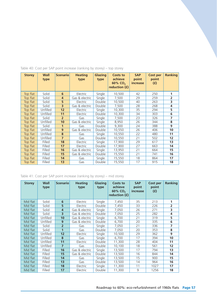| <b>Storey</b> | Wall<br>type | <b>Scenario</b>         | <b>Heating</b><br>type | <b>Glazing</b><br>type | Costs to<br>achieve<br>60% CO <sub>2</sub><br>reduction (£) | <b>SAP</b><br>point<br>increase | Cost per<br>point<br>(f) | <b>Ranking</b>    |
|---------------|--------------|-------------------------|------------------------|------------------------|-------------------------------------------------------------|---------------------------------|--------------------------|-------------------|
| Top flat      | Solid        | 6                       | Electric               | Single                 | 10,500<br>42                                                |                                 | 250                      | 1                 |
| Top flat      | Solid        | 4                       | Gas & electric         | Single                 | 7,500                                                       | 29                              | 259                      | $\overline{2}$    |
| Top flat      | Solid        | 5                       | Electric               | Double                 | 10,500                                                      | 40                              | 263                      | 3                 |
| Top flat      | Solid        | $\overline{\mathbf{3}}$ | Gas & electric         | Double                 | 7,500                                                       | 28                              | 268                      | 4                 |
| Top flat      | Unfilled     | 12                      | Electric               | Single                 | 10,300                                                      | 35                              | 294                      | 5                 |
| Top flat      | Unfilled     | 11                      | Electric               | Double                 | 10,300                                                      | 34                              | 303                      | 6                 |
| Top flat      | Solid        | $\overline{2}$          | Gas                    | Single                 | 7,500                                                       | 23                              | 326                      | 7                 |
| Top flat      | Unfilled     | 10 <sup>1</sup>         | Gas & electric         | Single                 | 8,950                                                       | 26                              | 344                      | 8                 |
| Top flat      | Solid        | $\mathbf{1}$            | Gas                    | Double                 | 9,300                                                       | 24                              | 388                      | 9                 |
| Top flat      | Unfilled     | 9                       | Gas & electric         | Double                 | 10,550                                                      | 26                              | 406                      | 10                |
| Top flat      | Unfilled     | 8                       | Gas                    | Single                 | 10,550                                                      | 22                              | 480                      | 11                |
| Top flat      | Unfilled     | $\overline{7}$          | Gas                    | Double                 | 10,550                                                      | 21                              | 502                      | $12 \overline{ }$ |
| Top flat      | Filled       | 18                      | Electric               | Single                 | 17,900                                                      | 29                              | 617                      | 13                |
| Top flat      | Filled       | 17                      | Electric               | Double                 | 17,900                                                      | 27                              | 663                      | 14                |
| Top flat      | Filled       | 16                      | Gas & electric         | Single                 | 13,950                                                      | 21                              | 664                      | 15                |
| Top flat      | Filled       | 15                      | Gas & electric         | Double                 | 15,550                                                      | 21                              | 741                      | 16                |
| Top flat      | Filled       | 14                      | Gas                    | Single                 | 15,550                                                      | 18                              | 864                      | 17                |
| Top flat      | Filled       | 13                      | Gas                    | Double                 | 15,550                                                      | 17                              | 915                      | 18                |

## Table 40: Cost per SAP point increase (ranking by storey) – top storey

## Table 41: Cost per SAP point increase (ranking by storey) – mid storey

| <b>Storey</b> | Wall<br>type | <b>Scenario</b> | <b>Heating</b><br>type | Glazing<br>type | Costs to<br>achieve<br>60% CO <sub>2</sub><br>reduction (£) | <b>SAP</b><br>point<br>increase | <b>Cost per</b><br>point<br>(f) | Ranking           |
|---------------|--------------|-----------------|------------------------|-----------------|-------------------------------------------------------------|---------------------------------|---------------------------------|-------------------|
| Mid flat      | Solid        | 6               | Electric               | Single          | 7,450<br>35                                                 |                                 | 213                             | 1                 |
| Mid flat      | Solid        | 5               | Electric               | Double          | 7,450                                                       | 33                              | 226                             | $\overline{2}$    |
| Mid flat      | Solid        | $\overline{4}$  | Gas & electric         | Single          | 7,050                                                       | 26                              | 271                             | 3                 |
| Mid flat      | Solid        | 3               | Gas & electric         | Double          | 7,050                                                       | 25                              | 282                             | 4                 |
| Mid flat      | Unfilled     | 10              | Gas & electric         | Single          | 6,700                                                       | 21                              | 319                             | 5                 |
| Mid flat      | Unfilled     | 9               | Gas & electric         | Double          | 6,700                                                       | 20                              | 335                             | 6                 |
| Mid flat      | Solid        | $\overline{2}$  | Gas                    | Single          | 7,050                                                       | 21                              | 336                             | 7                 |
| Mid flat      | Solid        | $\mathbf{1}$    | Gas                    | Double          | 7,050                                                       | 20                              | 353                             | 8                 |
| Mid flat      | Unfilled     | 12              | Electric               | Single          | 10,500                                                      | 29                              | 362                             | 9                 |
| Mid flat      | Unfilled     | 8               | Gas                    | Single          | 6,700                                                       | 17                              | 394                             | 10                |
| Mid flat      | Unfilled     | 11              | Electric               | Double          | 11,300                                                      | 28                              | 404                             | 11                |
| Mid flat      | Unfilled     | 7               | Gas                    | Double          | 10,100                                                      | 18                              | 561                             | $12 \overline{ }$ |
| Mid flat      | Filled       | 16              | Gas & electric         | Single          | 13,500                                                      | 17                              | 794                             | 13                |
| Mid flat      | Filled       | 15              | Gas & electric         | Double          | 13,500                                                      | 16                              | 844                             | 14                |
| Mid flat      | Filled       | 14              | Gas                    | Single          | 13,500                                                      | 15                              | 900                             | 15                |
| Mid flat      | Filled       | 13              | Gas                    | Double          | 13,500                                                      | 14                              | 964                             | 16                |
| Mid flat      | Filled       | 18              | Electric               | Single          | 11,300                                                      | 11                              | 1027                            | 17                |
| Mid flat      | Filled       | 17              | Electric               | Double          | 11,300                                                      | 9                               | 1256                            | 18                |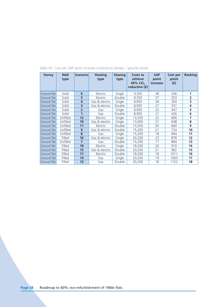| <b>Storey</b> | Wall<br>type | <b>Scenario</b> | <b>Heating</b><br>type | Glazing<br>type | Costs to<br>achieve<br>60% CO <sub>2</sub><br>reduction (f) | <b>SAP</b><br>point<br>increase | Cost per<br>point<br>(f) | Ranking           |
|---------------|--------------|-----------------|------------------------|-----------------|-------------------------------------------------------------|---------------------------------|--------------------------|-------------------|
| Ground flat   | Solid        | 6               | Electric               | Single          | 9,350                                                       | 38                              | 246                      | 1                 |
| Ground flat   | Solid        | 5               | Electric               | Double          | 9,350                                                       | 37                              | 253                      | $\overline{2}$    |
| Ground flat   | Solid        | $\overline{4}$  | Gas & electric         | Single          | 8,950                                                       | 28                              | 320                      | 3                 |
| Ground flat   | Solid        | 3               | Gas & electric         | Double          | 8,950                                                       | 27                              | 331                      | 4                 |
| Ground flat   | Solid        | $\overline{2}$  | Gas                    | Single          | 8,950                                                       | 22                              | 407                      | 5                 |
| Ground flat   | Solid        | $\overline{1}$  | Gas                    | Double<br>8,950 |                                                             | 21                              | 426                      | 6                 |
| Ground flat   | Unfilled     | 12              | Electric               | Single          | 13,200                                                      | 22                              | 600                      | 7                 |
| Ground flat   | Unfilled     | 10              | Gas & electric         | Single          | 13,600                                                      | 21                              | 648                      | 8                 |
| Ground flat   | Unfilled     | 11              | Electric               | Double          | 13,200                                                      | 20                              | 660                      | 9                 |
| Ground flat   | Unfilled     | 9               | Gas & electric         | Double          | 15,200                                                      | 21                              | 724                      | 10                |
| Ground flat   | Unfilled     | 8               | Gas                    | Single          | 15,200                                                      | 18                              | 844                      | 11                |
| Ground flat   | Filled       | 16              | Gas & electric         | Single          | 20,200                                                      | 23                              | 878                      | $12 \overline{ }$ |
| Ground flat   | Unfilled     | $\overline{7}$  | Gas                    | Double          | 15,200                                                      | 17                              | 894                      | 13                |
| Ground flat   | Filled       | 18              | Electric               | Single          | 18,200                                                      | 20                              | 910                      | 14                |
| Ground flat   | Filled       | 15              | Gas & electric         | Double          | 20,200                                                      | 21                              | 962                      | 15                |
| Ground flat   | Filled       | 17              | Electric               | Double          | 18,200                                                      | 18                              | 1011                     | 16                |
| Ground flat   | Filled       | 14              | Gas                    | Single          | 20,200                                                      | 19                              | 1063                     | 17                |
| Ground flat   | Filled       | 13              | Gas                    | Double          | 20,200                                                      | 18                              | 1122                     | 18                |

## Table 42: Cost per SAP point increase (ranking by storey) – ground storey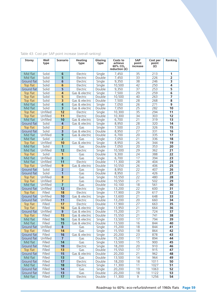| <b>Storey</b>           | Wall<br>type       | <b>Scenario</b>         | <b>Heating</b><br>type     | Glazing<br>type  | Costs to<br>achieve<br>60% CO <sub>2</sub><br>reduction (£) | <b>SAP</b><br>point<br>increase | Cost per<br>point<br>(f) | Ranking                 |
|-------------------------|--------------------|-------------------------|----------------------------|------------------|-------------------------------------------------------------|---------------------------------|--------------------------|-------------------------|
| Mid flat                | Solid              | $6\phantom{1}6$         | Electric                   | Single           | 7,450                                                       | 35                              | 213                      | 1                       |
| Mid flat                | Solid              | 5                       | Electric                   | Double           | 7,450                                                       | $\overline{33}$                 | 226                      | $\overline{2}$          |
| Ground flat             | Solid              | 6                       | Electric                   | Single           | 9,350                                                       | 38                              | 246                      | $\overline{\mathbf{3}}$ |
| Top flat                | Solid              | 6                       | Electric                   | Single           | 10,500                                                      | 42                              | 250                      | 4                       |
| Ground flat             | Solid              | 5                       | Electric                   | Double           | 9,350                                                       | $\overline{37}$                 | 253                      | 5                       |
| Top flat                | Solid              | $\overline{4}$          | Gas & electric             | Single           | 7,500                                                       | 29                              | 259                      | $\overline{6}$          |
| Top flat                | Solid              | 5                       | Electric                   | Double           | 10,500                                                      | 40                              | 263                      | 7                       |
| Top flat                | Solid              | 3                       | Gas & electric             | Double           | 7,500                                                       | 28                              | 268                      | 8                       |
| Mid flat                | Solid              | 4                       | Gas & electric             | Single           | 7,050                                                       | $\overline{26}$                 | 271                      | 9                       |
| Mid flat                | Solid              | $\overline{3}$          | Gas & electric             | Double           | 7,050                                                       | $\overline{25}$                 | 282                      | 10                      |
| Top flat                | Unfilled           | 12                      | Electric                   | Single           | 10,300                                                      | $\overline{35}$                 | 294                      | 11                      |
| Top flat                | Unfilled           | 11                      | Electric                   | Double           | 10,300                                                      | 34                              | 303                      | 12                      |
| Mid flat                | Unfilled           | 10                      | Gas & electric             | Single           | 6,700                                                       | $\overline{21}$                 | 319                      | 13                      |
| Ground flat             | Solid              | $\overline{4}$          | Gas & electric             | Single           | 8,950                                                       | 28                              | 320                      | 14                      |
| Top flat                | Solid              | $\overline{2}$          | Gas                        | Single           | 7,500                                                       | $\overline{23}$                 | 326                      | $\overline{15}$         |
| Ground flat             | Solid              | $\overline{\mathbf{3}}$ | Gas & electric             | Double           | 8,950                                                       | $\overline{27}$                 | 331                      | 16                      |
| Mid flat                | Unfilled           | 9                       | Gas & electric             | Double           | 6,700                                                       | 20                              | 335                      | 17                      |
| Mid flat                | Solid              | $\overline{2}$          | Gas                        | Single           | 7,050                                                       | $\overline{21}$                 | 336                      | $\overline{18}$         |
| Top flat                | Unfilled           | 10                      | Gas & electric             | Single           | 8,950                                                       | $\overline{26}$                 | 344                      | 19                      |
| Mid flat                | Solid              | $\mathbf{1}$            | Gas                        | Double           | 7,050                                                       | $\overline{20}$                 | 353                      | $\overline{20}$         |
| Mid flat                | Unfilled           | 12                      | Electric                   | Single           | 10,500                                                      | 29                              | 362                      | 21                      |
| Top flat                | Solid              | 1                       | Gas                        | Double           | 9,300                                                       | 24                              | 388                      | 22                      |
| Mid flat                | Unfilled           | $\overline{\mathbf{8}}$ | Gas                        | Single           | 6,700                                                       | 17                              | 394                      | $\overline{23}$         |
| Mid flat                | Unfilled           | 11                      | Electric                   | Double           | 11,300                                                      | 28                              | 404                      | 24                      |
| Top flat                | Unfilled           | 9                       | Gas & electric             | Double           | 10,550                                                      | $\overline{26}$                 | 406                      | $\overline{25}$         |
| Ground flat             | Solid              | $\overline{2}$          | Gas                        | Single           | 8,950                                                       | 22                              | 407                      | $\overline{26}$         |
| Ground flat             | Solid              | $\mathbf{1}$            | Gas                        | Double           | 8,950                                                       | $\overline{21}$                 | 426                      | $\overline{27}$         |
| Top flat                | Unfilled           | 8                       | Gas                        | Single           | 10,550                                                      | 22                              | 480                      | 28                      |
| Top flat                | Unfilled           | 7                       | Gas                        | Double           | 10,550                                                      | $\overline{21}$                 | 502                      | 29                      |
| Mid flat                | Unfilled           | $\overline{7}$          | Gas                        | Double           | 10,100                                                      | 18<br>$\overline{22}$           | 561                      | 30                      |
| Ground flat             | Unfilled<br>Filled | $\overline{12}$<br>18   | Electric                   | Single           | 13,200                                                      | 29                              | 600<br>617               | $\overline{31}$<br>32   |
| Top flat<br>Ground flat | Unfilled           | 10                      | Electric<br>Gas & electric | Single<br>Single | 17,900                                                      | $\overline{21}$                 | 648                      | $\overline{33}$         |
| Ground flat             | Unfilled           | 11                      | Electric                   | Double           | 13,600<br>13,200                                            | $\overline{20}$                 | 660                      | 34                      |
| Top flat                | Filled             | 17                      | Electric                   | Double           | 17,900                                                      | $\overline{27}$                 | 663                      | $\overline{35}$         |
| Top flat                | Filled             | 16                      | Gas & electric             | Single           | 13,950                                                      | $\overline{21}$                 | 664                      | 36                      |
| Ground flat             | Unfilled           | 9                       | Gas & electric             | Double           | 15,200                                                      | $\overline{21}$                 | 724                      | $\overline{37}$         |
| Top flat                | Filled             | 15                      | Gas & electric             | Double           | 15,550                                                      | $\overline{21}$                 | 741                      | $\overline{38}$         |
| Mid flat                | Filled             | 16                      | Gas & electric             | Single           | 13,500                                                      | 17                              | 794                      | $\overline{39}$         |
| Mid flat                | Filled             | 15                      | Gas & electric             | Double           | 13,500                                                      | 16                              | 844                      | 40                      |
| Ground flat             | Unfilled           | 8                       | Gas                        | Single           | 15,200                                                      | 18                              | 844                      | 41                      |
| Top flat                | Filled             | 14                      | $\overline{Gas}$           | Single           | 15,550                                                      | 18                              | 864                      | 42                      |
| Ground flat             | Filled             | 16                      | Gas & electric             | Single           | 20,200                                                      | $\overline{23}$                 | 878                      | 43                      |
| Ground flat             | Unfilled           | $\overline{7}$          | Gas                        | Double           | 15,200                                                      | 17                              | 894                      | 44                      |
| Mid flat                | Filled             | 14                      | Gas                        | Single           | 13,500                                                      | 15                              | 900                      | 45                      |
| Ground flat             | Filled             | 18                      | Electric                   | Single           | 18,200                                                      | 20                              | 910                      | 46                      |
| Top flat                | Filled             | 13                      | Gas                        | Double           | 15,550                                                      | 17                              | 915                      | 47                      |
| Ground flat             | Filled             | 15                      | Gas & electric             | Double           | 20,200                                                      | $\overline{21}$                 | 962                      | 48                      |
| Mid flat                | Filled             | 13                      | Gas                        | Double           | 13,500                                                      | 14                              | 964                      | 49                      |
| Ground flat             | Filled             | 17                      | Electric                   | Double           | 18,200                                                      | 18                              | 1011                     | 50                      |
| Mid flat                | Filled             | 18                      | Electric                   | Single           | 11,300                                                      | 11                              | 1027                     | 51                      |
| Ground flat             | Filled             | 14                      | Gas                        | Single           | 20,200                                                      | 19                              | 1063                     | 52                      |
| Ground flat             | Filled             | 13                      | Gas                        | Double           | 20,200                                                      | 18                              | 1122                     | 53                      |
| Mid flat                | Filled             | 17                      | Electric                   | Double           | 11,300                                                      | $\overline{9}$                  | 1256                     | 54                      |

Table 43: Cost per SAP point increase (overall ranking)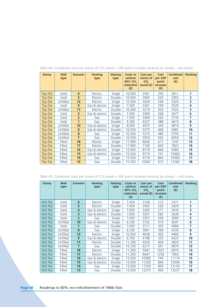| <b>Storey</b> | Wall<br>type | <b>Scenario</b> | <b>Heating</b><br>type | <b>Glazing</b><br>type | <b>Costs to</b><br>achieve<br>60% CO <sub>2</sub><br>reduction<br>(f) | Cost per<br>tonne of<br>CO <sub>2</sub><br>saved $(f)$ | Cost<br>per SAP<br>point<br>increase<br>(f) | <b>Combined</b><br>cost<br>(f) | <b>Ranking</b>    |
|---------------|--------------|-----------------|------------------------|------------------------|-----------------------------------------------------------------------|--------------------------------------------------------|---------------------------------------------|--------------------------------|-------------------|
| Top flat      | Solid        | 6               | Electric               | Single                 | 10,500                                                                | 2561                                                   | 250                                         | 2811                           | 1                 |
| Top flat      | Solid        | 5               | Electric               | Double                 | 10,500                                                                | 2692                                                   | 263                                         | 2955                           | $\overline{2}$    |
| Top flat      | Unfilled     | 12              | Electric               | Single                 | 10,300                                                                | 3029                                                   | 294                                         | 3323                           | 3                 |
| Top flat      | Solid        | 4               | Gas & electric         | Single                 | 7,500                                                                 | 3261                                                   | 259                                         | 3520                           | 4                 |
| Top flat      | Unfilled     | 11              | <b>Electric</b>        | Double                 | 10,300                                                                | 3219                                                   | 303                                         | 3522                           | 5                 |
| Top flat      | Solid        | 3               | Gas & electric         | Double                 | 7,500                                                                 | 3409                                                   | 268                                         | 3677                           | 6                 |
| Top flat      | Solid        | $\overline{2}$  | Gas                    | Single                 | 7,500                                                                 | 3409                                                   | 326                                         | 3735                           | $\overline{ }$    |
| Top flat      | Solid        | $\mathbf{1}$    | Gas                    | Double                 | 9,300                                                                 | 4227                                                   | 388                                         | 4615                           | 8                 |
| Top flat      | Unfilled     | 10              | Gas & electric         | Single                 | 8,950                                                                 | 4475                                                   | 344                                         | 4819                           | 9                 |
| Top flat      | Unfilled     | 9               | Gas & electric         | Double                 | 10,550                                                                | 5275                                                   | 406                                         | 5681                           | 10                |
| Top flat      | Unfilled     | 8               | Gas                    | Single                 | 10,550                                                                | 5275                                                   | 480                                         | 5755                           | 11                |
| Top flat      | Unfilled     | $\overline{7}$  | Gas                    | Double                 | 10,550                                                                | 5553                                                   | 502                                         | 6055                           | $12 \overline{ }$ |
| Top flat      | Filled       | 18              | Electric               | Single                 | 17,900                                                                | 6630                                                   | 617                                         | 7247                           | 13                |
| Top flat      | Filled       | 17              | Electric               | Double                 | 17,900                                                                | 7160                                                   | 663                                         | 7823                           | 14                |
| Top flat      | Filled       | 16              | Gas & electric         | Single                 | 13,950                                                                | 8719                                                   | 664                                         | 9383                           | 15                |
| Top flat      | Filled       | 15              | Gas & electric         | Double                 | 15,550                                                                | 9719                                                   | 741                                         | 10460                          | 16                |
| Top flat      | Filled       | 14              | Gas                    | Single                 | 15,550                                                                | 9719                                                   | 864                                         | 10583                          | 17                |
| Top flat      | Filled       | 13              | Gas                    | Double                 | 15,550                                                                | 10367                                                  | 915                                         | 11282                          | 18                |

## Table 44: Combined costs per tonne of  $CO<sub>2</sub>$  saved + SAP point increase (ranking by storey) – top storey

Table 45: Combined costs per tonne of  $CO<sub>2</sub>$  saved + SAP point increase (ranking by storey) – mid storey

| <b>Storey</b> | Wall<br>type | <b>Scenario</b> | <b>Heating</b><br>type | Glazing<br>type | Costs to<br>achieve<br>60% CO <sub>2</sub><br>reduction<br>(f) | Cost per<br>tonne of<br>CO <sub>2</sub><br>saved (£) | Cost<br>per SAP<br>point<br>increase<br>(f) | <b>Combined</b><br>cost<br>(f) | Ranking |
|---------------|--------------|-----------------|------------------------|-----------------|----------------------------------------------------------------|------------------------------------------------------|---------------------------------------------|--------------------------------|---------|
| Mid flat      | Solid        | 6               | Electric               | Single          | 7,450                                                          | 2258                                                 | 213                                         | 2471                           | 1       |
| Mid flat      | Solid        | 5               | Electric               | Double          | 7,450                                                          | 2403                                                 | 226                                         | 2629                           | 2       |
| Mid flat      | Solid        | 4               | Gas & electric         | Single          | 7,050                                                          | 3205                                                 | 271                                         | 3476                           | 3       |
| Mid flat      | Solid        | 3               | Gas & electric         | Double          | 7,050                                                          | 3357                                                 | 282                                         | 3639                           | 4       |
| Mid flat      | Solid        | $\overline{2}$  | Gas                    | Single          | 7,050                                                          | 3357                                                 | 336                                         | 3693                           | 5       |
| Mid flat      | Unfilled     | 10              | Gas & electric         | Single          | 6,700                                                          | 3722                                                 | 319                                         | 4041                           | 6       |
| Mid flat      | Solid        | $\mathbf{1}$    | Gas                    | Double          | 7,050                                                          | 3711                                                 | 353                                         | 4064                           | 7       |
| Mid flat      | Unfilled     | 8               | Gas                    | Single          | 6,700                                                          | 3941                                                 | 394                                         | 4335                           | 8       |
| Mid flat      | Unfilled     | 12              | Electric               | Single          | 10,500                                                         | 4038                                                 | 362                                         | 4400                           | 9       |
| Mid flat      | Unfilled     | 9               | Gas & electric         | Double          | 6,700                                                          | 4188                                                 | 335                                         | 4523                           | 10      |
| Mid flat      | Unfilled     | 11              | Electric               | Double          | 11,300                                                         | 4520                                                 | 404                                         | 4924                           | 11      |
| Mid flat      | Unfilled     | $\overline{7}$  | Gas                    | Double          | 10,100                                                         | 6313                                                 | 561                                         | 6874                           | 12      |
| Mid flat      | Filled       | 18              | Electric               | Single          | 11,300                                                         | 5947                                                 | 1027                                        | 6974                           | 13      |
| Mid flat      | Filled       | 17              | Electric               | Double          | 11,300                                                         | 6647                                                 | 1256                                        | 7903                           | 14      |
| Mid flat      | Filled       | 16              | Gas & electric         | Single          | 13,500                                                         | 10385                                                | 794                                         | 11179                          | 15      |
| Mid flat      | Filled       | 15              | Gas & electric         | Double          | 13,500                                                         | 11250                                                | 844                                         | 12094                          | 16      |
| Mid flat      | Filled       | 14              | Gas                    | Single          | 13,500                                                         | 11250                                                | 900                                         | 12150                          | 17      |
| Mid flat      | Filled       | 13              | Gas                    | Double          | 13,500                                                         | 12273                                                | 964                                         | 13237                          | 18      |

**Page 60** Roadmap to 60%: eco-refurbishment of 1960s flats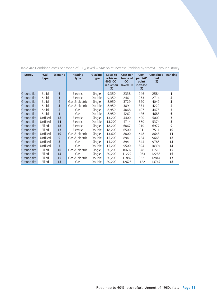| <b>Storey</b> | Wall<br>type | <b>Scenario</b> | <b>Heating</b><br>type | Glazing<br>type | Costs to<br>achieve<br>60% CO <sub>2</sub><br>reduction<br>(f) | Cost per<br>tonne of<br>CO <sub>2</sub><br>saved (f) | Cost<br>per SAP<br>point<br>increase<br>(f) | <b>Combined</b><br>cost<br>(f) | Ranking        |
|---------------|--------------|-----------------|------------------------|-----------------|----------------------------------------------------------------|------------------------------------------------------|---------------------------------------------|--------------------------------|----------------|
| Ground flat   | Solid        | 6               | Electric               | Single          | 9,350                                                          | 2338                                                 | 246                                         | 2584                           | 1              |
| Ground flat   | Solid        | 5               | Electric               | Double          | 9,350                                                          | 2461                                                 | 253                                         | 2714                           | $\overline{2}$ |
| Ground flat   | Solid        | 4               | Gas & electric         | Single          | 8,950                                                          | 3729                                                 | 320                                         | 4049                           | 3              |
| Ground flat   | Solid        | 3               | Gas & electric         | Double          | 8,950                                                          | 3891                                                 | 331                                         | 4222                           | 4              |
| Ground flat   | Solid        | $\overline{2}$  | Gas                    | Single          | 8,950                                                          | 4068                                                 | 407                                         | 4475                           | 5              |
| Ground flat   | Solid        | $\mathbf{1}$    | Gas                    | Double          | 8,950                                                          | 4262                                                 | 426                                         | 4688                           | 6              |
| Ground flat   | Unfilled     | 12              | Electric               | Single          | 13,200                                                         | 4400                                                 | 600                                         | 5000                           | 7              |
| Ground flat   | Unfilled     | 11              | Electric               | Double          | 13,200                                                         | 4714                                                 | 660                                         | 5374                           | 8              |
| Ground flat   | Filled       | 18              | Electric               | Single          | 18,200                                                         | 6067                                                 | 910                                         | 6977                           | 9              |
| Ground flat   | Filled       | 17              | Electric               | <b>Double</b>   | 18,200                                                         | 6500                                                 | 1011                                        | 7511                           | 10             |
| Ground flat   | Unfilled     | 10              | Gas & electric         | Single          | 13,600                                                         | 8000                                                 | 648                                         | 8648                           | 11             |
| Ground flat   | Unfilled     | 9               | Gas & electric         | Double          | 15,200                                                         | 8941                                                 | 724                                         | 9665                           | 12             |
| Ground flat   | Unfilled     | 8               | Gas                    | Single          | 15,200                                                         | 8941                                                 | 844                                         | 9785                           | 13             |
| Ground flat   | Unfilled     | $\overline{7}$  | Gas                    | Double          | 15,200                                                         | 9500                                                 | 894                                         | 10394                          | 14             |
| Ground flat   | Filled       | 16              | Gas & electric         | Single          | 20,200                                                         | 10632                                                | 878                                         | 11510                          | 15             |
| Ground flat   | Filled       | 14              | Gas                    | Single          | 20,200                                                         | 11222                                                | 1063                                        | 12285                          | 16             |
| Ground flat   | Filled       | 15              | Gas & electric         | Double          | 20,200                                                         | 11882                                                | 962                                         | 12844                          | 17             |
| Ground flat   | Filled       | 13              | Gas                    | <b>Double</b>   | 20,200                                                         | 12625                                                | 1122                                        | 13747                          | 18             |

## Table 46: Combined costs per tonne of  $CO<sub>2</sub>$  saved + SAP point increase (ranking by storey) – ground storey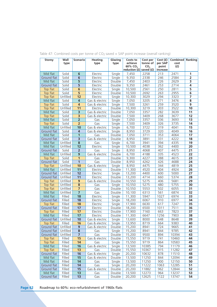| <b>Storey</b>           | Wall<br>type     | <b>Scenario</b>                   | <b>Heating</b><br>type | Glazing<br>type  | Costs to<br>achieve<br>60% CO <sub>2</sub> | Cost per<br>tonne of<br>CO <sub>2</sub> | Cost(f)<br>per SAP<br>point | Combined Ranking<br>cost<br>(f) |                         |
|-------------------------|------------------|-----------------------------------|------------------------|------------------|--------------------------------------------|-----------------------------------------|-----------------------------|---------------------------------|-------------------------|
|                         |                  |                                   |                        |                  | reduction $(f)$ saved $(f)$                |                                         | increase                    |                                 |                         |
| Mid flat<br>Ground flat | Solid<br>Solid   | $6\phantom{1}$<br>$6\overline{6}$ | Electric               | Single           | 7,450<br>9,350                             | 2258<br>2338                            | 213<br>246                  | 2471<br>2584                    | 1<br>$\overline{2}$     |
| Mid flat                |                  | 5                                 | Electric               | Single           |                                            | 2403                                    | 226                         | 2629                            | $\overline{\mathbf{3}}$ |
| Ground flat             | Solid<br>Solid   | 5                                 | Electric               | Double<br>Double | 7,450<br>9,350                             |                                         | 253                         | 2714                            | 4                       |
|                         | Solid            | 6                                 | Electric               | Single           | 10,500                                     | 2461<br>2561                            | 250                         | 2811                            | $\overline{5}$          |
| Top flat<br>Top flat    | Solid            | $\overline{5}$                    | Electric<br>Electric   | Double           | 10,500                                     | 2692                                    | 263                         | 2955                            | $6\overline{}$          |
| Top flat                | Unfilled         | 12                                | Electric               | Single           | 10,300                                     | 3029                                    | 294                         | 3323                            | $\overline{\mathbf{z}}$ |
| Mid flat                | Solid            | $\overline{\mathbf{4}}$           | Gas & electric         | Single           | 7,050                                      | 3205                                    | 271                         | 3476                            | $\overline{\mathbf{8}}$ |
| Top flat                | Solid            | 4                                 | Gas & electric         | Single           | 7,500                                      | 3261                                    | 259                         | 3520                            | 9                       |
| Top flat                | Unfilled         | 11                                | Electric               | Double           | 10,300                                     | 3219                                    | 303                         | 3522                            | 10                      |
| Mid flat                | Solid            | $\overline{\mathbf{3}}$           | Gas & electric         | Double           | 7,050                                      | 3357                                    | 282                         | 3639                            | 11                      |
| Top flat                | Solid            | $\overline{\mathbf{3}}$           | Gas & electric         | Double           | 7,500                                      | 3409                                    | 268                         | 3677                            | 12                      |
| Mid flat                | Solid            | $\overline{2}$                    | Gas                    | Single           | 7,050                                      | 3357                                    | 336                         | 3693                            | 13                      |
| Top flat                | Solid            | $\overline{2}$                    | Gas                    | Single           | 7,500                                      | 3409                                    | 326                         | 3735                            | 14                      |
| Mid flat                | Unfilled         | 10                                | Gas & electric         | Single           | 6,700                                      | 3722                                    | 319                         | 4041                            | 15                      |
| Ground flat             | Solid            | $\overline{\mathbf{4}}$           | Gas & electric         | Single           | 8,950                                      | 3729                                    | 320                         | 4049                            | 16                      |
| Mid flat                | Solid            | $\mathbf{1}$                      | Gas                    | Double           | 7,050                                      | 3711                                    | 353                         | 4064                            | 17                      |
| Ground flat             | Solid            | $\overline{\mathbf{3}}$           | Gas & electric         | Double           | 8,950                                      | 3891                                    | 331                         | 4222                            | 18                      |
| Mid flat                | Unfilled         | 8                                 | Gas                    | Single           | 6,700                                      | 3941                                    | 394                         | 4335                            | 19                      |
| Mid flat                | Unfilled         | 12                                | Electric               | Single           | 10,500                                     | 4038                                    | 362                         | 4400                            | 20                      |
| Ground flat             | Solid            | $\overline{\mathbf{2}}$           | Gas                    | Single           | 8,950                                      | 4068                                    | 407                         | 4475                            | 21                      |
| Mid flat                | Unfilled         | 9                                 | Gas & electric         | Double           | 6,700                                      | 4188                                    | 335                         | 4523                            | $\overline{22}$         |
| Top flat                | Solid            | $\mathbf{1}$                      | Gas                    | Double           | 9,300                                      | 4227                                    | 388                         | 4615                            | 23                      |
| Ground flat             | Solid            | $\overline{1}$                    | Gas                    | Double           | 8,950                                      | 4262                                    | 426                         | 4688                            | 24                      |
| Top flat                | Unfilled         | 10                                | Gas & electric         | Single           | 8,950                                      | 4475                                    | 344                         | 4819                            | 25                      |
| Mid flat                | Unfilled         | 11                                | Electric               | Double           | 11,300                                     | 4520                                    | 404                         | 4924                            | 26                      |
| Ground flat             | Unfilled         | 12                                | Electric               | Single           | 13,200                                     | 4400                                    | 600                         | 5000                            | $\overline{27}$         |
| Ground flat             | Unfilled         | 11                                | Electric               | Double           | 13,200                                     | 4714                                    | 660                         | 5374                            | 28                      |
| Top flat                | Unfilled         | 9                                 | Gas & electric         | Double           | 10,550                                     | 5275                                    | 406                         | 5681                            | 29                      |
| Top flat                | Unfilled         | $\overline{\mathbf{8}}$           | Gas                    | Single           | 10,550                                     | 5275                                    | 480                         | 5755                            | 30                      |
| Top flat                | Unfilled         | $\overline{7}$                    | Gas                    | Double           | 10,550                                     | 5553                                    | 502                         | 6055                            | $\overline{31}$         |
| Mid flat                | Unfilled         | $\overline{7}$                    | Gas                    | Double           | 10,100                                     | 6313                                    | 561                         | 6874                            | 32                      |
| Mid flat                | Filled           | 18                                | Electric               | Single           | 11,300                                     | 5947                                    | 1027                        | 6974                            | 33                      |
| Ground flat             | Filled           | 18                                | Electric               | Single           | 18,200                                     | 6067                                    | 910                         | 6977                            | 34                      |
| Top flat                | Filled           | 18                                | Electric               | Single           | 17,900                                     | 6630                                    | 617                         | 7247                            | 35                      |
| Ground flat             | Filled           | 17                                | Electric               | Double           | 18,200                                     | 6500                                    | 1011                        | 7511                            | 36                      |
| Top flat                | Filled           | 17                                | Electric               | Double           | 17,900                                     | 7160                                    | 663                         | 7823                            | 37                      |
| Mid flat                | Filled           | 17                                | Electric               | Double           | 11,300                                     | 6647                                    | 1256                        | 7903                            | 38                      |
| Ground flat             | Unfilled         | 10                                | Gas & electric         | Single           | 13,600                                     | 8000                                    | 648                         | 8648                            | 39                      |
| Top flat                | Filled           | 16                                | Gas & electric         | Single           | 13,950                                     | 8719                                    | 664                         | 9383                            | 40                      |
| Ground flat             | Unfilled         | 9                                 | Gas & electric         | Double           | 15,200                                     | 8941                                    | 724                         | 9665                            | 41                      |
| Ground flat             | Unfilled         | 8                                 | Gas                    | Single           | 15,200                                     | 8941                                    | 844                         | 9785                            | 42                      |
| Ground flat             | Unfilled         | $\overline{7}$                    | Gas                    | Double           | 15,200                                     | 9500                                    | 894                         | 10394                           | 43                      |
| Top flat                | Filled           | 15                                | Gas & electric         | Double           | 15,550                                     | 9719                                    | 741                         | 10460                           | 44                      |
| Top flat                | Filled           | 14                                | Gas                    | Single           | 15,550                                     | 9719                                    | 864                         | 10583                           | 45                      |
| Mid flat                | Filled           | 16                                | Gas & electric         | Single           | 13,500                                     | 10385                                   | 794                         | 11179                           | 46                      |
| Top flat                | Filled           | 13                                | Gas                    | Double           | 15,550                                     | 10367                                   | 915                         | 11282                           | 47                      |
| Ground flat             | Filled           | 16                                | Gas & electric         | Single           | 20,200                                     | 10632                                   | 878                         | 11510                           | 48                      |
| Mid flat                | Filled           | 15<br>14                          | Gas & electric         | Double<br>Single | 13,500                                     | 11250                                   | 844<br>900                  | 12094<br>12150                  | 49<br>50                |
| Mid flat<br>Ground flat | Filled<br>Filled | 14                                | Gas<br>Gas             |                  | 13,500                                     | 11250<br>11222                          | 1063                        | 12285                           | 51                      |
| Ground flat             | Filled           | 15                                | Gas & electric         | Single<br>Double | 20,200<br>20,200                           | 11882                                   | 962                         | 12844                           | 52                      |
| Mid flat                | Filled           | 13                                | Gas                    | Double           | 13,500                                     | 12273                                   | 964                         | 13237                           | 53                      |
| Ground flat             | Filled           | 13                                | Gas                    | Double           | 20,200                                     | 12625                                   | 1122                        | 13747                           | 54                      |
|                         |                  |                                   |                        |                  |                                            |                                         |                             |                                 |                         |

Table 47: Combined costs per tonne of CO<sub>2</sub> saved + SAP point increase (overall ranking)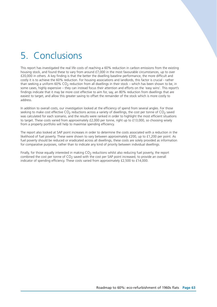# 5. Conclusions

This report has investigated the real life costs of reaching a 60% reduction in carbon emissions from the existing housing stock, and found these to vary from around £7,000 in the most favourable circumstances, up to over £20,000 in others. A key finding is that the better the dwelling baseline performance, the more difficult and costly it is to achieve the 60% reduction. For housing associations and landlords, this factor is crucial - rather than seeking a uniform  $60\%$  CO<sub>2</sub> reduction from all dwellings in their stock – which has been shown to be, in some cases, highly expensive – they can instead focus their attention and efforts on the 'easy wins'. This report's findings indicate that it may be more cost effective to aim for, say, an 80% reduction from dwellings that are easiest to target, and allow this greater saving to offset the remainder of the stock which is more costly to address.

In addition to overall costs, our investigation looked at the efficiency of spend from several angles. For those seeking to make cost effective  $CO<sub>2</sub>$  reductions across a variety of dwellings, the cost per tonne of  $CO<sub>2</sub>$  saved was calculated for each scenario, and the results were ranked in order to highlight the most efficient situations to target. These costs varied from approximately £2,000 per tonne, right up to £13,000, so choosing wisely from a property portfolio will help to maximise spending efficiency.

The report also looked at SAP point increases in order to determine the costs associated with a reduction in the likelihood of fuel poverty. These were shown to vary between approximately £200, up to £1,200 per point. As fuel poverty should be reduced or eradicated across all dwellings, these costs are solely provided as information for comparative purposes, rather than to indicate any kind of priority between individual dwellings.

Finally, for those equally interested in making  $CO<sub>2</sub>$  reductions whilst also reducing fuel poverty, the report combined the cost per tonne of  $CO<sub>2</sub>$  saved with the cost per SAP point increased, to provide an overall indicator of spending efficiency. These costs varied from approximately £2,500 to £14,000.